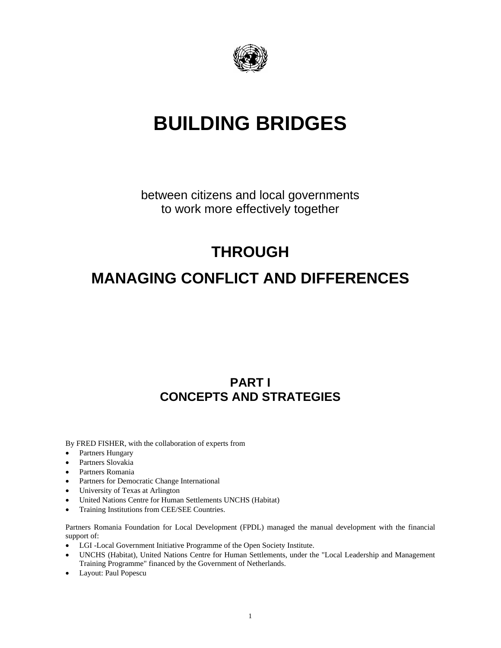

# **BUILDING BRIDGES**

between citizens and local governments to work more effectively together

## **THROUGH**

## **MANAGING CONFLICT AND DIFFERENCES**

## **PART I CONCEPTS AND STRATEGIES**

By FRED FISHER, with the collaboration of experts from

- Partners Hungary
- Partners Slovakia
- Partners Romania
- Partners for Democratic Change International
- University of Texas at Arlington
- United Nations Centre for Human Settlements UNCHS (Habitat)
- Training Institutions from CEE/SEE Countries.

Partners Romania Foundation for Local Development (FPDL) managed the manual development with the financial support of:

- LGI -Local Government Initiative Programme of the Open Society Institute.
- UNCHS (Habitat), United Nations Centre for Human Settlements, under the "Local Leadership and Management Training Programme" financed by the Government of Netherlands.
- Layout: Paul Popescu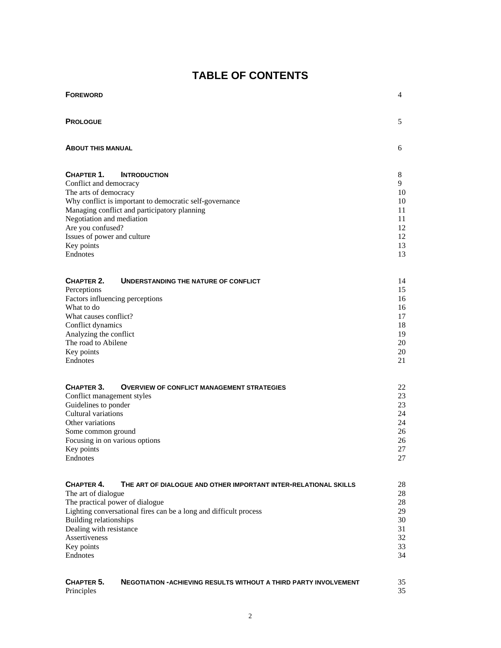## **TABLE OF CONTENTS**

| <b>FOREWORD</b>                                                                                                                                           | 4                    |
|-----------------------------------------------------------------------------------------------------------------------------------------------------------|----------------------|
| <b>PROLOGUE</b>                                                                                                                                           | 5                    |
| <b>ABOUT THIS MANUAL</b>                                                                                                                                  | 6                    |
| CHAPTER 1.<br><b>INTRODUCTION</b><br>Conflict and democracy<br>The arts of democracy                                                                      | 8<br>9<br>10         |
| Why conflict is important to democratic self-governance<br>Managing conflict and participatory planning<br>Negotiation and mediation<br>Are you confused? | 10<br>11<br>11<br>12 |
| Issues of power and culture<br>Key points<br>Endnotes                                                                                                     | 12<br>13<br>13       |
| CHAPTER 2.<br>UNDERSTANDING THE NATURE OF CONFLICT<br>Perceptions<br>Factors influencing perceptions                                                      | 14<br>15<br>16       |
| What to do<br>What causes conflict?                                                                                                                       | 16<br>17             |
| Conflict dynamics<br>Analyzing the conflict<br>The road to Abilene                                                                                        | 18<br>19<br>20       |
| Key points<br>Endnotes                                                                                                                                    | 20<br>21             |
| CHAPTER 3.<br><b>OVERVIEW OF CONFLICT MANAGEMENT STRATEGIES</b>                                                                                           | 22                   |
| Conflict management styles<br>Guidelines to ponder                                                                                                        | 23<br>23             |
| Cultural variations                                                                                                                                       | 24                   |
| Other variations                                                                                                                                          | 24                   |
| Some common ground                                                                                                                                        | 26<br>26             |
| Focusing in on various options<br>Key points                                                                                                              | 27                   |
| Endnotes                                                                                                                                                  | 27                   |
| CHAPTER 4.<br>THE ART OF DIALOGUE AND OTHER IMPORTANT INTER-RELATIONAL SKILLS<br>The art of dialogue                                                      | 28<br>28             |
| The practical power of dialogue                                                                                                                           | 28                   |
| Lighting conversational fires can be a long and difficult process                                                                                         | 29                   |
| <b>Building relationships</b>                                                                                                                             | 30                   |
| Dealing with resistance<br>Assertiveness                                                                                                                  | 31<br>32             |
| Key points                                                                                                                                                | 33                   |
| Endnotes                                                                                                                                                  | 34                   |
| CHAPTER 5.<br><b>NEGOTIATION -ACHIEVING RESULTS WITHOUT A THIRD PARTY INVOLVEMENT</b><br>Principles                                                       | 35<br>35             |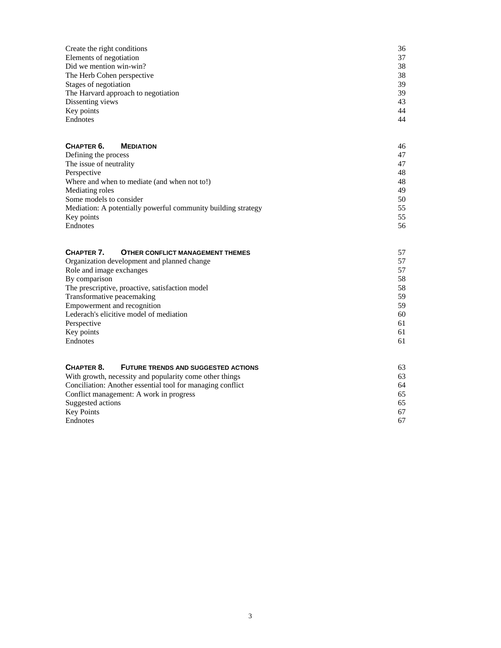| Create the right conditions         | 36 |
|-------------------------------------|----|
| Elements of negotiation             | 37 |
| Did we mention win-win?             | 38 |
| The Herb Cohen perspective          | 38 |
| Stages of negotiation               | 39 |
| The Harvard approach to negotiation | 39 |
| Dissenting views                    | 43 |
| Key points                          | 44 |
| Endnotes                            | 44 |

#### **CHAPTER 6. MEDIATION** 46 Defining the process 47 The issue of neutrality 47 Perspective 48

| Where and when to mediate (and when not to!)                  | 48  |
|---------------------------------------------------------------|-----|
| Mediating roles                                               | 49  |
| Some models to consider                                       | 50  |
| Mediation: A potentially powerful community building strategy | 55. |
| Key points                                                    | 55  |
| Endnotes                                                      | 56. |

| <b>OTHER CONFLICT MANAGEMENT THEMES</b><br>CHAPTER 7. | 57 |
|-------------------------------------------------------|----|
| Organization development and planned change           | 57 |
| Role and image exchanges                              | 57 |
| By comparison                                         | 58 |
| The prescriptive, proactive, satisfaction model       | 58 |
| Transformative peacemaking                            | 59 |
| Empowerment and recognition                           | 59 |
| Lederach's elicitive model of mediation               | 60 |
| Perspective                                           | 61 |
| Key points                                            | 61 |
| Endnotes                                              | 61 |
|                                                       |    |
|                                                       |    |

| CHAPTER 8.<br>FUTURE TRENDS AND SUGGESTED ACTIONS          | 63 |  |  |  |
|------------------------------------------------------------|----|--|--|--|
| With growth, necessity and popularity come other things    |    |  |  |  |
| Conciliation: Another essential tool for managing conflict | 64 |  |  |  |
| Conflict management: A work in progress                    | 65 |  |  |  |
| Suggested actions                                          | 65 |  |  |  |
| <b>Key Points</b>                                          | 67 |  |  |  |
| Endnotes                                                   | 67 |  |  |  |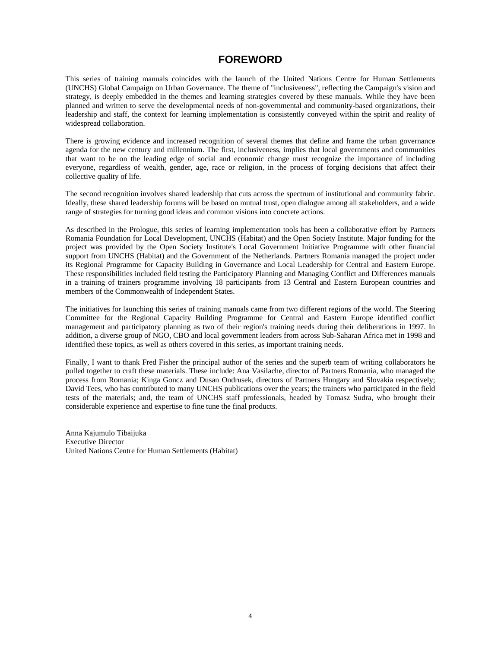### **FOREWORD**

This series of training manuals coincides with the launch of the United Nations Centre for Human Settlements (UNCHS) Global Campaign on Urban Governance. The theme of "inclusiveness", reflecting the Campaign's vision and strategy, is deeply embedded in the themes and learning strategies covered by these manuals. While they have been planned and written to serve the developmental needs of non-governmental and community-based organizations, their leadership and staff, the context for learning implementation is consistently conveyed within the spirit and reality of widespread collaboration.

There is growing evidence and increased recognition of several themes that define and frame the urban governance agenda for the new century and millennium. The first, inclusiveness, implies that local governments and communities that want to be on the leading edge of social and economic change must recognize the importance of including everyone, regardless of wealth, gender, age, race or religion, in the process of forging decisions that affect their collective quality of life.

The second recognition involves shared leadership that cuts across the spectrum of institutional and community fabric. Ideally, these shared leadership forums will be based on mutual trust, open dialogue among all stakeholders, and a wide range of strategies for turning good ideas and common visions into concrete actions.

As described in the Prologue, this series of learning implementation tools has been a collaborative effort by Partners Romania Foundation for Local Development, UNCHS (Habitat) and the Open Society Institute. Major funding for the project was provided by the Open Society Institute's Local Government Initiative Programme with other financial support from UNCHS (Habitat) and the Government of the Netherlands. Partners Romania managed the project under its Regional Programme for Capacity Building in Governance and Local Leadership for Central and Eastern Europe. These responsibilities included field testing the Participatory Planning and Managing Conflict and Differences manuals in a training of trainers programme involving 18 participants from 13 Central and Eastern European countries and members of the Commonwealth of Independent States.

The initiatives for launching this series of training manuals came from two different regions of the world. The Steering Committee for the Regional Capacity Building Programme for Central and Eastern Europe identified conflict management and participatory planning as two of their region's training needs during their deliberations in 1997. In addition, a diverse group of NGO, CBO and local government leaders from across Sub-Saharan Africa met in 1998 and identified these topics, as well as others covered in this series, as important training needs.

Finally, I want to thank Fred Fisher the principal author of the series and the superb team of writing collaborators he pulled together to craft these materials. These include: Ana Vasilache, director of Partners Romania, who managed the process from Romania; Kinga Goncz and Dusan Ondrusek, directors of Partners Hungary and Slovakia respectively; David Tees, who has contributed to many UNCHS publications over the years; the trainers who participated in the field tests of the materials; and, the team of UNCHS staff professionals, headed by Tomasz Sudra, who brought their considerable experience and expertise to fine tune the final products.

Anna Kajumulo Tibaijuka Executive Director United Nations Centre for Human Settlements (Habitat)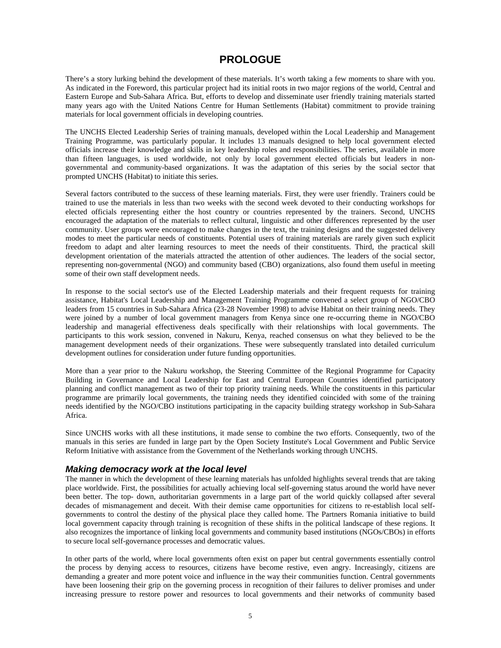### **PROLOGUE**

There's a story lurking behind the development of these materials. It's worth taking a few moments to share with you. As indicated in the Foreword, this particular project had its initial roots in two major regions of the world, Central and Eastern Europe and Sub-Sahara Africa. But, efforts to develop and disseminate user friendly training materials started many years ago with the United Nations Centre for Human Settlements (Habitat) commitment to provide training materials for local government officials in developing countries.

The UNCHS Elected Leadership Series of training manuals, developed within the Local Leadership and Management Training Programme, was particularly popular. It includes 13 manuals designed to help local government elected officials increase their knowledge and skills in key leadership roles and responsibilities. The series, available in more than fifteen languages, is used worldwide, not only by local government elected officials but leaders in nongovernmental and community-based organizations. It was the adaptation of this series by the social sector that prompted UNCHS (Habitat) to initiate this series.

Several factors contributed to the success of these learning materials. First, they were user friendly. Trainers could be trained to use the materials in less than two weeks with the second week devoted to their conducting workshops for elected officials representing either the host country or countries represented by the trainers. Second, UNCHS encouraged the adaptation of the materials to reflect cultural, linguistic and other differences represented by the user community. User groups were encouraged to make changes in the text, the training designs and the suggested delivery modes to meet the particular needs of constituents. Potential users of training materials are rarely given such explicit freedom to adapt and alter learning resources to meet the needs of their constituents. Third, the practical skill development orientation of the materials attracted the attention of other audiences. The leaders of the social sector, representing non-governmental (NGO) and community based (CBO) organizations, also found them useful in meeting some of their own staff development needs.

In response to the social sector's use of the Elected Leadership materials and their frequent requests for training assistance, Habitat's Local Leadership and Management Training Programme convened a select group of NGO/CBO leaders from 15 countries in Sub-Sahara Africa (23-28 November 1998) to advise Habitat on their training needs. They were joined by a number of local government managers from Kenya since one re-occurring theme in NGO/CBO leadership and managerial effectiveness deals specifically with their relationships with local governments. The participants to this work session, convened in Nakuru, Kenya, reached consensus on what they believed to be the management development needs of their organizations. These were subsequently translated into detailed curriculum development outlines for consideration under future funding opportunities.

More than a year prior to the Nakuru workshop, the Steering Committee of the Regional Programme for Capacity Building in Governance and Local Leadership for East and Central European Countries identified participatory planning and conflict management as two of their top priority training needs. While the constituents in this particular programme are primarily local governments, the training needs they identified coincided with some of the training needs identified by the NGO/CBO institutions participating in the capacity building strategy workshop in Sub-Sahara Africa.

Since UNCHS works with all these institutions, it made sense to combine the two efforts. Consequently, two of the manuals in this series are funded in large part by the Open Society Institute's Local Government and Public Service Reform Initiative with assistance from the Government of the Netherlands working through UNCHS.

#### *Making democracy work at the local level*

The manner in which the development of these learning materials has unfolded highlights several trends that are taking place worldwide. First, the possibilities for actually achieving local self-governing status around the world have never been better. The top- down, authoritarian governments in a large part of the world quickly collapsed after several decades of mismanagement and deceit. With their demise came opportunities for citizens to re-establish local selfgovernments to control the destiny of the physical place they called home. The Partners Romania initiative to build local government capacity through training is recognition of these shifts in the political landscape of these regions. It also recognizes the importance of linking local governments and community based institutions (NGOs/CBOs) in efforts to secure local self-governance processes and democratic values.

In other parts of the world, where local governments often exist on paper but central governments essentially control the process by denying access to resources, citizens have become restive, even angry. Increasingly, citizens are demanding a greater and more potent voice and influence in the way their communities function. Central governments have been loosening their grip on the governing process in recognition of their failures to deliver promises and under increasing pressure to restore power and resources to local governments and their networks of community based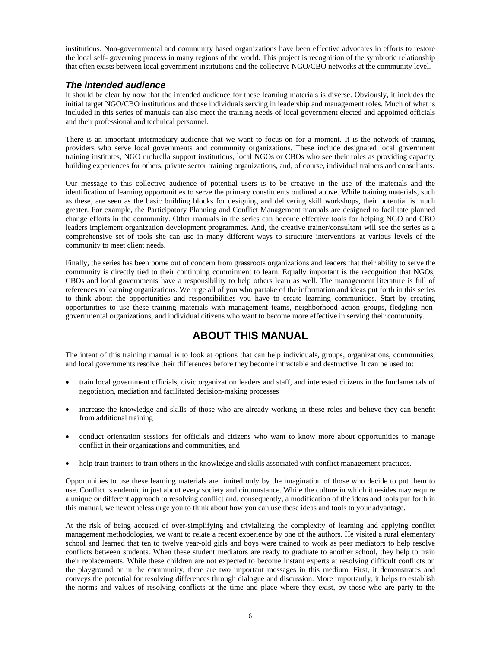institutions. Non-governmental and community based organizations have been effective advocates in efforts to restore the local self- governing process in many regions of the world. This project is recognition of the symbiotic relationship that often exists between local government institutions and the collective NGO/CBO networks at the community level.

#### *The intended audience*

It should be clear by now that the intended audience for these learning materials is diverse. Obviously, it includes the initial target NGO/CBO institutions and those individuals serving in leadership and management roles. Much of what is included in this series of manuals can also meet the training needs of local government elected and appointed officials and their professional and technical personnel.

There is an important intermediary audience that we want to focus on for a moment. It is the network of training providers who serve local governments and community organizations. These include designated local government training institutes, NGO umbrella support institutions, local NGOs or CBOs who see their roles as providing capacity building experiences for others, private sector training organizations, and, of course, individual trainers and consultants.

Our message to this collective audience of potential users is to be creative in the use of the materials and the identification of learning opportunities to serve the primary constituents outlined above. While training materials, such as these, are seen as the basic building blocks for designing and delivering skill workshops, their potential is much greater. For example, the Participatory Planning and Conflict Management manuals are designed to facilitate planned change efforts in the community. Other manuals in the series can become effective tools for helping NGO and CBO leaders implement organization development programmes. And, the creative trainer/consultant will see the series as a comprehensive set of tools she can use in many different ways to structure interventions at various levels of the community to meet client needs.

Finally, the series has been borne out of concern from grassroots organizations and leaders that their ability to serve the community is directly tied to their continuing commitment to learn. Equally important is the recognition that NGOs, CBOs and local governments have a responsibility to help others learn as well. The management literature is full of references to learning organizations. We urge all of you who partake of the information and ideas put forth in this series to think about the opportunities and responsibilities you have to create learning communities. Start by creating opportunities to use these training materials with management teams, neighborhood action groups, fledgling nongovernmental organizations, and individual citizens who want to become more effective in serving their community.

### **ABOUT THIS MANUAL**

The intent of this training manual is to look at options that can help individuals, groups, organizations, communities, and local governments resolve their differences before they become intractable and destructive. It can be used to:

- train local government officials, civic organization leaders and staff, and interested citizens in the fundamentals of negotiation, mediation and facilitated decision-making processes
- increase the knowledge and skills of those who are already working in these roles and believe they can benefit from additional training
- conduct orientation sessions for officials and citizens who want to know more about opportunities to manage conflict in their organizations and communities, and
- help train trainers to train others in the knowledge and skills associated with conflict management practices.

Opportunities to use these learning materials are limited only by the imagination of those who decide to put them to use. Conflict is endemic in just about every society and circumstance. While the culture in which it resides may require a unique or different approach to resolving conflict and, consequently, a modification of the ideas and tools put forth in this manual, we nevertheless urge you to think about how you can use these ideas and tools to your advantage.

At the risk of being accused of over-simplifying and trivializing the complexity of learning and applying conflict management methodologies, we want to relate a recent experience by one of the authors. He visited a rural elementary school and learned that ten to twelve year-old girls and boys were trained to work as peer mediators to help resolve conflicts between students. When these student mediators are ready to graduate to another school, they help to train their replacements. While these children are not expected to become instant experts at resolving difficult conflicts on the playground or in the community, there are two important messages in this medium. First, it demonstrates and conveys the potential for resolving differences through dialogue and discussion. More importantly, it helps to establish the norms and values of resolving conflicts at the time and place where they exist, by those who are party to the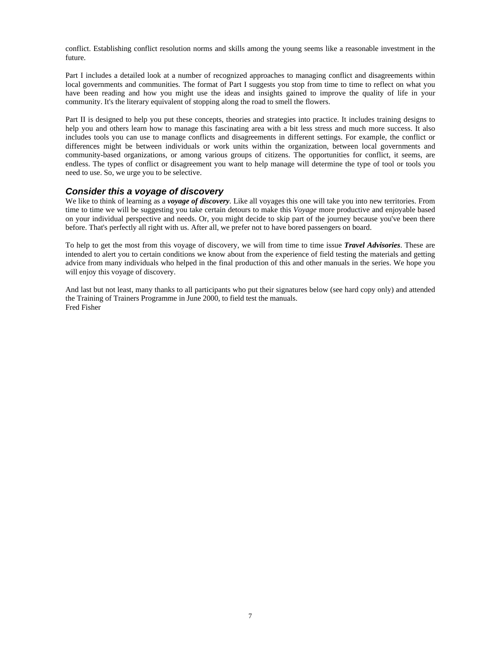conflict. Establishing conflict resolution norms and skills among the young seems like a reasonable investment in the future.

Part I includes a detailed look at a number of recognized approaches to managing conflict and disagreements within local governments and communities. The format of Part I suggests you stop from time to time to reflect on what you have been reading and how you might use the ideas and insights gained to improve the quality of life in your community. It's the literary equivalent of stopping along the road to smell the flowers.

Part II is designed to help you put these concepts, theories and strategies into practice. It includes training designs to help you and others learn how to manage this fascinating area with a bit less stress and much more success. It also includes tools you can use to manage conflicts and disagreements in different settings. For example, the conflict or differences might be between individuals or work units within the organization, between local governments and community-based organizations, or among various groups of citizens. The opportunities for conflict, it seems, are endless. The types of conflict or disagreement you want to help manage will determine the type of tool or tools you need to use. So, we urge you to be selective.

#### *Consider this a voyage of discovery*

We like to think of learning as a *voyage of discovery*. Like all voyages this one will take you into new territories. From time to time we will be suggesting you take certain detours to make this *Voyage* more productive and enjoyable based on your individual perspective and needs. Or, you might decide to skip part of the journey because you've been there before. That's perfectly all right with us. After all, we prefer not to have bored passengers on board.

To help to get the most from this voyage of discovery, we will from time to time issue *Travel Advisories*. These are intended to alert you to certain conditions we know about from the experience of field testing the materials and getting advice from many individuals who helped in the final production of this and other manuals in the series. We hope you will enjoy this voyage of discovery.

And last but not least, many thanks to all participants who put their signatures below (see hard copy only) and attended the Training of Trainers Programme in June 2000, to field test the manuals. Fred Fisher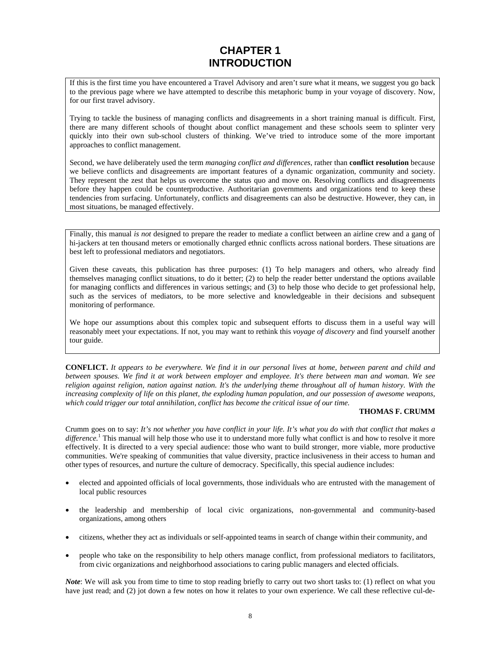## **CHAPTER 1 INTRODUCTION**

If this is the first time you have encountered a Travel Advisory and aren't sure what it means, we suggest you go back to the previous page where we have attempted to describe this metaphoric bump in your voyage of discovery. Now, for our first travel advisory.

Trying to tackle the business of managing conflicts and disagreements in a short training manual is difficult. First, there are many different schools of thought about conflict management and these schools seem to splinter very quickly into their own sub-school clusters of thinking. We've tried to introduce some of the more important approaches to conflict management.

Second, we have deliberately used the term *managing conflict and differences*, rather than **conflict resolution** because we believe conflicts and disagreements are important features of a dynamic organization, community and society. They represent the zest that helps us overcome the status quo and move on. Resolving conflicts and disagreements before they happen could be counterproductive. Authoritarian governments and organizations tend to keep these tendencies from surfacing. Unfortunately, conflicts and disagreements can also be destructive. However, they can, in most situations, be managed effectively.

Finally, this manual *is not* designed to prepare the reader to mediate a conflict between an airline crew and a gang of hi-jackers at ten thousand meters or emotionally charged ethnic conflicts across national borders. These situations are best left to professional mediators and negotiators.

Given these caveats, this publication has three purposes: (1) To help managers and others, who already find themselves managing conflict situations, to do it better; (2) to help the reader better understand the options available for managing conflicts and differences in various settings; and (3) to help those who decide to get professional help, such as the services of mediators, to be more selective and knowledgeable in their decisions and subsequent monitoring of performance.

We hope our assumptions about this complex topic and subsequent efforts to discuss them in a useful way will reasonably meet your expectations. If not, you may want to rethink this *voyage of discovery* and find yourself another tour guide.

**CONFLICT.** *It appears to be everywhere. We find it in our personal lives at home, between parent and child and between spouses. We find it at work between employer and employee. It's there between man and woman. We see religion against religion, nation against nation. It's the underlying theme throughout all of human history. With the*  increasing complexity of life on this planet, the exploding human population, and our possession of awesome weapons, *which could trigger our total annihilation, conflict has become the critical issue of our time.*

#### **THOMAS F. CRUMM**

Crumm goes on to say: *It's not whether you have conflict in your life. It's what you do with that conflict that makes a*  difference.<sup>1</sup> This manual will help those who use it to understand more fully what conflict is and how to resolve it more effectively. It is directed to a very special audience: those who want to build stronger, more viable, more productive communities. We're speaking of communities that value diversity, practice inclusiveness in their access to human and other types of resources, and nurture the culture of democracy. Specifically, this special audience includes:

- elected and appointed officials of local governments, those individuals who are entrusted with the management of local public resources
- the leadership and membership of local civic organizations, non-governmental and community-based organizations, among others
- citizens, whether they act as individuals or self-appointed teams in search of change within their community, and
- people who take on the responsibility to help others manage conflict, from professional mediators to facilitators, from civic organizations and neighborhood associations to caring public managers and elected officials.

*Note*: We will ask you from time to time to stop reading briefly to carry out two short tasks to: (1) reflect on what you have just read; and (2) jot down a few notes on how it relates to your own experience. We call these reflective cul-de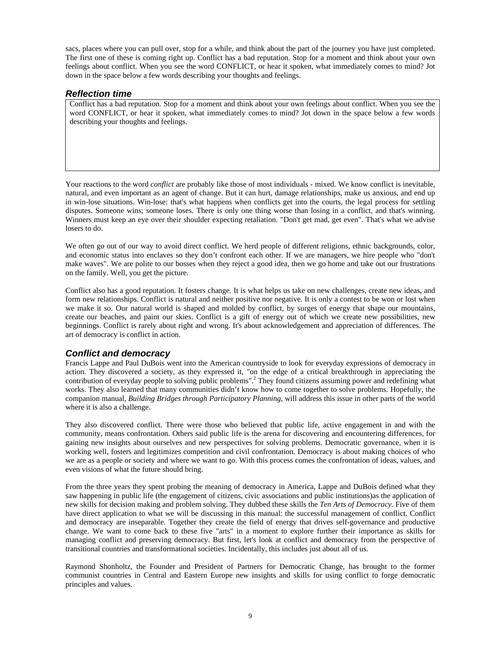sacs, places where you can pull over, stop for a while, and think about the part of the journey you have just completed. The first one of these is coming right up. Conflict has a bad reputation. Stop for a moment and think about your own feelings about conflict. When you see the word CONFLICT, or hear it spoken, what immediately comes to mind? Jot down in the space below a few words describing your thoughts and feelings.

#### *Reflection time*

Conflict has a bad reputation. Stop for a moment and think about your own feelings about conflict. When you see the word CONFLICT, or hear it spoken, what immediately comes to mind? Jot down in the space below a few words describing your thoughts and feelings.

Your reactions to the word *conflict* are probably like those of most individuals - mixed. We know conflict is inevitable, natural, and even important as an agent of change. But it can hurt, damage relationships, make us anxious, and end up in win-lose situations. Win-lose: that's what happens when conflicts get into the courts, the legal process for settling disputes. Someone wins; someone loses. There is only one thing worse than losing in a conflict, and that's winning. Winners must keep an eye over their shoulder expecting retaliation. "Don't get mad, get even". That's what we advise losers to do.

We often go out of our way to avoid direct conflict. We herd people of different religions, ethnic backgrounds, color, and economic status into enclaves so they don't confront each other. If we are managers, we hire people who "don't make waves". We are polite to our bosses when they reject a good idea, then we go home and take out our frustrations on the family. Well, you get the picture.

Conflict also has a good reputation. It fosters change. It is what helps us take on new challenges, create new ideas, and form new relationships. Conflict is natural and neither positive nor negative. It is only a contest to be won or lost when we make it so. Our natural world is shaped and molded by conflict, by surges of energy that shape our mountains, create our beaches, and paint our skies. Conflict is a gift of energy out of which we create new possibilities, new beginnings. Conflict is rarely about right and wrong. It's about acknowledgement and appreciation of differences. The art of democracy is conflict in action.

#### *Conflict and democracy*

Francis Lappe and Paul DuBois went into the American countryside to look for everyday expressions of democracy in action. They discovered a society, as they expressed it, "on the edge of a critical breakthrough in appreciating the contribution of everyday people to solving public problems".<sup>2</sup> They found citizens assuming power and redefining what works. They also learned that many communities didn't know how to come together to solve problems. Hopefully, the companion manual, *Building Bridges through Participatory Planning*, will address this issue in other parts of the world where it is also a challenge.

They also discovered conflict. There were those who believed that public life, active engagement in and with the community, means confrontation. Others said public life is the arena for discovering and encountering differences, for gaining new insights about ourselves and new perspectives for solving problems. Democratic governance, when it is working well, fosters and legitimizes competition and civil confrontation. Democracy is about making choices of who we are as a people or society and where we want to go. With this process comes the confrontation of ideas, values, and even visions of what the future should bring.

From the three years they spent probing the meaning of democracy in America, Lappe and DuBois defined what they saw happening in public life (the engagement of citizens, civic associations and public institutions)as the application of new skills for decision making and problem solving. They dubbed these skills the *Ten Arts of Democracy*. Five of them have direct application to what we will be discussing in this manual: the successful management of conflict. Conflict and democracy are inseparable. Together they create the field of energy that drives self-governance and productive change. We want to come back to these five "arts" in a moment to explore further their importance as skills for managing conflict and preserving democracy. But first, let's look at conflict and democracy from the perspective of transitional countries and transformational societies. Incidentally, this includes just about all of us.

Raymond Shonholtz, the Founder and President of Partners for Democratic Change, has brought to the former communist countries in Central and Eastern Europe new insights and skills for using conflict to forge democratic principles and values.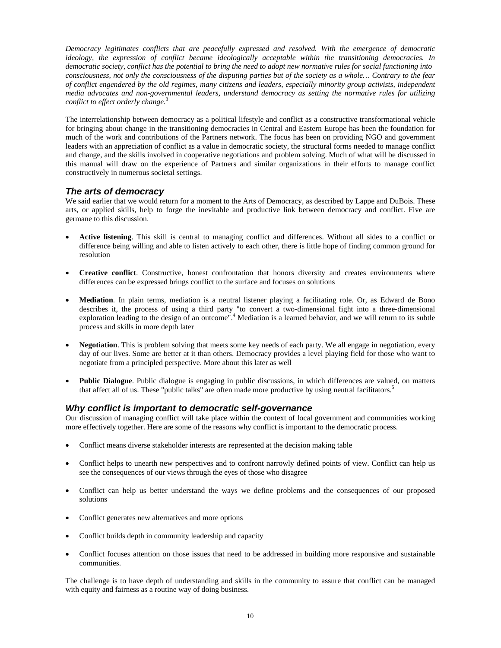*Democracy legitimates conflicts that are peacefully expressed and resolved. With the emergence of democratic ideology, the expression of conflict became ideologically acceptable within the transitioning democracies. In democratic society, conflict has the potential to bring the need to adopt new normative rules for social functioning into consciousness, not only the consciousness of the disputing parties but of the society as a whole… Contrary to the fear of conflict engendered by the old regimes, many citizens and leaders, especially minority group activists, independent media advocates and non-governmental leaders, understand democracy as setting the normative rules for utilizing conflict to effect orderly change*. 3

The interrelationship between democracy as a political lifestyle and conflict as a constructive transformational vehicle for bringing about change in the transitioning democracies in Central and Eastern Europe has been the foundation for much of the work and contributions of the Partners network. The focus has been on providing NGO and government leaders with an appreciation of conflict as a value in democratic society, the structural forms needed to manage conflict and change, and the skills involved in cooperative negotiations and problem solving. Much of what will be discussed in this manual will draw on the experience of Partners and similar organizations in their efforts to manage conflict constructively in numerous societal settings.

#### *The arts of democracy*

We said earlier that we would return for a moment to the Arts of Democracy, as described by Lappe and DuBois. These arts, or applied skills, help to forge the inevitable and productive link between democracy and conflict. Five are germane to this discussion.

- **Active listening**. This skill is central to managing conflict and differences. Without all sides to a conflict or difference being willing and able to listen actively to each other, there is little hope of finding common ground for resolution
- **Creative conflict**. Constructive, honest confrontation that honors diversity and creates environments where differences can be expressed brings conflict to the surface and focuses on solutions
- **Mediation**. In plain terms, mediation is a neutral listener playing a facilitating role. Or, as Edward de Bono describes it, the process of using a third party "to convert a two-dimensional fight into a three-dimensional exploration leading to the design of an outcome".<sup>4</sup> Mediation is a learned behavior, and we will return to its subtle process and skills in more depth later
- **Negotiation**. This is problem solving that meets some key needs of each party. We all engage in negotiation, every day of our lives. Some are better at it than others. Democracy provides a level playing field for those who want to negotiate from a principled perspective. More about this later as well
- **Public Dialogue**. Public dialogue is engaging in public discussions, in which differences are valued, on matters that affect all of us. These "public talks" are often made more productive by using neutral facilitators.<sup>5</sup>

#### *Why conflict is important to democratic self-governance*

Our discussion of managing conflict will take place within the context of local government and communities working more effectively together. Here are some of the reasons why conflict is important to the democratic process.

- Conflict means diverse stakeholder interests are represented at the decision making table
- Conflict helps to unearth new perspectives and to confront narrowly defined points of view. Conflict can help us see the consequences of our views through the eyes of those who disagree
- Conflict can help us better understand the ways we define problems and the consequences of our proposed solutions
- Conflict generates new alternatives and more options
- Conflict builds depth in community leadership and capacity
- Conflict focuses attention on those issues that need to be addressed in building more responsive and sustainable communities.

The challenge is to have depth of understanding and skills in the community to assure that conflict can be managed with equity and fairness as a routine way of doing business.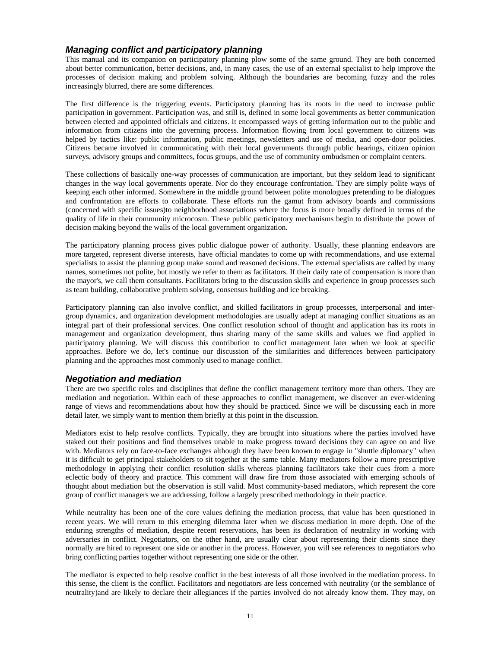#### *Managing conflict and participatory planning*

This manual and its companion on participatory planning plow some of the same ground. They are both concerned about better communication, better decisions, and, in many cases, the use of an external specialist to help improve the processes of decision making and problem solving. Although the boundaries are becoming fuzzy and the roles increasingly blurred, there are some differences.

The first difference is the triggering events. Participatory planning has its roots in the need to increase public participation in government. Participation was, and still is, defined in some local governments as better communication between elected and appointed officials and citizens. It encompassed ways of getting information out to the public and information from citizens into the governing process. Information flowing from local government to citizens was helped by tactics like: public information, public meetings, newsletters and use of media, and open-door policies. Citizens became involved in communicating with their local governments through public hearings, citizen opinion surveys, advisory groups and committees, focus groups, and the use of community ombudsmen or complaint centers.

These collections of basically one-way processes of communication are important, but they seldom lead to significant changes in the way local governments operate. Nor do they encourage confrontation. They are simply polite ways of keeping each other informed. Somewhere in the middle ground between polite monologues pretending to be dialogues and confrontation are efforts to collaborate. These efforts run the gamut from advisory boards and commissions (concerned with specific issues)to neighborhood associations where the focus is more broadly defined in terms of the quality of life in their community microcosm. These public participatory mechanisms begin to distribute the power of decision making beyond the walls of the local government organization.

The participatory planning process gives public dialogue power of authority. Usually, these planning endeavors are more targeted, represent diverse interests, have official mandates to come up with recommendations, and use external specialists to assist the planning group make sound and reasoned decisions. The external specialists are called by many names, sometimes not polite, but mostly we refer to them as facilitators. If their daily rate of compensation is more than the mayor's, we call them consultants. Facilitators bring to the discussion skills and experience in group processes such as team building, collaborative problem solving, consensus building and ice breaking.

Participatory planning can also involve conflict, and skilled facilitators in group processes, interpersonal and intergroup dynamics, and organization development methodologies are usually adept at managing conflict situations as an integral part of their professional services. One conflict resolution school of thought and application has its roots in management and organization development, thus sharing many of the same skills and values we find applied in participatory planning. We will discuss this contribution to conflict management later when we look at specific approaches. Before we do, let's continue our discussion of the similarities and differences between participatory planning and the approaches most commonly used to manage conflict.

#### *Negotiation and mediation*

There are two specific roles and disciplines that define the conflict management territory more than others. They are mediation and negotiation. Within each of these approaches to conflict management, we discover an ever-widening range of views and recommendations about how they should be practiced. Since we will be discussing each in more detail later, we simply want to mention them briefly at this point in the discussion.

Mediators exist to help resolve conflicts. Typically, they are brought into situations where the parties involved have staked out their positions and find themselves unable to make progress toward decisions they can agree on and live with. Mediators rely on face-to-face exchanges although they have been known to engage in "shuttle diplomacy" when it is difficult to get principal stakeholders to sit together at the same table. Many mediators follow a more prescriptive methodology in applying their conflict resolution skills whereas planning facilitators take their cues from a more eclectic body of theory and practice. This comment will draw fire from those associated with emerging schools of thought about mediation but the observation is still valid. Most community-based mediators, which represent the core group of conflict managers we are addressing, follow a largely prescribed methodology in their practice.

While neutrality has been one of the core values defining the mediation process, that value has been questioned in recent years. We will return to this emerging dilemma later when we discuss mediation in more depth. One of the enduring strengths of mediation, despite recent reservations, has been its declaration of neutrality in working with adversaries in conflict. Negotiators, on the other hand, are usually clear about representing their clients since they normally are hired to represent one side or another in the process. However, you will see references to negotiators who bring conflicting parties together without representing one side or the other.

The mediator is expected to help resolve conflict in the best interests of all those involved in the mediation process. In this sense, the client is the conflict. Facilitators and negotiators are less concerned with neutrality (or the semblance of neutrality)and are likely to declare their allegiances if the parties involved do not already know them. They may, on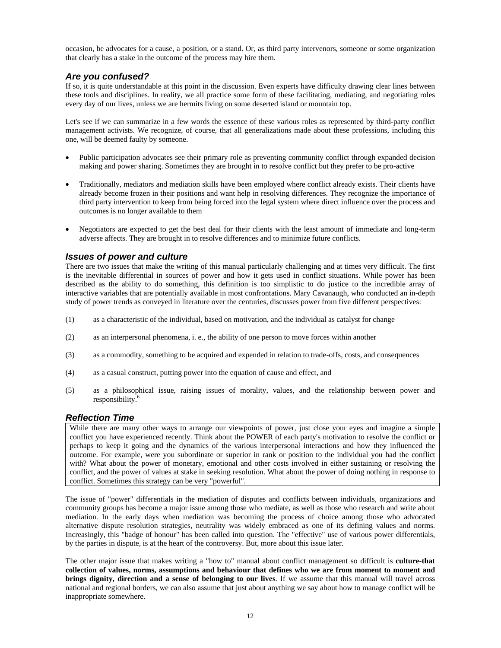occasion, be advocates for a cause, a position, or a stand. Or, as third party intervenors, someone or some organization that clearly has a stake in the outcome of the process may hire them.

#### *Are you confused?*

If so, it is quite understandable at this point in the discussion. Even experts have difficulty drawing clear lines between these tools and disciplines. In reality, we all practice some form of these facilitating, mediating, and negotiating roles every day of our lives, unless we are hermits living on some deserted island or mountain top.

Let's see if we can summarize in a few words the essence of these various roles as represented by third-party conflict management activists. We recognize, of course, that all generalizations made about these professions, including this one, will be deemed faulty by someone.

- Public participation advocates see their primary role as preventing community conflict through expanded decision making and power sharing. Sometimes they are brought in to resolve conflict but they prefer to be pro-active
- Traditionally, mediators and mediation skills have been employed where conflict already exists. Their clients have already become frozen in their positions and want help in resolving differences. They recognize the importance of third party intervention to keep from being forced into the legal system where direct influence over the process and outcomes is no longer available to them
- Negotiators are expected to get the best deal for their clients with the least amount of immediate and long-term adverse affects. They are brought in to resolve differences and to minimize future conflicts.

#### *Issues of power and culture*

There are two issues that make the writing of this manual particularly challenging and at times very difficult. The first is the inevitable differential in sources of power and how it gets used in conflict situations. While power has been described as the ability to do something, this definition is too simplistic to do justice to the incredible array of interactive variables that are potentially available in most confrontations. Mary Cavanaugh, who conducted an in-depth study of power trends as conveyed in literature over the centuries, discusses power from five different perspectives:

- (1) as a characteristic of the individual, based on motivation, and the individual as catalyst for change
- (2) as an interpersonal phenomena, i. e., the ability of one person to move forces within another
- (3) as a commodity, something to be acquired and expended in relation to trade-offs, costs, and consequences
- (4) as a casual construct, putting power into the equation of cause and effect, and
- (5) as a philosophical issue, raising issues of morality, values, and the relationship between power and responsibility.6

#### *Reflection Time*

While there are many other ways to arrange our viewpoints of power, just close your eyes and imagine a simple conflict you have experienced recently. Think about the POWER of each party's motivation to resolve the conflict or perhaps to keep it going and the dynamics of the various interpersonal interactions and how they influenced the outcome. For example, were you subordinate or superior in rank or position to the individual you had the conflict with? What about the power of monetary, emotional and other costs involved in either sustaining or resolving the conflict, and the power of values at stake in seeking resolution. What about the power of doing nothing in response to conflict. Sometimes this strategy can be very "powerful".

The issue of "power" differentials in the mediation of disputes and conflicts between individuals, organizations and community groups has become a major issue among those who mediate, as well as those who research and write about mediation. In the early days when mediation was becoming the process of choice among those who advocated alternative dispute resolution strategies, neutrality was widely embraced as one of its defining values and norms. Increasingly, this "badge of honour" has been called into question. The "effective" use of various power differentials, by the parties in dispute, is at the heart of the controversy. But, more about this issue later.

The other major issue that makes writing a "how to" manual about conflict management so difficult is **culture-that collection of values, norms, assumptions and behaviour that defines who we are from moment to moment and brings dignity, direction and a sense of belonging to our lives**. If we assume that this manual will travel across national and regional borders, we can also assume that just about anything we say about how to manage conflict will be inappropriate somewhere.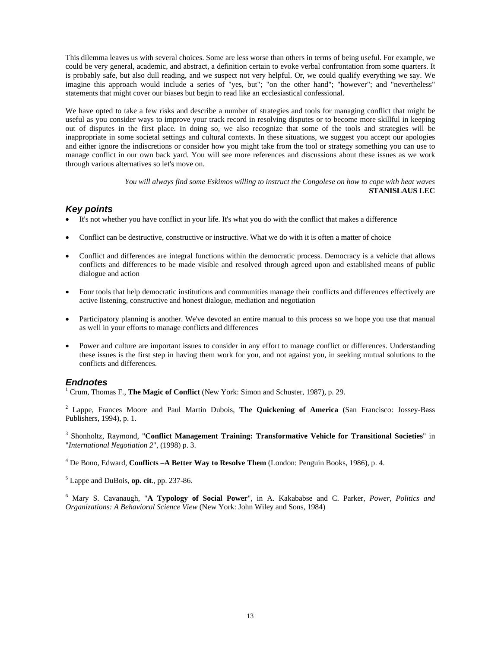This dilemma leaves us with several choices. Some are less worse than others in terms of being useful. For example, we could be very general, academic, and abstract, a definition certain to evoke verbal confrontation from some quarters. It is probably safe, but also dull reading, and we suspect not very helpful. Or, we could qualify everything we say. We imagine this approach would include a series of "yes, but"; "on the other hand"; "however"; and "nevertheless" statements that might cover our biases but begin to read like an ecclesiastical confessional.

We have opted to take a few risks and describe a number of strategies and tools for managing conflict that might be useful as you consider ways to improve your track record in resolving disputes or to become more skillful in keeping out of disputes in the first place. In doing so, we also recognize that some of the tools and strategies will be inappropriate in some societal settings and cultural contexts. In these situations, we suggest you accept our apologies and either ignore the indiscretions or consider how you might take from the tool or strategy something you can use to manage conflict in our own back yard. You will see more references and discussions about these issues as we work through various alternatives so let's move on.

> *You will always find some Eskimos willing to instruct the Congolese on how to cope with heat waves*  **STANISLAUS LEC**

#### *Key points*

- It's not whether you have conflict in your life. It's what you do with the conflict that makes a difference
- Conflict can be destructive, constructive or instructive. What we do with it is often a matter of choice
- Conflict and differences are integral functions within the democratic process. Democracy is a vehicle that allows conflicts and differences to be made visible and resolved through agreed upon and established means of public dialogue and action
- Four tools that help democratic institutions and communities manage their conflicts and differences effectively are active listening, constructive and honest dialogue, mediation and negotiation
- Participatory planning is another. We've devoted an entire manual to this process so we hope you use that manual as well in your efforts to manage conflicts and differences
- Power and culture are important issues to consider in any effort to manage conflict or differences. Understanding these issues is the first step in having them work for you, and not against you, in seeking mutual solutions to the conflicts and differences.

#### *Endnotes*

<sup>1</sup> Crum, Thomas F., **The Magic of Conflict** (New York: Simon and Schuster, 1987), p. 29.

2 Lappe, Frances Moore and Paul Martin Dubois, **The Quickening of America** (San Francisco: Jossey-Bass Publishers, 1994), p. 1.

3 Shonholtz, Raymond, "**Conflict Management Training: Transformative Vehicle for Transitional Societies**" in "*International Negotiation 2*", (1998) p. 3.

4 De Bono, Edward, **Conflicts –A Better Way to Resolve Them** (London: Penguin Books, 1986), p. 4.

5 Lappe and DuBois, **op. cit**., pp. 237-86.

6 Mary S. Cavanaugh, "**A Typology of Social Power**", in A. Kakababse and C. Parker, *Power, Politics and Organizations: A Behavioral Science View* (New York: John Wiley and Sons, 1984)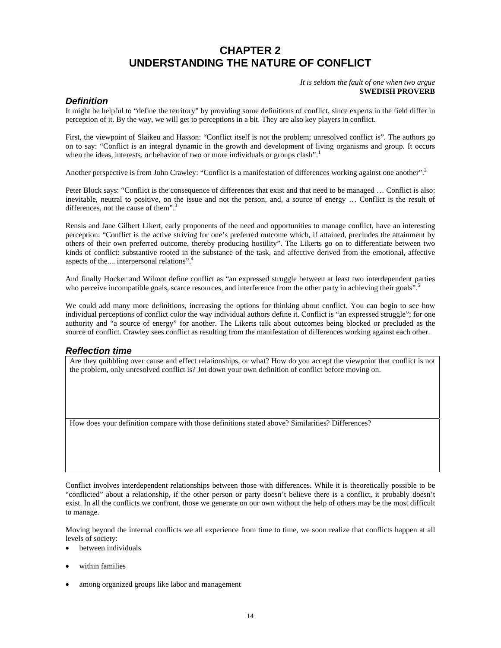## **CHAPTER 2 UNDERSTANDING THE NATURE OF CONFLICT**

*It is seldom the fault of one when two argue*  **SWEDISH PROVERB**

#### *Definition*

It might be helpful to "define the territory" by providing some definitions of conflict, since experts in the field differ in perception of it. By the way, we will get to perceptions in a bit. They are also key players in conflict.

First, the viewpoint of Slaikeu and Hasson: "Conflict itself is not the problem; unresolved conflict is". The authors go on to say: "Conflict is an integral dynamic in the growth and development of living organisms and group. It occurs when the ideas, interests, or behavior of two or more individuals or groups clash".<sup>1</sup>

Another perspective is from John Crawley: "Conflict is a manifestation of differences working against one another".<sup>2</sup>

Peter Block says: "Conflict is the consequence of differences that exist and that need to be managed … Conflict is also: inevitable, neutral to positive, on the issue and not the person, and, a source of energy … Conflict is the result of differences, not the cause of them".<sup>3</sup>

Rensis and Jane Gilbert Likert, early proponents of the need and opportunities to manage conflict, have an interesting perception: "Conflict is the active striving for one's preferred outcome which, if attained, precludes the attainment by others of their own preferred outcome, thereby producing hostility". The Likerts go on to differentiate between two kinds of conflict: substantive rooted in the substance of the task, and affective derived from the emotional, affective aspects of the.... interpersonal relations".4

And finally Hocker and Wilmot define conflict as "an expressed struggle between at least two interdependent parties who perceive incompatible goals, scarce resources, and interference from the other party in achieving their goals".<sup>5</sup>

We could add many more definitions, increasing the options for thinking about conflict. You can begin to see how individual perceptions of conflict color the way individual authors define it. Conflict is "an expressed struggle"; for one authority and "a source of energy" for another. The Likerts talk about outcomes being blocked or precluded as the source of conflict. Crawley sees conflict as resulting from the manifestation of differences working against each other.

#### *Reflection time*

Are they quibbling over cause and effect relationships, or what? How do you accept the viewpoint that conflict is not the problem, only unresolved conflict is? Jot down your own definition of conflict before moving on.

How does your definition compare with those definitions stated above? Similarities? Differences?

Conflict involves interdependent relationships between those with differences. While it is theoretically possible to be "conflicted" about a relationship, if the other person or party doesn't believe there is a conflict, it probably doesn't exist. In all the conflicts we confront, those we generate on our own without the help of others may be the most difficult to manage.

Moving beyond the internal conflicts we all experience from time to time, we soon realize that conflicts happen at all levels of society:

• between individuals

- within families
- among organized groups like labor and management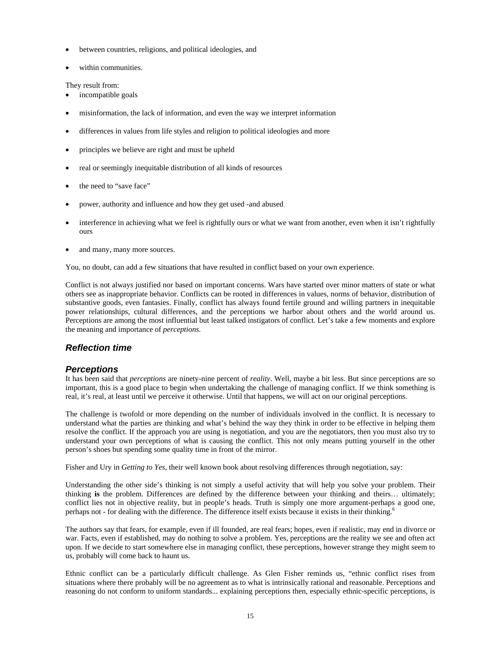- between countries, religions, and political ideologies, and
- within communities.

They result from:

- incompatible goals
- misinformation, the lack of information, and even the way we interpret information
- differences in values from life styles and religion to political ideologies and more
- principles we believe are right and must be upheld
- real or seemingly inequitable distribution of all kinds of resources
- the need to "save face"
- power, authority and influence and how they get used -and abused
- interference in achieving what we feel is rightfully ours or what we want from another, even when it isn't rightfully ours
- and many, many more sources.

You, no doubt, can add a few situations that have resulted in conflict based on your own experience.

Conflict is not always justified nor based on important concerns. Wars have started over minor matters of state or what others see as inappropriate behavior. Conflicts can be rooted in differences in values, norms of behavior, distribution of substantive goods, even fantasies. Finally, conflict has always found fertile ground and willing partners in inequitable power relationships, cultural differences, and the perceptions we harbor about others and the world around us. Perceptions are among the most influential but least talked instigators of conflict. Let's take a few moments and explore the meaning and importance of *perceptions.* 

#### *Reflection time*

#### *Perceptions*

It has been said that *perceptions* are ninety-nine percent of *reality*. Well, maybe a bit less. But since perceptions are so important, this is a good place to begin when undertaking the challenge of managing conflict. If we think something is real, it's real, at least until we perceive it otherwise. Until that happens, we will act on our original perceptions.

The challenge is twofold or more depending on the number of individuals involved in the conflict. It is necessary to understand what the parties are thinking and what's behind the way they think in order to be effective in helping them resolve the conflict. If the approach you are using is negotiation, and you are the negotiators, then you must also try to understand your own perceptions of what is causing the conflict. This not only means putting yourself in the other person's shoes but spending some quality time in front of the mirror.

Fisher and Ury in *Getting to Yes*, their well known book about resolving differences through negotiation, say:

Understanding the other side's thinking is not simply a useful activity that will help you solve your problem. Their thinking **is** the problem. Differences are defined by the difference between your thinking and theirs… ultimately; conflict lies not in objective reality, but in people's heads. Truth is simply one more argument-perhaps a good one, perhaps not - for dealing with the difference. The difference itself exists because it exists in their thinking.<sup>6</sup>

The authors say that fears, for example, even if ill founded, are real fears; hopes, even if realistic, may end in divorce or war. Facts, even if established, may do nothing to solve a problem. Yes, perceptions are the reality we see and often act upon. If we decide to start somewhere else in managing conflict, these perceptions, however strange they might seem to us, probably will come back to haunt us.

Ethnic conflict can be a particularly difficult challenge. As Glen Fisher reminds us, "ethnic conflict rises from situations where there probably will be no agreement as to what is intrinsically rational and reasonable. Perceptions and reasoning do not conform to uniform standards... explaining perceptions then, especially ethnic-specific perceptions, is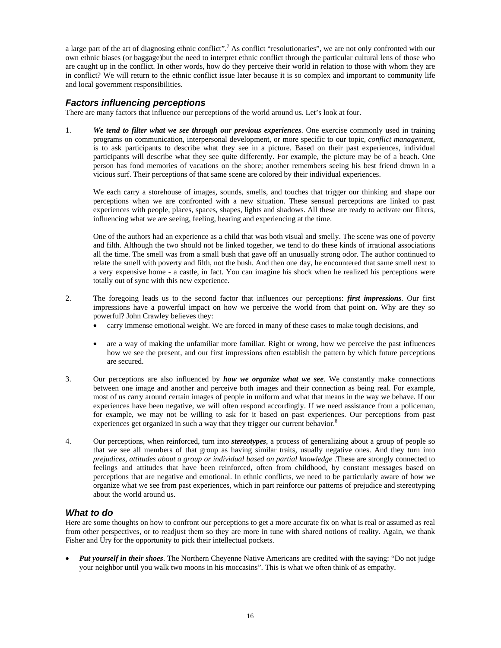a large part of the art of diagnosing ethnic conflict".<sup>7</sup> As conflict "resolutionaries", we are not only confronted with our own ethnic biases (or baggage)but the need to interpret ethnic conflict through the particular cultural lens of those who are caught up in the conflict. In other words, how do they perceive their world in relation to those with whom they are in conflict? We will return to the ethnic conflict issue later because it is so complex and important to community life and local government responsibilities.

#### *Factors influencing perceptions*

There are many factors that influence our perceptions of the world around us. Let's look at four.

1. *We tend to filter what we see through our previous experiences*. One exercise commonly used in training programs on communication, interpersonal development, or more specific to our topic, *conflict management*, is to ask participants to describe what they see in a picture. Based on their past experiences, individual participants will describe what they see quite differently. For example, the picture may be of a beach. One person has fond memories of vacations on the shore; another remembers seeing his best friend drown in a vicious surf. Their perceptions of that same scene are colored by their individual experiences.

We each carry a storehouse of images, sounds, smells, and touches that trigger our thinking and shape our perceptions when we are confronted with a new situation. These sensual perceptions are linked to past experiences with people, places, spaces, shapes, lights and shadows. All these are ready to activate our filters, influencing what we are seeing, feeling, hearing and experiencing at the time.

One of the authors had an experience as a child that was both visual and smelly. The scene was one of poverty and filth. Although the two should not be linked together, we tend to do these kinds of irrational associations all the time. The smell was from a small bush that gave off an unusually strong odor. The author continued to relate the smell with poverty and filth, not the bush. And then one day, he encountered that same smell next to a very expensive home - a castle, in fact. You can imagine his shock when he realized his perceptions were totally out of sync with this new experience.

- 2. The foregoing leads us to the second factor that influences our perceptions: *first impressions*. Our first impressions have a powerful impact on how we perceive the world from that point on. Why are they so powerful? John Crawley believes they:
	- carry immense emotional weight. We are forced in many of these cases to make tough decisions, and
	- are a way of making the unfamiliar more familiar. Right or wrong, how we perceive the past influences how we see the present, and our first impressions often establish the pattern by which future perceptions are secured.
- 3. Our perceptions are also influenced by *how we organize what we see*. We constantly make connections between one image and another and perceive both images and their connection as being real. For example, most of us carry around certain images of people in uniform and what that means in the way we behave. If our experiences have been negative, we will often respond accordingly. If we need assistance from a policeman, for example, we may not be willing to ask for it based on past experiences. Our perceptions from past experiences get organized in such a way that they trigger our current behavior.<sup>8</sup>
- 4. Our perceptions, when reinforced, turn into *stereotypes*, a process of generalizing about a group of people so that we see all members of that group as having similar traits, usually negative ones. And they turn into *prejudices, attitudes about a group or individual based on partial knowledge* .These are strongly connected to feelings and attitudes that have been reinforced, often from childhood, by constant messages based on perceptions that are negative and emotional. In ethnic conflicts, we need to be particularly aware of how we organize what we see from past experiences, which in part reinforce our patterns of prejudice and stereotyping about the world around us.

#### *What to do*

Here are some thoughts on how to confront our perceptions to get a more accurate fix on what is real or assumed as real from other perspectives, or to readjust them so they are more in tune with shared notions of reality. Again, we thank Fisher and Ury for the opportunity to pick their intellectual pockets.

• *Put yourself in their shoes*. The Northern Cheyenne Native Americans are credited with the saying: "Do not judge your neighbor until you walk two moons in his moccasins". This is what we often think of as empathy.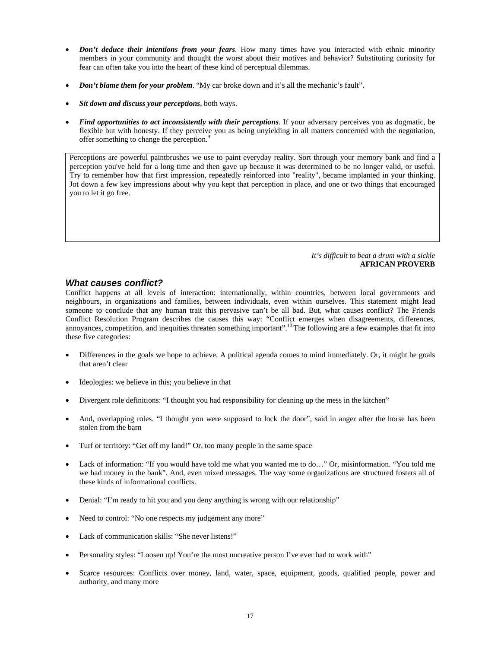- *Don't deduce their intentions from your fears*. How many times have you interacted with ethnic minority members in your community and thought the worst about their motives and behavior? Substituting curiosity for fear can often take you into the heart of these kind of perceptual dilemmas.
- *Don't blame them for your problem*. "My car broke down and it's all the mechanic's fault".
- *Sit down and discuss your perceptions*, both ways.
- *Find opportunities to act inconsistently with their perceptions*. If your adversary perceives you as dogmatic, be flexible but with honesty. If they perceive you as being unyielding in all matters concerned with the negotiation, offer something to change the perception.<sup>9</sup>

Perceptions are powerful paintbrushes we use to paint everyday reality. Sort through your memory bank and find a perception you've held for a long time and then gave up because it was determined to be no longer valid, or useful. Try to remember how that first impression, repeatedly reinforced into "reality", became implanted in your thinking. Jot down a few key impressions about why you kept that perception in place, and one or two things that encouraged you to let it go free.

#### *It's difficult to beat a drum with a sickle*  **AFRICAN PROVERB**

#### *What causes conflict?*

Conflict happens at all levels of interaction: internationally, within countries, between local governments and neighbours, in organizations and families, between individuals, even within ourselves. This statement might lead someone to conclude that any human trait this pervasive can't be all bad. But, what causes conflict? The Friends Conflict Resolution Program describes the causes this way: "Conflict emerges when disagreements, differences, annoyances, competition, and inequities threaten something important".<sup>10</sup> The following are a few examples that fit into these five categories:

- Differences in the goals we hope to achieve. A political agenda comes to mind immediately. Or, it might be goals that aren't clear
- Ideologies: we believe in this; you believe in that
- Divergent role definitions: "I thought you had responsibility for cleaning up the mess in the kitchen"
- And, overlapping roles. "I thought you were supposed to lock the door", said in anger after the horse has been stolen from the barn
- Turf or territory: "Get off my land!" Or, too many people in the same space
- Lack of information: "If you would have told me what you wanted me to do..." Or, misinformation. "You told me we had money in the bank". And, even mixed messages. The way some organizations are structured fosters all of these kinds of informational conflicts.
- Denial: "I'm ready to hit you and you deny anything is wrong with our relationship"
- Need to control: "No one respects my judgement any more"
- Lack of communication skills: "She never listens!"
- Personality styles: "Loosen up! You're the most uncreative person I've ever had to work with"
- Scarce resources: Conflicts over money, land, water, space, equipment, goods, qualified people, power and authority, and many more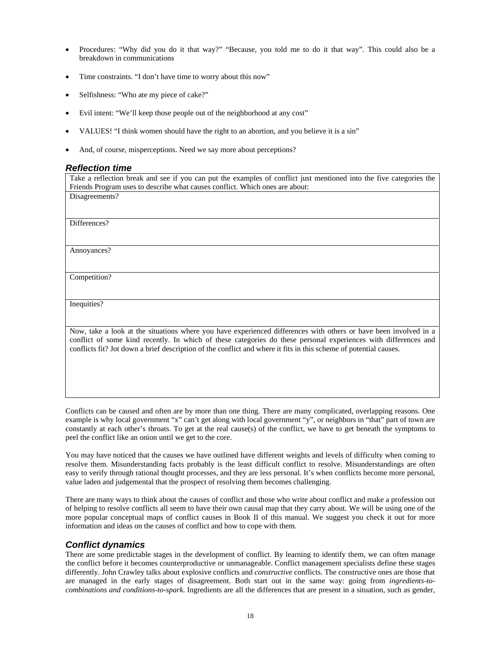- Procedures: "Why did you do it that way?" "Because, you told me to do it that way". This could also be a breakdown in communications
- Time constraints. "I don't have time to worry about this now"
- Selfishness: "Who ate my piece of cake?"
- Evil intent: "We'll keep those people out of the neighborhood at any cost"
- VALUES! "I think women should have the right to an abortion, and you believe it is a sin"
- And, of course, misperceptions. Need we say more about perceptions?

#### *Reflection time*

Take a reflection break and see if you can put the examples of conflict just mentioned into the five categories the Friends Program uses to describe what causes conflict. Which ones are about: Disagreements?

Differences?

Annoyances?

Competition?

Inequities?

Now, take a look at the situations where you have experienced differences with others or have been involved in a conflict of some kind recently. In which of these categories do these personal experiences with differences and conflicts fit? Jot down a brief description of the conflict and where it fits in this scheme of potential causes.

Conflicts can be caused and often are by more than one thing. There are many complicated, overlapping reasons. One example is why local government "x" can't get along with local government "y", or neighbors in "that" part of town are constantly at each other's throats. To get at the real cause(s) of the conflict, we have to get beneath the symptoms to peel the conflict like an onion until we get to the core.

You may have noticed that the causes we have outlined have different weights and levels of difficulty when coming to resolve them. Misunderstanding facts probably is the least difficult conflict to resolve. Misunderstandings are often easy to verify through rational thought processes, and they are less personal. It's when conflicts become more personal, value laden and judgemental that the prospect of resolving them becomes challenging.

There are many ways to think about the causes of conflict and those who write about conflict and make a profession out of helping to resolve conflicts all seem to have their own causal map that they carry about. We will be using one of the more popular conceptual maps of conflict causes in Book II of this manual. We suggest you check it out for more information and ideas on the causes of conflict and how to cope with them.

#### *Conflict dynamics*

There are some predictable stages in the development of conflict. By learning to identify them, we can often manage the conflict before it becomes counterproductive or unmanageable. Conflict management specialists define these stages differently. John Crawley talks about explosive conflicts and *constructive* conflicts. The constructive ones are those that are managed in the early stages of disagreement. Both start out in the same way: going from *ingredients-tocombinations and conditions-to-spark*. Ingredients are all the differences that are present in a situation, such as gender,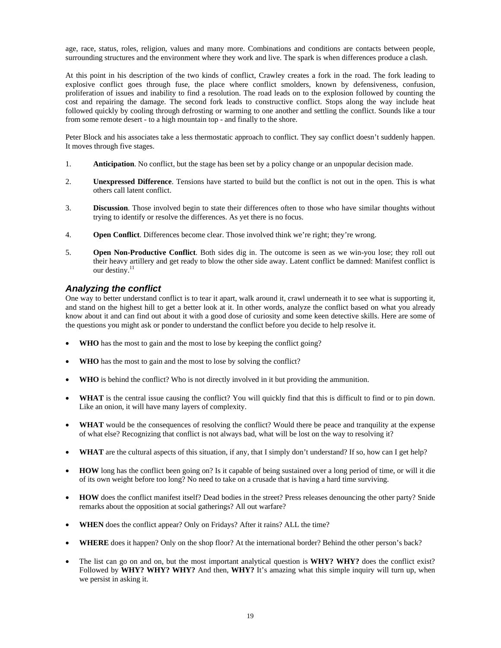age, race, status, roles, religion, values and many more. Combinations and conditions are contacts between people, surrounding structures and the environment where they work and live. The spark is when differences produce a clash.

At this point in his description of the two kinds of conflict, Crawley creates a fork in the road. The fork leading to explosive conflict goes through fuse, the place where conflict smolders, known by defensiveness, confusion, proliferation of issues and inability to find a resolution. The road leads on to the explosion followed by counting the cost and repairing the damage. The second fork leads to constructive conflict. Stops along the way include heat followed quickly by cooling through defrosting or warming to one another and settling the conflict. Sounds like a tour from some remote desert - to a high mountain top - and finally to the shore.

Peter Block and his associates take a less thermostatic approach to conflict. They say conflict doesn't suddenly happen. It moves through five stages.

- 1. **Anticipation**. No conflict, but the stage has been set by a policy change or an unpopular decision made.
- 2. **Unexpressed Difference**. Tensions have started to build but the conflict is not out in the open. This is what others call latent conflict.
- 3. **Discussion**. Those involved begin to state their differences often to those who have similar thoughts without trying to identify or resolve the differences. As yet there is no focus.
- 4. **Open Conflict**. Differences become clear. Those involved think we're right; they're wrong.
- 5. **Open Non-Productive Conflict**. Both sides dig in. The outcome is seen as we win-you lose; they roll out their heavy artillery and get ready to blow the other side away. Latent conflict be damned: Manifest conflict is our destiny. $^{11}$

#### *Analyzing the conflict*

One way to better understand conflict is to tear it apart, walk around it, crawl underneath it to see what is supporting it, and stand on the highest hill to get a better look at it. In other words, analyze the conflict based on what you already know about it and can find out about it with a good dose of curiosity and some keen detective skills. Here are some of the questions you might ask or ponder to understand the conflict before you decide to help resolve it.

- **WHO** has the most to gain and the most to lose by keeping the conflict going?
- WHO has the most to gain and the most to lose by solving the conflict?
- **WHO** is behind the conflict? Who is not directly involved in it but providing the ammunition.
- **WHAT** is the central issue causing the conflict? You will quickly find that this is difficult to find or to pin down. Like an onion, it will have many layers of complexity.
- WHAT would be the consequences of resolving the conflict? Would there be peace and tranquility at the expense of what else? Recognizing that conflict is not always bad, what will be lost on the way to resolving it?
- **WHAT** are the cultural aspects of this situation, if any, that I simply don't understand? If so, how can I get help?
- **HOW** long has the conflict been going on? Is it capable of being sustained over a long period of time, or will it die of its own weight before too long? No need to take on a crusade that is having a hard time surviving.
- **HOW** does the conflict manifest itself? Dead bodies in the street? Press releases denouncing the other party? Snide remarks about the opposition at social gatherings? All out warfare?
- **WHEN** does the conflict appear? Only on Fridays? After it rains? ALL the time?
- **WHERE** does it happen? Only on the shop floor? At the international border? Behind the other person's back?
- The list can go on and on, but the most important analytical question is **WHY? WHY?** does the conflict exist? Followed by **WHY? WHY? WHY?** And then, **WHY?** It's amazing what this simple inquiry will turn up, when we persist in asking it.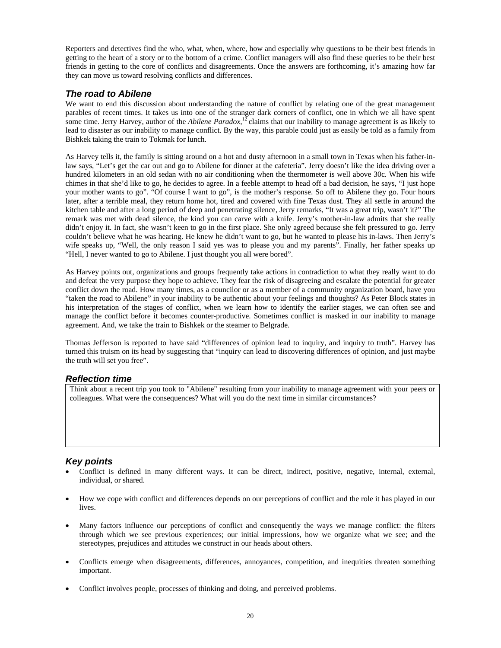Reporters and detectives find the who, what, when, where, how and especially why questions to be their best friends in getting to the heart of a story or to the bottom of a crime. Conflict managers will also find these queries to be their best friends in getting to the core of conflicts and disagreements. Once the answers are forthcoming, it's amazing how far they can move us toward resolving conflicts and differences.

#### *The road to Abilene*

We want to end this discussion about understanding the nature of conflict by relating one of the great management parables of recent times. It takes us into one of the stranger dark corners of conflict, one in which we all have spent some time. Jerry Harvey, author of the *Abilene Paradox,*12 claims that our inability to manage agreement is as likely to lead to disaster as our inability to manage conflict. By the way, this parable could just as easily be told as a family from Bishkek taking the train to Tokmak for lunch.

As Harvey tells it, the family is sitting around on a hot and dusty afternoon in a small town in Texas when his father-inlaw says, "Let's get the car out and go to Abilene for dinner at the cafeteria". Jerry doesn't like the idea driving over a hundred kilometers in an old sedan with no air conditioning when the thermometer is well above 30c. When his wife chimes in that she'd like to go, he decides to agree. In a feeble attempt to head off a bad decision, he says, "I just hope your mother wants to go". "Of course I want to go", is the mother's response. So off to Abilene they go. Four hours later, after a terrible meal, they return home hot, tired and covered with fine Texas dust. They all settle in around the kitchen table and after a long period of deep and penetrating silence, Jerry remarks, "It was a great trip, wasn't it?" The remark was met with dead silence, the kind you can carve with a knife. Jerry's mother-in-law admits that she really didn't enjoy it. In fact, she wasn't keen to go in the first place. She only agreed because she felt pressured to go. Jerry couldn't believe what he was hearing. He knew he didn't want to go, but he wanted to please his in-laws. Then Jerry's wife speaks up, "Well, the only reason I said yes was to please you and my parents". Finally, her father speaks up "Hell, I never wanted to go to Abilene. I just thought you all were bored".

As Harvey points out, organizations and groups frequently take actions in contradiction to what they really want to do and defeat the very purpose they hope to achieve. They fear the risk of disagreeing and escalate the potential for greater conflict down the road. How many times, as a councilor or as a member of a community organization board, have you "taken the road to Abilene" in your inability to be authentic about your feelings and thoughts? As Peter Block states in his interpretation of the stages of conflict, when we learn how to identify the earlier stages, we can often see and manage the conflict before it becomes counter-productive. Sometimes conflict is masked in our inability to manage agreement. And, we take the train to Bishkek or the steamer to Belgrade.

Thomas Jefferson is reported to have said "differences of opinion lead to inquiry, and inquiry to truth". Harvey has turned this truism on its head by suggesting that "inquiry can lead to discovering differences of opinion, and just maybe the truth will set you free".

#### *Reflection time*

Think about a recent trip you took to "Abilene" resulting from your inability to manage agreement with your peers or colleagues. What were the consequences? What will you do the next time in similar circumstances?

#### *Key points*

- Conflict is defined in many different ways. It can be direct, indirect, positive, negative, internal, external, individual, or shared.
- How we cope with conflict and differences depends on our perceptions of conflict and the role it has played in our lives.
- Many factors influence our perceptions of conflict and consequently the ways we manage conflict: the filters through which we see previous experiences; our initial impressions, how we organize what we see; and the stereotypes, prejudices and attitudes we construct in our heads about others.
- Conflicts emerge when disagreements, differences, annoyances, competition, and inequities threaten something important.
- Conflict involves people, processes of thinking and doing, and perceived problems.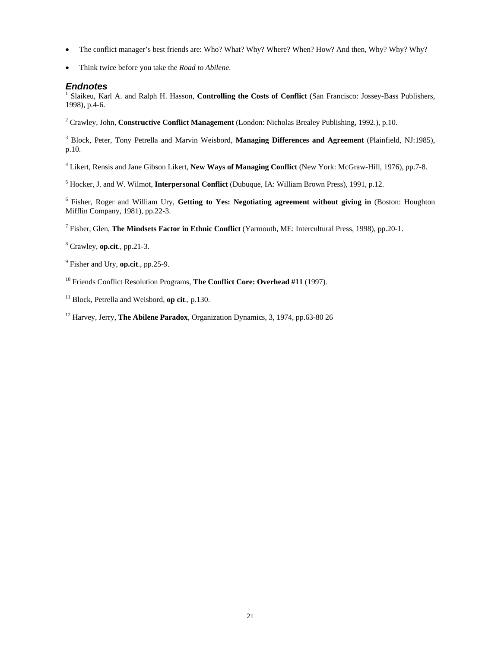- The conflict manager's best friends are: Who? What? Why? Where? When? How? And then, Why? Why? Why?
- Think twice before you take the *Road to Abilene*.

#### *Endnotes*

<sup>1</sup> Slaikeu, Karl A. and Ralph H. Hasson, Controlling the Costs of Conflict (San Francisco: Jossey-Bass Publishers, 1998), p.4-6.

2 Crawley, John, **Constructive Conflict Management** (London: Nicholas Brealey Publishing, 1992.), p.10.

<sup>3</sup> Block, Peter, Tony Petrella and Marvin Weisbord, Managing Differences and Agreement (Plainfield, NJ:1985), p.10.

4 Likert, Rensis and Jane Gibson Likert, **New Ways of Managing Conflict** (New York: McGraw-Hill, 1976), pp.7-8.

5 Hocker, J. and W. Wilmot, **Interpersonal Conflict** (Dubuque, IA: William Brown Press), 1991, p.12.

6 Fisher, Roger and William Ury, **Getting to Yes: Negotiating agreement without giving in** (Boston: Houghton Mifflin Company, 1981), pp.22-3.

7 Fisher, Glen, **The Mindsets Factor in Ethnic Conflict** (Yarmouth, ME: Intercultural Press, 1998), pp.20-1.

8 Crawley, **op.cit**., pp.21-3.

9 Fisher and Ury, **op.cit**., pp.25-9.

10 Friends Conflict Resolution Programs, **The Conflict Core: Overhead #11** (1997).

11 Block, Petrella and Weisbord, **op cit**., p.130.

12 Harvey, Jerry, **The Abilene Paradox**, Organization Dynamics, 3, 1974, pp.63-80 26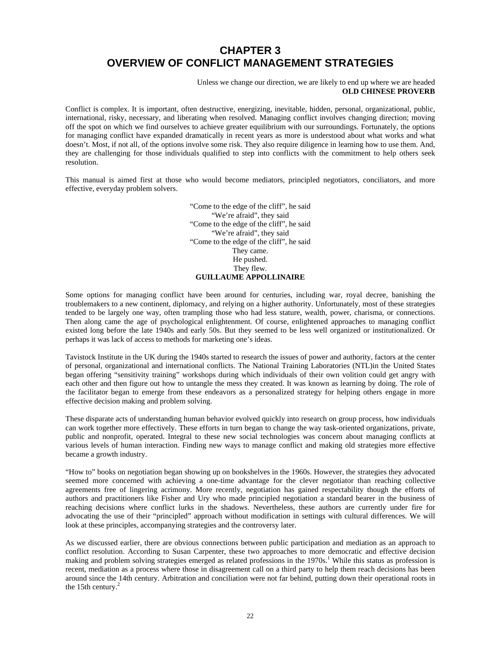## **CHAPTER 3 OVERVIEW OF CONFLICT MANAGEMENT STRATEGIES**

Unless we change our direction, we are likely to end up where we are headed **OLD CHINESE PROVERB** 

Conflict is complex. It is important, often destructive, energizing, inevitable, hidden, personal, organizational, public, international, risky, necessary, and liberating when resolved. Managing conflict involves changing direction; moving off the spot on which we find ourselves to achieve greater equilibrium with our surroundings. Fortunately, the options for managing conflict have expanded dramatically in recent years as more is understood about what works and what doesn't. Most, if not all, of the options involve some risk. They also require diligence in learning how to use them. And, they are challenging for those individuals qualified to step into conflicts with the commitment to help others seek resolution.

This manual is aimed first at those who would become mediators, principled negotiators, conciliators, and more effective, everyday problem solvers.

> "Come to the edge of the cliff", he said "We're afraid", they said "Come to the edge of the cliff", he said "We're afraid", they said "Come to the edge of the cliff", he said They came. He pushed. They flew. **GUILLAUME APPOLLINAIRE**

Some options for managing conflict have been around for centuries, including war, royal decree, banishing the troublemakers to a new continent, diplomacy, and relying on a higher authority. Unfortunately, most of these strategies tended to be largely one way, often trampling those who had less stature, wealth, power, charisma, or connections. Then along came the age of psychological enlightenment. Of course, enlightened approaches to managing conflict existed long before the late 1940s and early 50s. But they seemed to be less well organized or institutionalized. Or perhaps it was lack of access to methods for marketing one's ideas.

Tavistock Institute in the UK during the 1940s started to research the issues of power and authority, factors at the center of personal, organizational and international conflicts. The National Training Laboratories (NTL)in the United States began offering "sensitivity training" workshops during which individuals of their own volition could get angry with each other and then figure out how to untangle the mess they created. It was known as learning by doing. The role of the facilitator began to emerge from these endeavors as a personalized strategy for helping others engage in more effective decision making and problem solving.

These disparate acts of understanding human behavior evolved quickly into research on group process, how individuals can work together more effectively. These efforts in turn began to change the way task-oriented organizations, private, public and nonprofit, operated. Integral to these new social technologies was concern about managing conflicts at various levels of human interaction. Finding new ways to manage conflict and making old strategies more effective became a growth industry.

"How to" books on negotiation began showing up on bookshelves in the 1960s. However, the strategies they advocated seemed more concerned with achieving a one-time advantage for the clever negotiator than reaching collective agreements free of lingering acrimony. More recently, negotiation has gained respectability though the efforts of authors and practitioners like Fisher and Ury who made principled negotiation a standard bearer in the business of reaching decisions where conflict lurks in the shadows. Nevertheless, these authors are currently under fire for advocating the use of their "principled" approach without modification in settings with cultural differences. We will look at these principles, accompanying strategies and the controversy later.

As we discussed earlier, there are obvious connections between public participation and mediation as an approach to conflict resolution. According to Susan Carpenter, these two approaches to more democratic and effective decision making and problem solving strategies emerged as related professions in the 1970s.<sup>1</sup> While this status as profession is recent, mediation as a process where those in disagreement call on a third party to help them reach decisions has been around since the 14th century. Arbitration and conciliation were not far behind, putting down their operational roots in the 15th century. $^{2}$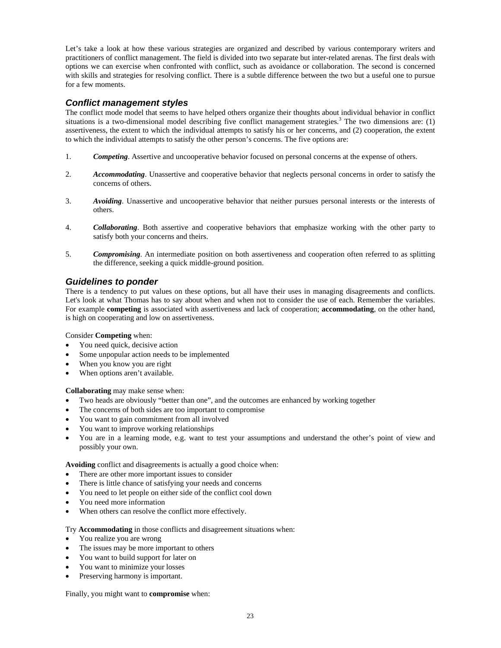Let's take a look at how these various strategies are organized and described by various contemporary writers and practitioners of conflict management. The field is divided into two separate but inter-related arenas. The first deals with options we can exercise when confronted with conflict, such as avoidance or collaboration. The second is concerned with skills and strategies for resolving conflict. There is a subtle difference between the two but a useful one to pursue for a few moments.

#### *Conflict management styles*

The conflict mode model that seems to have helped others organize their thoughts about individual behavior in conflict situations is a two-dimensional model describing five conflict management strategies.<sup>3</sup> The two dimensions are: (1) assertiveness, the extent to which the individual attempts to satisfy his or her concerns, and (2) cooperation, the extent to which the individual attempts to satisfy the other person's concerns. The five options are:

- 1. *Competing*. Assertive and uncooperative behavior focused on personal concerns at the expense of others.
- 2. *Accommodating*. Unassertive and cooperative behavior that neglects personal concerns in order to satisfy the concerns of others.
- 3. *Avoiding*. Unassertive and uncooperative behavior that neither pursues personal interests or the interests of others.
- 4. *Collaborating*. Both assertive and cooperative behaviors that emphasize working with the other party to satisfy both your concerns and theirs.
- 5. *Compromising*. An intermediate position on both assertiveness and cooperation often referred to as splitting the difference, seeking a quick middle-ground position.

#### *Guidelines to ponder*

There is a tendency to put values on these options, but all have their uses in managing disagreements and conflicts. Let's look at what Thomas has to say about when and when not to consider the use of each. Remember the variables. For example **competing** is associated with assertiveness and lack of cooperation; **accommodating**, on the other hand, is high on cooperating and low on assertiveness.

#### Consider **Competing** when:

- You need quick, decisive action
- Some unpopular action needs to be implemented
- When you know you are right
- When options aren't available.

#### **Collaborating** may make sense when:

- Two heads are obviously "better than one", and the outcomes are enhanced by working together
- The concerns of both sides are too important to compromise
- You want to gain commitment from all involved
- You want to improve working relationships
- You are in a learning mode, e.g. want to test your assumptions and understand the other's point of view and possibly your own.

**Avoiding** conflict and disagreements is actually a good choice when:

- There are other more important issues to consider
- There is little chance of satisfying your needs and concerns
- You need to let people on either side of the conflict cool down
- You need more information
- When others can resolve the conflict more effectively.

#### Try **Accommodating** in those conflicts and disagreement situations when:

- You realize you are wrong
- The issues may be more important to others
- You want to build support for later on
- You want to minimize your losses
- Preserving harmony is important.

Finally, you might want to **compromise** when: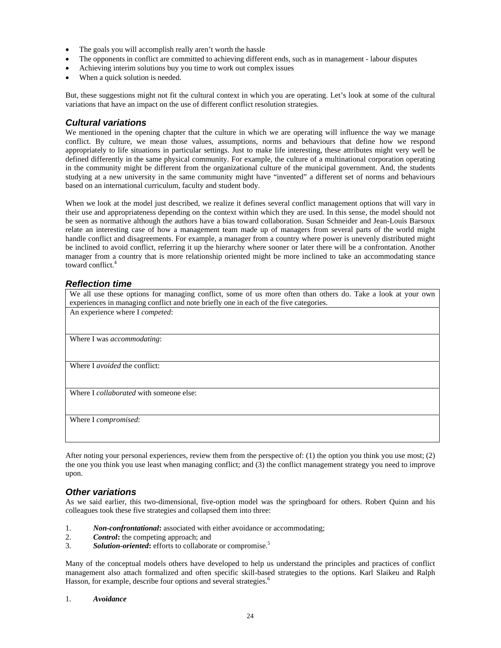- The goals you will accomplish really aren't worth the hassle
- The opponents in conflict are committed to achieving different ends, such as in management labour disputes
- Achieving interim solutions buy you time to work out complex issues
- When a quick solution is needed.

But, these suggestions might not fit the cultural context in which you are operating. Let's look at some of the cultural variations that have an impact on the use of different conflict resolution strategies.

#### *Cultural variations*

We mentioned in the opening chapter that the culture in which we are operating will influence the way we manage conflict. By culture, we mean those values, assumptions, norms and behaviours that define how we respond appropriately to life situations in particular settings. Just to make life interesting, these attributes might very well be defined differently in the same physical community. For example, the culture of a multinational corporation operating in the community might be different from the organizational culture of the municipal government. And, the students studying at a new university in the same community might have "invented" a different set of norms and behaviours based on an international curriculum, faculty and student body.

When we look at the model just described, we realize it defines several conflict management options that will vary in their use and appropriateness depending on the context within which they are used. In this sense, the model should not be seen as normative although the authors have a bias toward collaboration. Susan Schneider and Jean-Louis Barsoux relate an interesting case of how a management team made up of managers from several parts of the world might handle conflict and disagreements. For example, a manager from a country where power is unevenly distributed might be inclined to avoid conflict, referring it up the hierarchy where sooner or later there will be a confrontation. Another manager from a country that is more relationship oriented might be more inclined to take an accommodating stance toward conflict.<sup>4</sup>

#### *Reflection time*

| We all use these options for managing conflict, some of us more often than others do. Take a look at your own<br>experiences in managing conflict and note briefly one in each of the five categories. |
|--------------------------------------------------------------------------------------------------------------------------------------------------------------------------------------------------------|
| An experience where I competed:                                                                                                                                                                        |
|                                                                                                                                                                                                        |
| Where I was <i>accommodating</i> :                                                                                                                                                                     |
|                                                                                                                                                                                                        |
| Where I <i>avoided</i> the conflict:                                                                                                                                                                   |
|                                                                                                                                                                                                        |
| Where I <i>collaborated</i> with someone else:                                                                                                                                                         |
|                                                                                                                                                                                                        |
| Where I compromised:                                                                                                                                                                                   |
|                                                                                                                                                                                                        |

After noting your personal experiences, review them from the perspective of: (1) the option you think you use most; (2) the one you think you use least when managing conflict; and (3) the conflict management strategy you need to improve upon.

#### *Other variations*

As we said earlier, this two-dimensional, five-option model was the springboard for others. Robert Quinn and his colleagues took these five strategies and collapsed them into three:

- 1. **Non-confrontational:** associated with either avoidance or accommodating;<br>2. **Control:** the competing approach: and
- *Control*: the competing approach; and
- 3. *Solution-oriented***:** efforts to collaborate or compromise.5

Many of the conceptual models others have developed to help us understand the principles and practices of conflict management also attach formalized and often specific skill-based strategies to the options. Karl Slaikeu and Ralph Hasson, for example, describe four options and several strategies.<sup>6</sup>

#### 1. *Avoidance*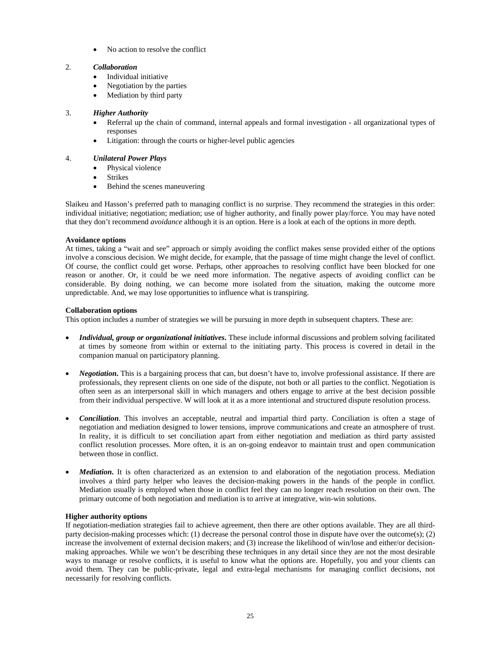• No action to resolve the conflict

#### 2. *Collaboration*

- Individual initiative
- Negotiation by the parties
- Mediation by third party

#### 3. *Higher Authority*

- Referral up the chain of command, internal appeals and formal investigation all organizational types of responses
- Litigation: through the courts or higher-level public agencies

#### 4. *Unilateral Power Plays*

- Physical violence
- Strikes
- Behind the scenes maneuvering

Slaikeu and Hasson's preferred path to managing conflict is no surprise. They recommend the strategies in this order: individual initiative; negotiation; mediation; use of higher authority, and finally power play/force. You may have noted that they don't recommend *avoidance* although it is an option. Here is a look at each of the options in more depth.

#### **Avoidance options**

At times, taking a "wait and see" approach or simply avoiding the conflict makes sense provided either of the options involve a conscious decision. We might decide, for example, that the passage of time might change the level of conflict. Of course, the conflict could get worse. Perhaps, other approaches to resolving conflict have been blocked for one reason or another. Or, it could be we need more information. The negative aspects of avoiding conflict can be considerable. By doing nothing, we can become more isolated from the situation, making the outcome more unpredictable. And, we may lose opportunities to influence what is transpiring.

#### **Collaboration options**

This option includes a number of strategies we will be pursuing in more depth in subsequent chapters. These are:

- *Individual, group or organizational initiatives***.** These include informal discussions and problem solving facilitated at times by someone from within or external to the initiating party. This process is covered in detail in the companion manual on participatory planning.
- *Negotiation***.** This is a bargaining process that can, but doesn't have to, involve professional assistance. If there are professionals, they represent clients on one side of the dispute, not both or all parties to the conflict. Negotiation is often seen as an interpersonal skill in which managers and others engage to arrive at the best decision possible from their individual perspective. W will look at it as a more intentional and structured dispute resolution process.
- *Conciliation*. This involves an acceptable, neutral and impartial third party. Conciliation is often a stage of negotiation and mediation designed to lower tensions, improve communications and create an atmosphere of trust. In reality, it is difficult to set conciliation apart from either negotiation and mediation as third party assisted conflict resolution processes. More often, it is an on-going endeavor to maintain trust and open communication between those in conflict.
- *Mediation*. It is often characterized as an extension to and elaboration of the negotiation process. Mediation involves a third party helper who leaves the decision-making powers in the hands of the people in conflict. Mediation usually is employed when those in conflict feel they can no longer reach resolution on their own. The primary outcome of both negotiation and mediation is to arrive at integrative, win-win solutions.

#### **Higher authority options**

If negotiation-mediation strategies fail to achieve agreement, then there are other options available. They are all thirdparty decision-making processes which: (1) decrease the personal control those in dispute have over the outcome(s); (2) increase the involvement of external decision makers; and (3) increase the likelihood of win/lose and either/or decisionmaking approaches. While we won't be describing these techniques in any detail since they are not the most desirable ways to manage or resolve conflicts, it is useful to know what the options are. Hopefully, you and your clients can avoid them. They can be public-private, legal and extra-legal mechanisms for managing conflict decisions, not necessarily for resolving conflicts.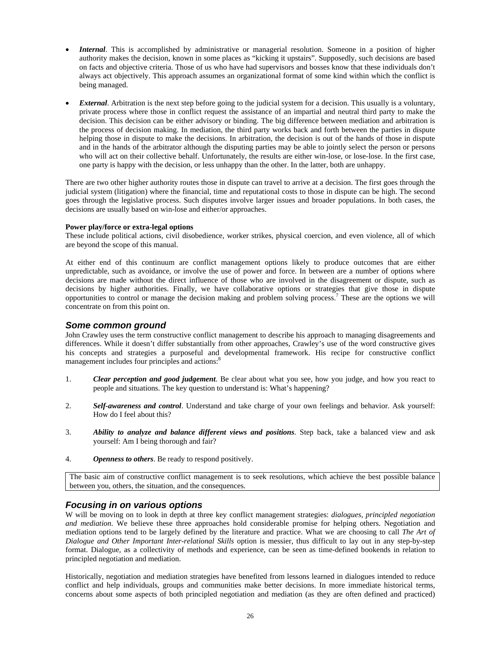- *Internal*. This is accomplished by administrative or managerial resolution. Someone in a position of higher authority makes the decision, known in some places as "kicking it upstairs". Supposedly, such decisions are based on facts and objective criteria. Those of us who have had supervisors and bosses know that these individuals don't always act objectively. This approach assumes an organizational format of some kind within which the conflict is being managed.
- *External*. Arbitration is the next step before going to the judicial system for a decision. This usually is a voluntary, private process where those in conflict request the assistance of an impartial and neutral third party to make the decision. This decision can be either advisory or binding. The big difference between mediation and arbitration is the process of decision making. In mediation, the third party works back and forth between the parties in dispute helping those in dispute to make the decisions. In arbitration, the decision is out of the hands of those in dispute and in the hands of the arbitrator although the disputing parties may be able to jointly select the person or persons who will act on their collective behalf. Unfortunately, the results are either win-lose, or lose-lose. In the first case, one party is happy with the decision, or less unhappy than the other. In the latter, both are unhappy.

There are two other higher authority routes those in dispute can travel to arrive at a decision. The first goes through the judicial system (litigation) where the financial, time and reputational costs to those in dispute can be high. The second goes through the legislative process. Such disputes involve larger issues and broader populations. In both cases, the decisions are usually based on win-lose and either/or approaches.

#### **Power play/force or extra-legal options**

These include political actions, civil disobedience, worker strikes, physical coercion, and even violence, all of which are beyond the scope of this manual.

At either end of this continuum are conflict management options likely to produce outcomes that are either unpredictable, such as avoidance, or involve the use of power and force. In between are a number of options where decisions are made without the direct influence of those who are involved in the disagreement or dispute, such as decisions by higher authorities. Finally, we have collaborative options or strategies that give those in dispute opportunities to control or manage the decision making and problem solving process.7 These are the options we will concentrate on from this point on.

#### *Some common ground*

John Crawley uses the term constructive conflict management to describe his approach to managing disagreements and differences. While it doesn't differ substantially from other approaches, Crawley's use of the word constructive gives his concepts and strategies a purposeful and developmental framework. His recipe for constructive conflict management includes four principles and actions:<sup>8</sup>

- 1. *Clear perception and good judgement*. Be clear about what you see, how you judge, and how you react to people and situations. The key question to understand is: What's happening?
- 2. *Self-awareness and control*. Understand and take charge of your own feelings and behavior. Ask yourself: How do I feel about this?
- 3. *Ability to analyze and balance different views and positions*. Step back, take a balanced view and ask yourself: Am I being thorough and fair?
- 4. *Openness to others*. Be ready to respond positively.

The basic aim of constructive conflict management is to seek resolutions, which achieve the best possible balance between you, others, the situation, and the consequences.

#### *Focusing in on various options*

W will be moving on to look in depth at three key conflict management strategies: *dialogues, principled negotiation and mediation*. We believe these three approaches hold considerable promise for helping others. Negotiation and mediation options tend to be largely defined by the literature and practice. What we are choosing to call *The Art of Dialogue and Other Important Inter-relational Skills* option is messier, thus difficult to lay out in any step-by-step format. Dialogue, as a collectivity of methods and experience, can be seen as time-defined bookends in relation to principled negotiation and mediation.

Historically, negotiation and mediation strategies have benefited from lessons learned in dialogues intended to reduce conflict and help individuals, groups and communities make better decisions. In more immediate historical terms, concerns about some aspects of both principled negotiation and mediation (as they are often defined and practiced)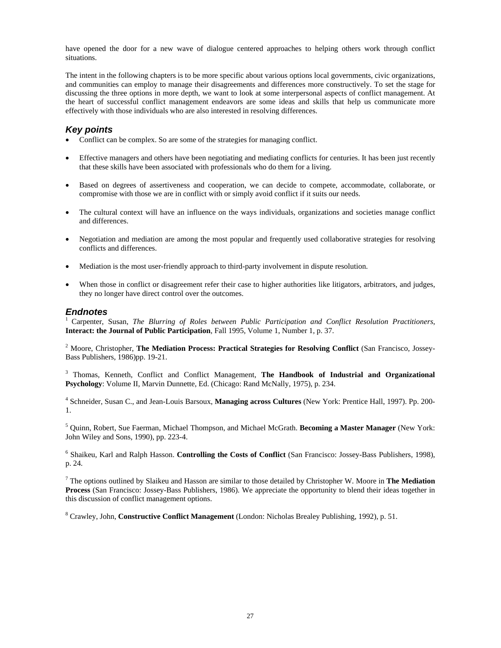have opened the door for a new wave of dialogue centered approaches to helping others work through conflict situations.

The intent in the following chapters is to be more specific about various options local governments, civic organizations, and communities can employ to manage their disagreements and differences more constructively. To set the stage for discussing the three options in more depth, we want to look at some interpersonal aspects of conflict management. At the heart of successful conflict management endeavors are some ideas and skills that help us communicate more effectively with those individuals who are also interested in resolving differences.

#### *Key points*

- Conflict can be complex. So are some of the strategies for managing conflict.
- Effective managers and others have been negotiating and mediating conflicts for centuries. It has been just recently that these skills have been associated with professionals who do them for a living.
- Based on degrees of assertiveness and cooperation, we can decide to compete, accommodate, collaborate, or compromise with those we are in conflict with or simply avoid conflict if it suits our needs.
- The cultural context will have an influence on the ways individuals, organizations and societies manage conflict and differences.
- Negotiation and mediation are among the most popular and frequently used collaborative strategies for resolving conflicts and differences.
- Mediation is the most user-friendly approach to third-party involvement in dispute resolution.
- When those in conflict or disagreement refer their case to higher authorities like litigators, arbitrators, and judges, they no longer have direct control over the outcomes.

#### *Endnotes*

1 Carpenter, Susan, *The Blurring of Roles between Public Participation and Conflict Resolution Practitioners*, **Interact: the Journal of Public Participation**, Fall 1995, Volume 1, Number 1, p. 37.

<sup>2</sup> Moore, Christopher, The Mediation Process: Practical Strategies for Resolving Conflict (San Francisco, Jossey-Bass Publishers, 1986)pp. 19-21.

<sup>3</sup> Thomas, Kenneth, Conflict and Conflict Management, The Handbook of Industrial and Organizational **Psychology**: Volume II, Marvin Dunnette, Ed. (Chicago: Rand McNally, 1975), p. 234.

4 Schneider, Susan C., and Jean-Louis Barsoux, **Managing across Cultures** (New York: Prentice Hall, 1997). Pp. 200- 1.

5 Quinn, Robert, Sue Faerman, Michael Thompson, and Michael McGrath. **Becoming a Master Manager** (New York: John Wiley and Sons, 1990), pp. 223-4.

6 Shaikeu, Karl and Ralph Hasson. **Controlling the Costs of Conflict** (San Francisco: Jossey-Bass Publishers, 1998), p. 24.

7 The options outlined by Slaikeu and Hasson are similar to those detailed by Christopher W. Moore in **The Mediation Process** (San Francisco: Jossey-Bass Publishers, 1986). We appreciate the opportunity to blend their ideas together in this discussion of conflict management options.

8 Crawley, John, **Constructive Conflict Management** (London: Nicholas Brealey Publishing, 1992), p. 51.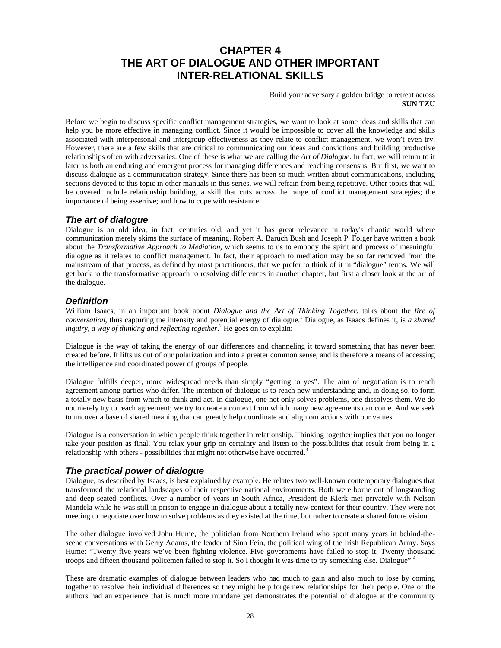## **CHAPTER 4 THE ART OF DIALOGUE AND OTHER IMPORTANT INTER-RELATIONAL SKILLS**

Build your adversary a golden bridge to retreat across **SUN TZU** 

Before we begin to discuss specific conflict management strategies, we want to look at some ideas and skills that can help you be more effective in managing conflict. Since it would be impossible to cover all the knowledge and skills associated with interpersonal and intergroup effectiveness as they relate to conflict management, we won't even try. However, there are a few skills that are critical to communicating our ideas and convictions and building productive relationships often with adversaries. One of these is what we are calling the *Art of Dialogue*. In fact, we will return to it later as both an enduring and emergent process for managing differences and reaching consensus. But first, we want to discuss dialogue as a communication strategy. Since there has been so much written about communications, including sections devoted to this topic in other manuals in this series, we will refrain from being repetitive. Other topics that will be covered include relationship building, a skill that cuts across the range of conflict management strategies; the importance of being assertive; and how to cope with resistance.

#### *The art of dialogue*

Dialogue is an old idea, in fact, centuries old, and yet it has great relevance in today's chaotic world where communication merely skims the surface of meaning. Robert A. Baruch Bush and Joseph P. Folger have written a book about the *Transformative Approach to Mediation,* which seems to us to embody the spirit and process of meaningful dialogue as it relates to conflict management. In fact, their approach to mediation may be so far removed from the mainstream of that process, as defined by most practitioners, that we prefer to think of it in "dialogue" terms. We will get back to the transformative approach to resolving differences in another chapter, but first a closer look at the art of the dialogue.

#### *Definition*

William Isaacs, in an important book about *Dialogue and the Art of Thinking Together*, talks about the *fire of conversation*, thus capturing the intensity and potential energy of dialogue.1 Dialogue, as Isaacs defines it, is *a shared*  inquiry, a way of thinking and reflecting together.<sup>2</sup> He goes on to explain:

Dialogue is the way of taking the energy of our differences and channeling it toward something that has never been created before. It lifts us out of our polarization and into a greater common sense, and is therefore a means of accessing the intelligence and coordinated power of groups of people.

Dialogue fulfills deeper, more widespread needs than simply "getting to yes". The aim of negotiation is to reach agreement among parties who differ. The intention of dialogue is to reach new understanding and, in doing so, to form a totally new basis from which to think and act. In dialogue, one not only solves problems, one dissolves them. We do not merely try to reach agreement; we try to create a context from which many new agreements can come. And we seek to uncover a base of shared meaning that can greatly help coordinate and align our actions with our values.

Dialogue is a conversation in which people think together in relationship. Thinking together implies that you no longer take your position as final. You relax your grip on certainty and listen to the possibilities that result from being in a relationship with others - possibilities that might not otherwise have occurred. $3$ 

#### *The practical power of dialogue*

Dialogue, as described by Isaacs, is best explained by example. He relates two well-known contemporary dialogues that transformed the relational landscapes of their respective national environments. Both were borne out of longstanding and deep-seated conflicts. Over a number of years in South Africa, President de Klerk met privately with Nelson Mandela while he was still in prison to engage in dialogue about a totally new context for their country. They were not meeting to negotiate over how to solve problems as they existed at the time, but rather to create a shared future vision.

The other dialogue involved John Hume, the politician from Northern Ireland who spent many years in behind-thescene conversations with Gerry Adams, the leader of Sinn Fein, the political wing of the Irish Republican Army. Says Hume: "Twenty five years we've been fighting violence. Five governments have failed to stop it. Twenty thousand troops and fifteen thousand policemen failed to stop it. So I thought it was time to try something else. Dialogue".<sup>4</sup>

These are dramatic examples of dialogue between leaders who had much to gain and also much to lose by coming together to resolve their individual differences so they might help forge new relationships for their people. One of the authors had an experience that is much more mundane yet demonstrates the potential of dialogue at the community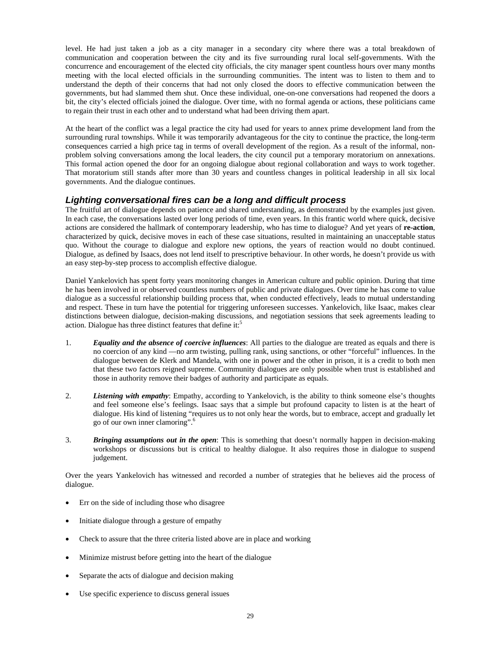level. He had just taken a job as a city manager in a secondary city where there was a total breakdown of communication and cooperation between the city and its five surrounding rural local self-governments. With the concurrence and encouragement of the elected city officials, the city manager spent countless hours over many months meeting with the local elected officials in the surrounding communities. The intent was to listen to them and to understand the depth of their concerns that had not only closed the doors to effective communication between the governments, but had slammed them shut. Once these individual, one-on-one conversations had reopened the doors a bit, the city's elected officials joined the dialogue. Over time, with no formal agenda or actions, these politicians came to regain their trust in each other and to understand what had been driving them apart.

At the heart of the conflict was a legal practice the city had used for years to annex prime development land from the surrounding rural townships. While it was temporarily advantageous for the city to continue the practice, the long-term consequences carried a high price tag in terms of overall development of the region. As a result of the informal, nonproblem solving conversations among the local leaders, the city council put a temporary moratorium on annexations. This formal action opened the door for an ongoing dialogue about regional collaboration and ways to work together. That moratorium still stands after more than 30 years and countless changes in political leadership in all six local governments. And the dialogue continues.

#### *Lighting conversational fires can be a long and difficult process*

The fruitful art of dialogue depends on patience and shared understanding, as demonstrated by the examples just given. In each case, the conversations lasted over long periods of time, even years. In this frantic world where quick, decisive actions are considered the hallmark of contemporary leadership, who has time to dialogue? And yet years of **re-action**, characterized by quick, decisive moves in each of these case situations, resulted in maintaining an unacceptable status quo. Without the courage to dialogue and explore new options, the years of reaction would no doubt continued. Dialogue, as defined by Isaacs, does not lend itself to prescriptive behaviour. In other words, he doesn't provide us with an easy step-by-step process to accomplish effective dialogue.

Daniel Yankelovich has spent forty years monitoring changes in American culture and public opinion. During that time he has been involved in or observed countless numbers of public and private dialogues. Over time he has come to value dialogue as a successful relationship building process that, when conducted effectively, leads to mutual understanding and respect. These in turn have the potential for triggering unforeseen successes. Yankelovich, like Isaac, makes clear distinctions between dialogue, decision-making discussions, and negotiation sessions that seek agreements leading to action. Dialogue has three distinct features that define it:<sup>5</sup>

- 1. *Equality and the absence of coercive influences*: All parties to the dialogue are treated as equals and there is no coercion of any kind —no arm twisting, pulling rank, using sanctions, or other "forceful" influences. In the dialogue between de Klerk and Mandela, with one in power and the other in prison, it is a credit to both men that these two factors reigned supreme. Community dialogues are only possible when trust is established and those in authority remove their badges of authority and participate as equals.
- 2. *Listening with empathy*: Empathy, according to Yankelovich, is the ability to think someone else's thoughts and feel someone else's feelings. Isaac says that a simple but profound capacity to listen is at the heart of dialogue. His kind of listening "requires us to not only hear the words, but to embrace, accept and gradually let go of our own inner clamoring".6
- 3. *Bringing assumptions out in the open*: This is something that doesn't normally happen in decision-making workshops or discussions but is critical to healthy dialogue. It also requires those in dialogue to suspend judgement.

Over the years Yankelovich has witnessed and recorded a number of strategies that he believes aid the process of dialogue.

- Err on the side of including those who disagree
- Initiate dialogue through a gesture of empathy
- Check to assure that the three criteria listed above are in place and working
- Minimize mistrust before getting into the heart of the dialogue
- Separate the acts of dialogue and decision making
- Use specific experience to discuss general issues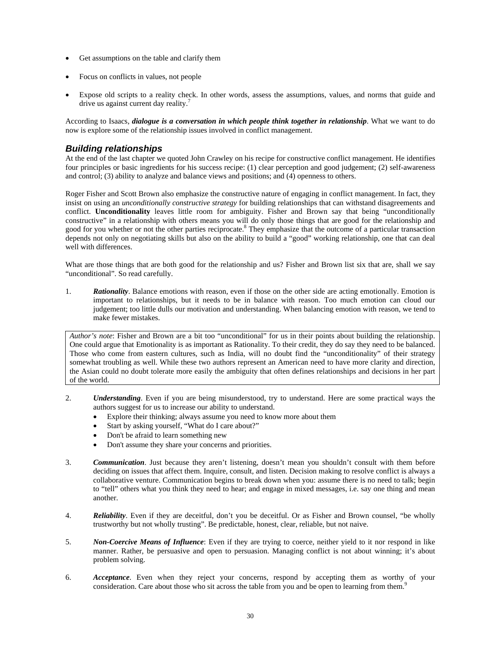- Get assumptions on the table and clarify them
- Focus on conflicts in values, not people
- Expose old scripts to a reality check. In other words, assess the assumptions, values, and norms that guide and drive us against current day reality.<sup>7</sup>

According to Isaacs, *dialogue is a conversation in which people think together in relationship*. What we want to do now is explore some of the relationship issues involved in conflict management.

#### *Building relationships*

At the end of the last chapter we quoted John Crawley on his recipe for constructive conflict management. He identifies four principles or basic ingredients for his success recipe: (1) clear perception and good judgement; (2) self-awareness and control; (3) ability to analyze and balance views and positions; and (4) openness to others.

Roger Fisher and Scott Brown also emphasize the constructive nature of engaging in conflict management. In fact, they insist on using an *unconditionally constructive strategy* for building relationships that can withstand disagreements and conflict. **Unconditionality** leaves little room for ambiguity. Fisher and Brown say that being "unconditionally constructive" in a relationship with others means you will do only those things that are good for the relationship and good for you whether or not the other parties reciprocate.<sup>8</sup> They emphasize that the outcome of a particular transaction depends not only on negotiating skills but also on the ability to build a "good" working relationship, one that can deal well with differences.

What are those things that are both good for the relationship and us? Fisher and Brown list six that are, shall we say "unconditional". So read carefully.

1. *Rationality*. Balance emotions with reason, even if those on the other side are acting emotionally. Emotion is important to relationships, but it needs to be in balance with reason. Too much emotion can cloud our judgement; too little dulls our motivation and understanding. When balancing emotion with reason, we tend to make fewer mistakes.

*Author's note*: Fisher and Brown are a bit too "unconditional" for us in their points about building the relationship. One could argue that Emotionality is as important as Rationality. To their credit, they do say they need to be balanced. Those who come from eastern cultures, such as India, will no doubt find the "unconditionality" of their strategy somewhat troubling as well. While these two authors represent an American need to have more clarity and direction, the Asian could no doubt tolerate more easily the ambiguity that often defines relationships and decisions in her part of the world.

- 2. *Understanding*. Even if you are being misunderstood, try to understand. Here are some practical ways the authors suggest for us to increase our ability to understand.
	- Explore their thinking; always assume you need to know more about them
	- Start by asking yourself, "What do I care about?"
	- Don't be afraid to learn something new
	- Don't assume they share your concerns and priorities.
- 3. *Communication*. Just because they aren't listening, doesn't mean you shouldn't consult with them before deciding on issues that affect them. Inquire, consult, and listen. Decision making to resolve conflict is always a collaborative venture. Communication begins to break down when you: assume there is no need to talk; begin to "tell" others what you think they need to hear; and engage in mixed messages, i.e. say one thing and mean another.
- 4. *Reliability*. Even if they are deceitful, don't you be deceitful. Or as Fisher and Brown counsel, "be wholly trustworthy but not wholly trusting". Be predictable, honest, clear, reliable, but not naive.
- 5. *Non-Coercive Means of Influence*: Even if they are trying to coerce, neither yield to it nor respond in like manner. Rather, be persuasive and open to persuasion. Managing conflict is not about winning; it's about problem solving.
- 6. *Acceptance*. Even when they reject your concerns, respond by accepting them as worthy of your consideration. Care about those who sit across the table from you and be open to learning from them.<sup>9</sup>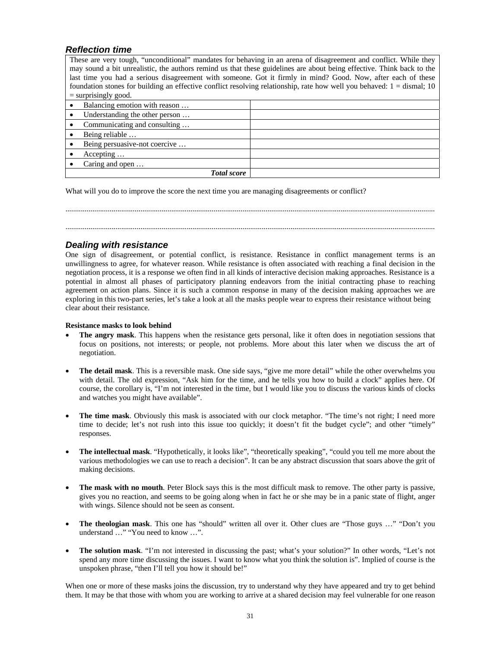#### *Reflection time*

These are very tough, "unconditional" mandates for behaving in an arena of disagreement and conflict. While they may sound a bit unrealistic, the authors remind us that these guidelines are about being effective. Think back to the last time you had a serious disagreement with someone. Got it firmly in mind? Good. Now, after each of these foundation stones for building an effective conflict resolving relationship, rate how well you behaved:  $1 =$  dismal; 10  $=$  surprisingly good.

| Balancing emotion with reason  |  |
|--------------------------------|--|
| Understanding the other person |  |
| Communicating and consulting   |  |
| Being reliable                 |  |
| Being persuasive-not coercive  |  |
| Accepting                      |  |
| Caring and open                |  |
| <b>Total score</b>             |  |

What will you do to improve the score the next time you are managing disagreements or conflict?

................................................................................................................................................................................................ ................................................................................................................................................................................................

#### *Dealing with resistance*

One sign of disagreement, or potential conflict, is resistance. Resistance in conflict management terms is an unwillingness to agree, for whatever reason. While resistance is often associated with reaching a final decision in the negotiation process, it is a response we often find in all kinds of interactive decision making approaches. Resistance is a potential in almost all phases of participatory planning endeavors from the initial contracting phase to reaching agreement on action plans. Since it is such a common response in many of the decision making approaches we are exploring in this two-part series, let's take a look at all the masks people wear to express their resistance without being clear about their resistance.

#### **Resistance masks to look behind**

- **The angry mask**. This happens when the resistance gets personal, like it often does in negotiation sessions that focus on positions, not interests; or people, not problems. More about this later when we discuss the art of negotiation.
- **The detail mask**. This is a reversible mask. One side says, "give me more detail" while the other overwhelms you with detail. The old expression, "Ask him for the time, and he tells you how to build a clock" applies here. Of course, the corollary is, "I'm not interested in the time, but I would like you to discuss the various kinds of clocks and watches you might have available".
- **The time mask**. Obviously this mask is associated with our clock metaphor. "The time's not right; I need more time to decide; let's not rush into this issue too quickly; it doesn't fit the budget cycle"; and other "timely" responses.
- **The intellectual mask**. "Hypothetically, it looks like", "theoretically speaking", "could you tell me more about the various methodologies we can use to reach a decision". It can be any abstract discussion that soars above the grit of making decisions.
- **The mask with no mouth**. Peter Block says this is the most difficult mask to remove. The other party is passive, gives you no reaction, and seems to be going along when in fact he or she may be in a panic state of flight, anger with wings. Silence should not be seen as consent.
- **The theologian mask**. This one has "should" written all over it. Other clues are "Those guys …" "Don't you understand …" "You need to know …".
- **The solution mask**. "I'm not interested in discussing the past; what's your solution?" In other words, "Let's not spend any more time discussing the issues. I want to know what you think the solution is". Implied of course is the unspoken phrase, "then I'll tell you how it should be!"

When one or more of these masks joins the discussion, try to understand why they have appeared and try to get behind them. It may be that those with whom you are working to arrive at a shared decision may feel vulnerable for one reason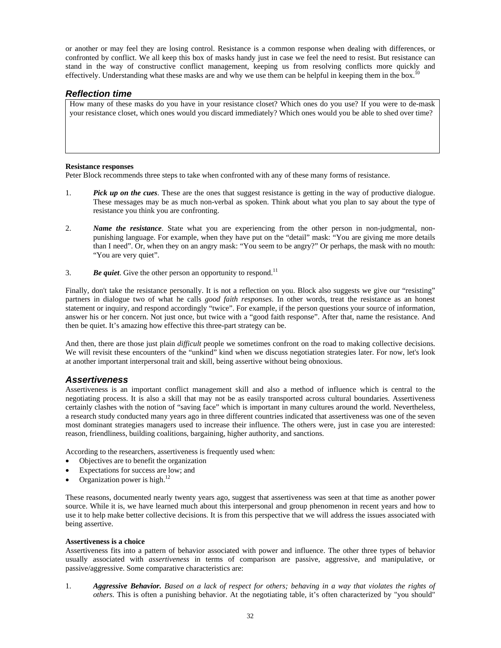or another or may feel they are losing control. Resistance is a common response when dealing with differences, or confronted by conflict. We all keep this box of masks handy just in case we feel the need to resist. But resistance can stand in the way of constructive conflict management, keeping us from resolving conflicts more quickly and effectively. Understanding what these masks are and why we use them can be helpful in keeping them in the box.

#### *Reflection time*

How many of these masks do you have in your resistance closet? Which ones do you use? If you were to de-mask your resistance closet, which ones would you discard immediately? Which ones would you be able to shed over time?

#### **Resistance responses**

Peter Block recommends three steps to take when confronted with any of these many forms of resistance.

- 1. *Pick up on the cues*. These are the ones that suggest resistance is getting in the way of productive dialogue. These messages may be as much non-verbal as spoken. Think about what you plan to say about the type of resistance you think you are confronting.
- 2. *Name the resistance*. State what you are experiencing from the other person in non-judgmental, nonpunishing language. For example, when they have put on the "detail" mask: "You are giving me more details than I need". Or, when they on an angry mask: "You seem to be angry?" Or perhaps, the mask with no mouth: "You are very quiet".
- 3. **Be quiet**. Give the other person an opportunity to respond.<sup>11</sup>

Finally, don't take the resistance personally. It is not a reflection on you. Block also suggests we give our "resisting" partners in dialogue two of what he calls *good faith responses*. In other words, treat the resistance as an honest statement or inquiry, and respond accordingly "twice". For example, if the person questions your source of information, answer his or her concern. Not just once, but twice with a "good faith response". After that, name the resistance. And then be quiet. It's amazing how effective this three-part strategy can be.

And then, there are those just plain *difficult* people we sometimes confront on the road to making collective decisions. We will revisit these encounters of the "unkind" kind when we discuss negotiation strategies later. For now, let's look at another important interpersonal trait and skill, being assertive without being obnoxious.

#### *Assertiveness*

Assertiveness is an important conflict management skill and also a method of influence which is central to the negotiating process. It is also a skill that may not be as easily transported across cultural boundaries. Assertiveness certainly clashes with the notion of "saving face" which is important in many cultures around the world. Nevertheless, a research study conducted many years ago in three different countries indicated that assertiveness was one of the seven most dominant strategies managers used to increase their influence. The others were, just in case you are interested: reason, friendliness, building coalitions, bargaining, higher authority, and sanctions.

According to the researchers, assertiveness is frequently used when:

- Objectives are to benefit the organization
- Expectations for success are low; and
- Organization power is high.<sup>12</sup>

These reasons, documented nearly twenty years ago, suggest that assertiveness was seen at that time as another power source. While it is, we have learned much about this interpersonal and group phenomenon in recent years and how to use it to help make better collective decisions. It is from this perspective that we will address the issues associated with being assertive.

#### **Assertiveness is a choice**

Assertiveness fits into a pattern of behavior associated with power and influence. The other three types of behavior usually associated with *assertiveness* in terms of comparison are passive, aggressive, and manipulative, or passive/aggressive. Some comparative characteristics are:

1. *Aggressive Behavior. Based on a lack of respect for others; behaving in a way that violates the rights of others*. This is often a punishing behavior. At the negotiating table, it's often characterized by "you should"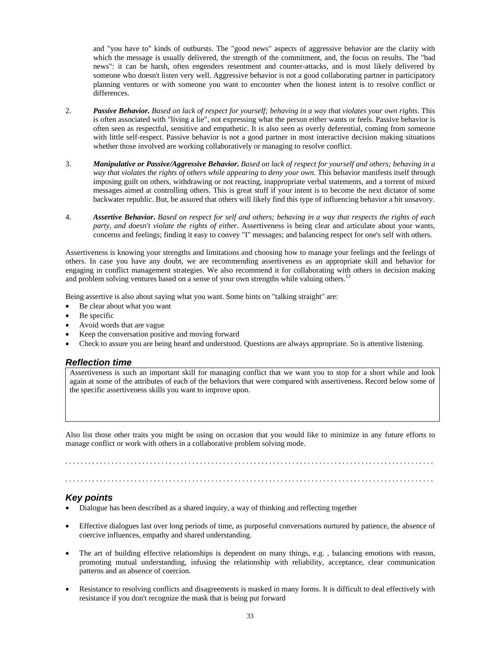and "you have to" kinds of outbursts. The "good news" aspects of aggressive behavior are the clarity with which the message is usually delivered, the strength of the commitment, and, the focus on results. The "bad news": it can be harsh, often engenders resentment and counter-attacks, and is most likely delivered by someone who doesn't listen very well. Aggressive behavior is not a good collaborating partner in participatory planning ventures or with someone you want to encounter when the honest intent is to resolve conflict or differences.

- 2. *Passive Behavior. Based on lack of respect for yourself; behaving in a way that violates your own rights*. This is often associated with "living a lie", not expressing what the person either wants or feels. Passive behavior is often seen as respectful, sensitive and empathetic. It is also seen as overly deferential, coming from someone with little self-respect. Passive behavior is not a good partner in most interactive decision making situations whether those involved are working collaboratively or managing to resolve conflict.
- 3. *Manipulative or Passive/Aggressive Behavior***.** *Based on lack of respect for yourself and others; behaving in a way that violates the rights of others while appearing to deny your own*. This behavior manifests itself through imposing guilt on others, withdrawing or not reacting, inappropriate verbal statements, and a torrent of mixed messages aimed at controlling others. This is great stuff if your intent is to become the next dictator of some backwater republic. But, be assured that others will likely find this type of influencing behavior a bit unsavory.
- 4. *Assertive Behavior***.** *Based on respect for self and others; behaving in a way that respects the rights of each party, and doesn't violate the rights of either*. Assertiveness is being clear and articulate about your wants, concerns and feelings; finding it easy to convey "I" messages; and balancing respect for one's self with others.

Assertiveness is knowing your strengths and limitations and choosing how to manage your feelings and the feelings of others. In case you have any doubt, we are recommending assertiveness as an appropriate skill and behavior for engaging in conflict management strategies. We also recommend it for collaborating with others in decision making and problem solving ventures based on a sense of your own strengths while valuing others.<sup>13</sup>

Being assertive is also about saying what you want. Some hints on "talking straight" are:

- Be clear about what you want
- Be specific
- Avoid words that are vague
- Keep the conversation positive and moving forward
- Check to assure you are being heard and understood. Questions are always appropriate. So is attentive listening.

#### *Reflection time*

Assertiveness is such an important skill for managing conflict that we want you to stop for a short while and look again at some of the attributes of each of the behaviors that were compared with assertiveness. Record below some of the specific assertiveness skills you want to improve upon.

Also list those other traits you might be using on occasion that you would like to minimize in any future efforts to manage conflict or work with others in a collaborative problem solving mode.

. . . . . . . . . . . . . . . . . . . . . . . . . . . . . . . . . . . . . . . . . . . . . . . . . . . . . . . . . . . . . . . . . . . . . . . . . . . . . . . . . . . . . . . . . . . . . . . .

#### *Key points*

- Dialogue has been described as a shared inquiry, a way of thinking and reflecting together
- Effective dialogues last over long periods of time, as purposeful conversations nurtured by patience, the absence of coercive influences, empathy and shared understanding.
- The art of building effective relationships is dependent on many things, e.g. , balancing emotions with reason, promoting mutual understanding, infusing the relationship with reliability, acceptance, clear communication patterns and an absence of coercion.
- Resistance to resolving conflicts and disagreements is masked in many forms. It is difficult to deal effectively with resistance if you don't recognize the mask that is being put forward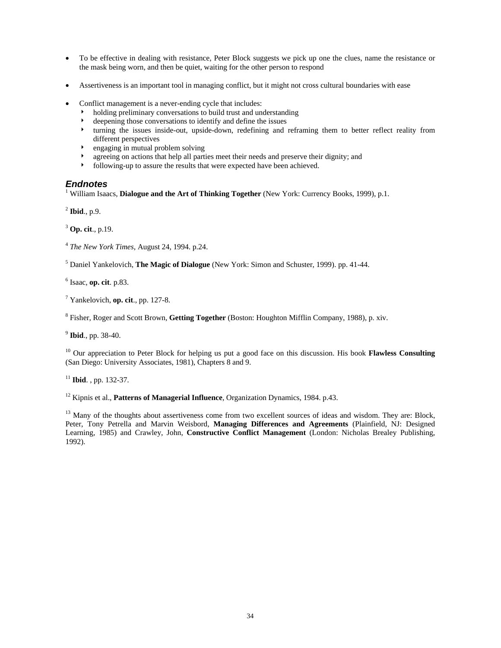- To be effective in dealing with resistance, Peter Block suggests we pick up one the clues, name the resistance or the mask being worn, and then be quiet, waiting for the other person to respond
- Assertiveness is an important tool in managing conflict, but it might not cross cultural boundaries with ease
- Conflict management is a never-ending cycle that includes:
	- holding preliminary conversations to build trust and understanding
	- 4 deepening those conversations to identify and define the issues
	- turning the issues inside-out, upside-down, redefining and reframing them to better reflect reality from different perspectives
	- engaging in mutual problem solving
	- → agreeing on actions that help all parties meet their needs and preserve their dignity; and<br>
	► following-up to assure the results that were expected have been achieved
	- 4 following-up to assure the results that were expected have been achieved.

#### *Endnotes*

<sup>1</sup> William Isaacs, **Dialogue and the Art of Thinking Together** (New York: Currency Books, 1999), p.1.

<sup>2</sup> **Ibid**., p.9.

<sup>3</sup> **Op. cit**., p.19.

<sup>4</sup> *The New York Times*, August 24, 1994. p.24.

5 Daniel Yankelovich, **The Magic of Dialogue** (New York: Simon and Schuster, 1999). pp. 41-44.

6 Isaac, **op. cit**. p.83.

7 Yankelovich, **op. cit**., pp. 127-8.

8 Fisher, Roger and Scott Brown, **Getting Together** (Boston: Houghton Mifflin Company, 1988), p. xiv.

<sup>9</sup> **Ibid**., pp. 38-40.

10 Our appreciation to Peter Block for helping us put a good face on this discussion. His book **Flawless Consulting** (San Diego: University Associates, 1981), Chapters 8 and 9.

<sup>11</sup> **Ibid**. , pp. 132-37.

12 Kipnis et al., **Patterns of Managerial Influence**, Organization Dynamics, 1984. p.43.

<sup>13</sup> Many of the thoughts about assertiveness come from two excellent sources of ideas and wisdom. They are: Block, Peter, Tony Petrella and Marvin Weisbord, **Managing Differences and Agreements** (Plainfield, NJ: Designed Learning, 1985) and Crawley, John, **Constructive Conflict Management** (London: Nicholas Brealey Publishing, 1992).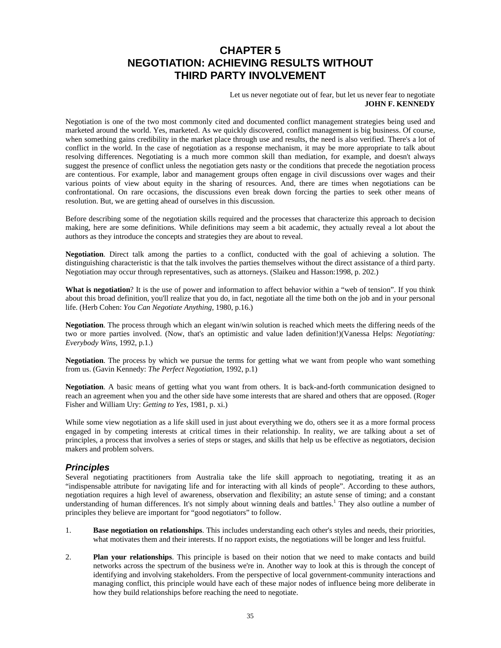## **CHAPTER 5 NEGOTIATION: ACHIEVING RESULTS WITHOUT THIRD PARTY INVOLVEMENT**

Let us never negotiate out of fear, but let us never fear to negotiate **JOHN F. KENNEDY** 

Negotiation is one of the two most commonly cited and documented conflict management strategies being used and marketed around the world. Yes, marketed. As we quickly discovered, conflict management is big business. Of course, when something gains credibility in the market place through use and results, the need is also verified. There's a lot of conflict in the world. In the case of negotiation as a response mechanism, it may be more appropriate to talk about resolving differences. Negotiating is a much more common skill than mediation, for example, and doesn't always suggest the presence of conflict unless the negotiation gets nasty or the conditions that precede the negotiation process are contentious. For example, labor and management groups often engage in civil discussions over wages and their various points of view about equity in the sharing of resources. And, there are times when negotiations can be confrontational. On rare occasions, the discussions even break down forcing the parties to seek other means of resolution. But, we are getting ahead of ourselves in this discussion.

Before describing some of the negotiation skills required and the processes that characterize this approach to decision making, here are some definitions. While definitions may seem a bit academic, they actually reveal a lot about the authors as they introduce the concepts and strategies they are about to reveal.

**Negotiation**. Direct talk among the parties to a conflict, conducted with the goal of achieving a solution. The distinguishing characteristic is that the talk involves the parties themselves without the direct assistance of a third party. Negotiation may occur through representatives, such as attorneys. (Slaikeu and Hasson:1998, p. 202.)

**What is negotiation**? It is the use of power and information to affect behavior within a "web of tension". If you think about this broad definition, you'll realize that you do, in fact, negotiate all the time both on the job and in your personal life. (Herb Cohen: *You Can Negotiate Anything*, 1980, p.16.)

**Negotiation**. The process through which an elegant win/win solution is reached which meets the differing needs of the two or more parties involved. (Now, that's an optimistic and value laden definition!)(Vanessa Helps: *Negotiating: Everybody Wins*, 1992, p.1.)

**Negotiation**. The process by which we pursue the terms for getting what we want from people who want something from us. (Gavin Kennedy: *The Perfect Negotiation*, 1992, p.1)

**Negotiation**. A basic means of getting what you want from others. It is back-and-forth communication designed to reach an agreement when you and the other side have some interests that are shared and others that are opposed. (Roger Fisher and William Ury: *Getting to Yes*, 1981, p. xi.)

While some view negotiation as a life skill used in just about everything we do, others see it as a more formal process engaged in by competing interests at critical times in their relationship. In reality, we are talking about a set of principles, a process that involves a series of steps or stages, and skills that help us be effective as negotiators, decision makers and problem solvers.

#### *Principles*

Several negotiating practitioners from Australia take the life skill approach to negotiating, treating it as an "indispensable attribute for navigating life and for interacting with all kinds of people". According to these authors, negotiation requires a high level of awareness, observation and flexibility; an astute sense of timing; and a constant understanding of human differences. It's not simply about winning deals and battles.<sup>1</sup> They also outline a number of principles they believe are important for "good negotiators" to follow.

- 1. **Base negotiation on relationships**. This includes understanding each other's styles and needs, their priorities, what motivates them and their interests. If no rapport exists, the negotiations will be longer and less fruitful.
- 2. **Plan your relationships**. This principle is based on their notion that we need to make contacts and build networks across the spectrum of the business we're in. Another way to look at this is through the concept of identifying and involving stakeholders. From the perspective of local government-community interactions and managing conflict, this principle would have each of these major nodes of influence being more deliberate in how they build relationships before reaching the need to negotiate.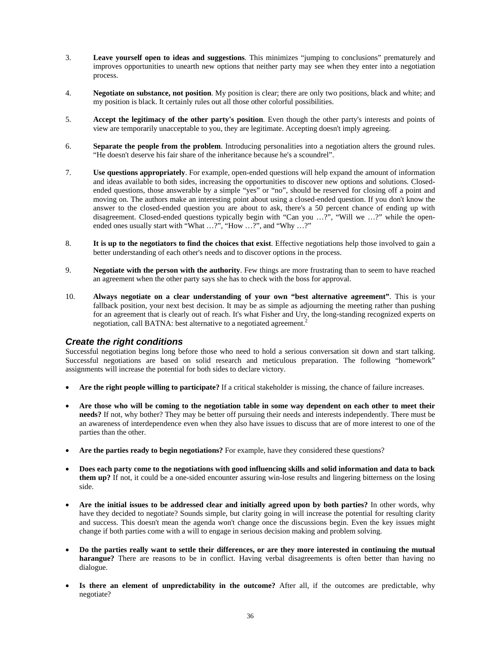- 3. **Leave yourself open to ideas and suggestions**. This minimizes "jumping to conclusions" prematurely and improves opportunities to unearth new options that neither party may see when they enter into a negotiation process.
- 4. **Negotiate on substance, not position**. My position is clear; there are only two positions, black and white; and my position is black. It certainly rules out all those other colorful possibilities.
- 5. **Accept the legitimacy of the other party's position**. Even though the other party's interests and points of view are temporarily unacceptable to you, they are legitimate. Accepting doesn't imply agreeing.
- 6. **Separate the people from the problem**. Introducing personalities into a negotiation alters the ground rules. "He doesn't deserve his fair share of the inheritance because he's a scoundrel".
- 7. **Use questions appropriately**. For example, open-ended questions will help expand the amount of information and ideas available to both sides, increasing the opportunities to discover new options and solutions. Closedended questions, those answerable by a simple "yes" or "no", should be reserved for closing off a point and moving on. The authors make an interesting point about using a closed-ended question. If you don't know the answer to the closed-ended question you are about to ask, there's a 50 percent chance of ending up with disagreement. Closed-ended questions typically begin with "Can you …?", "Will we …?" while the openended ones usually start with "What ...?", "How ...?", and "Why ...?"
- 8. **It is up to the negotiators to find the choices that exist**. Effective negotiations help those involved to gain a better understanding of each other's needs and to discover options in the process.
- 9. **Negotiate with the person with the authority**. Few things are more frustrating than to seem to have reached an agreement when the other party says she has to check with the boss for approval.
- 10. **Always negotiate on a clear understanding of your own "best alternative agreement"**. This is your fallback position, your next best decision. It may be as simple as adjourning the meeting rather than pushing for an agreement that is clearly out of reach. It's what Fisher and Ury, the long-standing recognized experts on negotiation, call BATNA: best alternative to a negotiated agreement.<sup>2</sup>

#### *Create the right conditions*

Successful negotiation begins long before those who need to hold a serious conversation sit down and start talking. Successful negotiations are based on solid research and meticulous preparation. The following "homework" assignments will increase the potential for both sides to declare victory.

- **Are the right people willing to participate?** If a critical stakeholder is missing, the chance of failure increases.
- **Are those who will be coming to the negotiation table in some way dependent on each other to meet their needs?** If not, why bother? They may be better off pursuing their needs and interests independently. There must be an awareness of interdependence even when they also have issues to discuss that are of more interest to one of the parties than the other.
- **Are the parties ready to begin negotiations?** For example, have they considered these questions?
- **Does each party come to the negotiations with good influencing skills and solid information and data to back them up?** If not, it could be a one-sided encounter assuring win-lose results and lingering bitterness on the losing side.
- **Are the initial issues to be addressed clear and initially agreed upon by both parties?** In other words, why have they decided to negotiate? Sounds simple, but clarity going in will increase the potential for resulting clarity and success. This doesn't mean the agenda won't change once the discussions begin. Even the key issues might change if both parties come with a will to engage in serious decision making and problem solving.
- **Do the parties really want to settle their differences, or are they more interested in continuing the mutual harangue?** There are reasons to be in conflict. Having verbal disagreements is often better than having no dialogue.
- **Is there an element of unpredictability in the outcome?** After all, if the outcomes are predictable, why negotiate?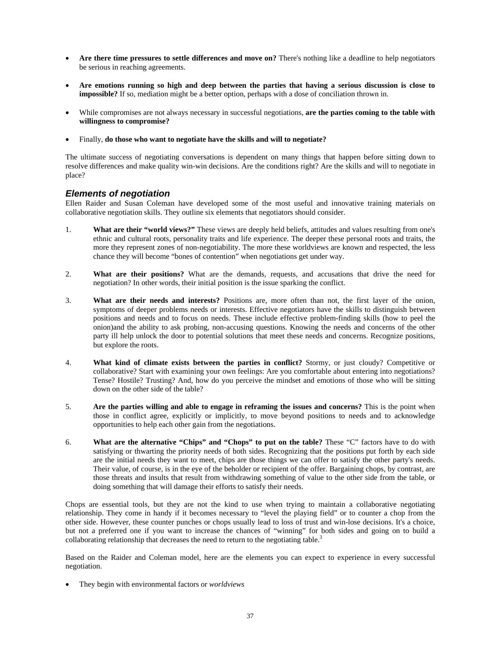- **Are there time pressures to settle differences and move on?** There's nothing like a deadline to help negotiators be serious in reaching agreements.
- **Are emotions running so high and deep between the parties that having a serious discussion is close to impossible?** If so, mediation might be a better option, perhaps with a dose of conciliation thrown in.
- While compromises are not always necessary in successful negotiations, **are the parties coming to the table with willingness to compromise?**
- Finally, **do those who want to negotiate have the skills and will to negotiate?**

The ultimate success of negotiating conversations is dependent on many things that happen before sitting down to resolve differences and make quality win-win decisions. Are the conditions right? Are the skills and will to negotiate in place?

#### *Elements of negotiation*

Ellen Raider and Susan Coleman have developed some of the most useful and innovative training materials on collaborative negotiation skills. They outline six elements that negotiators should consider.

- 1. **What are their "world views?"** These views are deeply held beliefs, attitudes and values resulting from one's ethnic and cultural roots, personality traits and life experience. The deeper these personal roots and traits, the more they represent zones of non-negotiability. The more these worldviews are known and respected, the less chance they will become "bones of contention" when negotiations get under way.
- 2. **What are their positions?** What are the demands, requests, and accusations that drive the need for negotiation? In other words, their initial position is the issue sparking the conflict.
- 3. **What are their needs and interests?** Positions are, more often than not, the first layer of the onion, symptoms of deeper problems needs or interests. Effective negotiators have the skills to distinguish between positions and needs and to focus on needs. These include effective problem-finding skills (how to peel the onion)and the ability to ask probing, non-accusing questions. Knowing the needs and concerns of the other party ill help unlock the door to potential solutions that meet these needs and concerns. Recognize positions, but explore the roots.
- 4. **What kind of climate exists between the parties in conflict?** Stormy, or just cloudy? Competitive or collaborative? Start with examining your own feelings: Are you comfortable about entering into negotiations? Tense? Hostile? Trusting? And, how do you perceive the mindset and emotions of those who will be sitting down on the other side of the table?
- 5. **Are the parties willing and able to engage in reframing the issues and concerns?** This is the point when those in conflict agree, explicitly or implicitly, to move beyond positions to needs and to acknowledge opportunities to help each other gain from the negotiations.
- 6. **What are the alternative "Chips" and "Chops" to put on the table?** These "C" factors have to do with satisfying or thwarting the priority needs of both sides. Recognizing that the positions put forth by each side are the initial needs they want to meet, chips are those things we can offer to satisfy the other party's needs. Their value, of course, is in the eye of the beholder or recipient of the offer. Bargaining chops, by contrast, are those threats and insults that result from withdrawing something of value to the other side from the table, or doing something that will damage their efforts to satisfy their needs.

Chops are essential tools, but they are not the kind to use when trying to maintain a collaborative negotiating relationship. They come in handy if it becomes necessary to "level the playing field" or to counter a chop from the other side. However, these counter punches or chops usually lead to loss of trust and win-lose decisions. It's a choice, but not a preferred one if you want to increase the chances of "winning" for both sides and going on to build a collaborating relationship that decreases the need to return to the negotiating table.<sup>3</sup>

Based on the Raider and Coleman model, here are the elements you can expect to experience in every successful negotiation.

• They begin with environmental factors or *worldviews*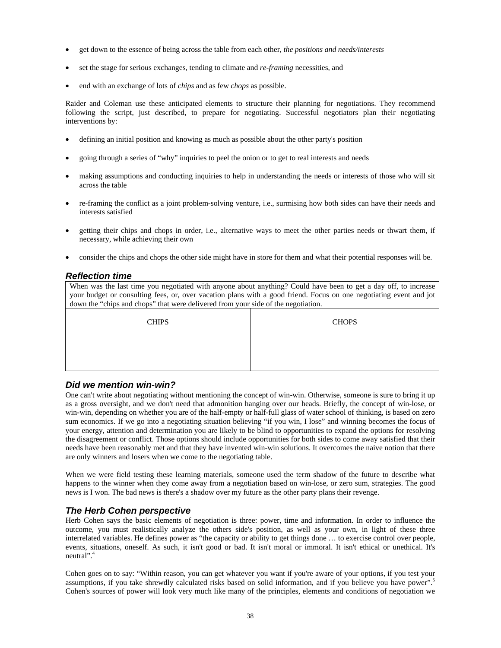- get down to the essence of being across the table from each other, *the positions and needs/interests*
- set the stage for serious exchanges, tending to climate and *re-framing* necessities, and
- end with an exchange of lots of *chips* and as few *chops* as possible.

Raider and Coleman use these anticipated elements to structure their planning for negotiations. They recommend following the script, just described, to prepare for negotiating. Successful negotiators plan their negotiating interventions by:

- defining an initial position and knowing as much as possible about the other party's position
- going through a series of "why" inquiries to peel the onion or to get to real interests and needs
- making assumptions and conducting inquiries to help in understanding the needs or interests of those who will sit across the table
- re-framing the conflict as a joint problem-solving venture, i.e., surmising how both sides can have their needs and interests satisfied
- getting their chips and chops in order, i.e., alternative ways to meet the other parties needs or thwart them, if necessary, while achieving their own
- consider the chips and chops the other side might have in store for them and what their potential responses will be.

#### *Reflection time*

When was the last time you negotiated with anyone about anything? Could have been to get a day off, to increase your budget or consulting fees, or, over vacation plans with a good friend. Focus on one negotiating event and jot down the "chips and chops" that were delivered from your side of the negotiation.

CHIPS CHOPS

#### *Did we mention win-win?*

One can't write about negotiating without mentioning the concept of win-win. Otherwise, someone is sure to bring it up as a gross oversight, and we don't need that admonition hanging over our heads. Briefly, the concept of win-lose, or win-win, depending on whether you are of the half-empty or half-full glass of water school of thinking, is based on zero sum economics. If we go into a negotiating situation believing "if you win, I lose" and winning becomes the focus of your energy, attention and determination you are likely to be blind to opportunities to expand the options for resolving the disagreement or conflict. Those options should include opportunities for both sides to come away satisfied that their needs have been reasonably met and that they have invented win-win solutions. It overcomes the naive notion that there are only winners and losers when we come to the negotiating table.

When we were field testing these learning materials, someone used the term shadow of the future to describe what happens to the winner when they come away from a negotiation based on win-lose, or zero sum, strategies. The good news is I won. The bad news is there's a shadow over my future as the other party plans their revenge.

#### *The Herb Cohen perspective*

Herb Cohen says the basic elements of negotiation is three: power, time and information. In order to influence the outcome, you must realistically analyze the others side's position, as well as your own, in light of these three interrelated variables. He defines power as "the capacity or ability to get things done … to exercise control over people, events, situations, oneself. As such, it isn't good or bad. It isn't moral or immoral. It isn't ethical or unethical. It's neutral".<sup>4</sup>

Cohen goes on to say: "Within reason, you can get whatever you want if you're aware of your options, if you test your assumptions, if you take shrewdly calculated risks based on solid information, and if you believe you have power".5 Cohen's sources of power will look very much like many of the principles, elements and conditions of negotiation we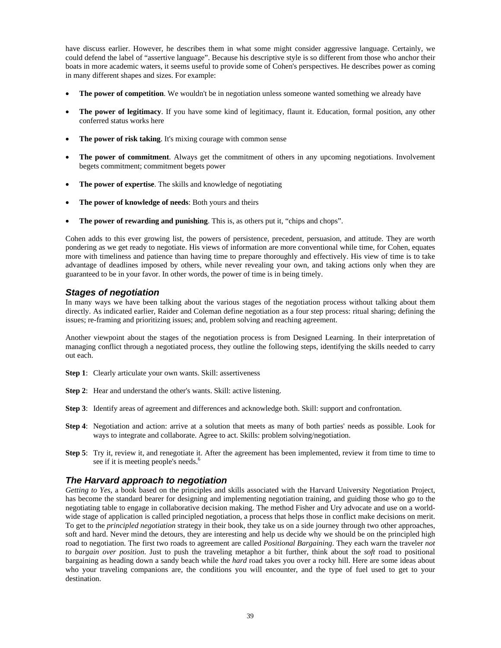have discuss earlier. However, he describes them in what some might consider aggressive language. Certainly, we could defend the label of "assertive language". Because his descriptive style is so different from those who anchor their boats in more academic waters, it seems useful to provide some of Cohen's perspectives. He describes power as coming in many different shapes and sizes. For example:

- **The power of competition**. We wouldn't be in negotiation unless someone wanted something we already have
- **The power of legitimacy**. If you have some kind of legitimacy, flaunt it. Education, formal position, any other conferred status works here
- The power of risk taking. It's mixing courage with common sense
- **The power of commitment**. Always get the commitment of others in any upcoming negotiations. Involvement begets commitment; commitment begets power
- **The power of expertise**. The skills and knowledge of negotiating
- **The power of knowledge of needs**: Both yours and theirs
- The power of rewarding and punishing. This is, as others put it, "chips and chops".

Cohen adds to this ever growing list, the powers of persistence, precedent, persuasion, and attitude. They are worth pondering as we get ready to negotiate. His views of information are more conventional while time, for Cohen, equates more with timeliness and patience than having time to prepare thoroughly and effectively. His view of time is to take advantage of deadlines imposed by others, while never revealing your own, and taking actions only when they are guaranteed to be in your favor. In other words, the power of time is in being timely.

#### *Stages of negotiation*

In many ways we have been talking about the various stages of the negotiation process without talking about them directly. As indicated earlier, Raider and Coleman define negotiation as a four step process: ritual sharing; defining the issues; re-framing and prioritizing issues; and, problem solving and reaching agreement.

Another viewpoint about the stages of the negotiation process is from Designed Learning. In their interpretation of managing conflict through a negotiated process, they outline the following steps, identifying the skills needed to carry out each.

- **Step 1**: Clearly articulate your own wants. Skill: assertiveness
- **Step 2:** Hear and understand the other's wants. Skill: active listening.
- **Step 3**: Identify areas of agreement and differences and acknowledge both. Skill: support and confrontation.
- **Step 4**: Negotiation and action: arrive at a solution that meets as many of both parties' needs as possible. Look for ways to integrate and collaborate. Agree to act. Skills: problem solving/negotiation.
- **Step 5**: Try it, review it, and renegotiate it. After the agreement has been implemented, review it from time to time to see if it is meeting people's needs.<sup>6</sup>

#### *The Harvard approach to negotiation*

*Getting to Yes*, a book based on the principles and skills associated with the Harvard University Negotiation Project, has become the standard bearer for designing and implementing negotiation training, and guiding those who go to the negotiating table to engage in collaborative decision making. The method Fisher and Ury advocate and use on a worldwide stage of application is called principled negotiation, a process that helps those in conflict make decisions on merit. To get to the *principled negotiation* strategy in their book, they take us on a side journey through two other approaches, soft and hard. Never mind the detours, they are interesting and help us decide why we should be on the principled high road to negotiation. The first two roads to agreement are called *Positional Bargaining*. They each warn the traveler *not to bargain over position*. Just to push the traveling metaphor a bit further, think about the *soft* road to positional bargaining as heading down a sandy beach while the *hard* road takes you over a rocky hill. Here are some ideas about who your traveling companions are, the conditions you will encounter, and the type of fuel used to get to your destination.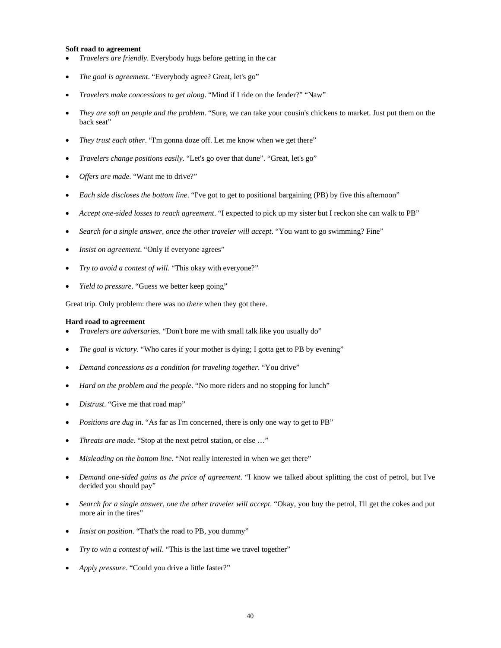#### **Soft road to agreement**

- *Travelers are friendly*. Everybody hugs before getting in the car
- *The goal is agreement*. "Everybody agree? Great, let's go"
- *Travelers make concessions to get along*. "Mind if I ride on the fender?" "Naw"
- *They are soft on people and the problem*. "Sure, we can take your cousin's chickens to market. Just put them on the back seat"
- *They trust each other*. "I'm gonna doze off. Let me know when we get there"
- *Travelers change positions easily*. "Let's go over that dune". "Great, let's go"
- *Offers are made*. "Want me to drive?"
- *Each side discloses the bottom line*. "I've got to get to positional bargaining (PB) by five this afternoon"
- *Accept one-sided losses to reach agreement*. "I expected to pick up my sister but I reckon she can walk to PB"
- *Search for a single answer, once the other traveler will accept*. "You want to go swimming? Fine"
- *Insist on agreement.* "Only if everyone agrees"
- *Try to avoid a contest of will*. "This okay with everyone?"
- *Yield to pressure*. "Guess we better keep going"

Great trip. Only problem: there was no *there* when they got there.

#### **Hard road to agreement**

- *Travelers are adversaries*. "Don't bore me with small talk like you usually do"
- *The goal is victory*. "Who cares if your mother is dying; I gotta get to PB by evening"
- *Demand concessions as a condition for traveling together*. "You drive"
- *Hard on the problem and the people*. "No more riders and no stopping for lunch"
- *Distrust*. "Give me that road map"
- *Positions are dug in*. "As far as I'm concerned, there is only one way to get to PB"
- *Threats are made*. "Stop at the next petrol station, or else …"
- *Misleading on the bottom line*. "Not really interested in when we get there"
- *Demand one-sided gains as the price of agreement*. "I know we talked about splitting the cost of petrol, but I've decided you should pay"
- *Search for a single answer, one the other traveler will accept*. "Okay, you buy the petrol, I'll get the cokes and put more air in the tires"
- *Insist on position*. "That's the road to PB, you dummy"
- *Try to win a contest of will*. "This is the last time we travel together"
- *Apply pressure*. "Could you drive a little faster?"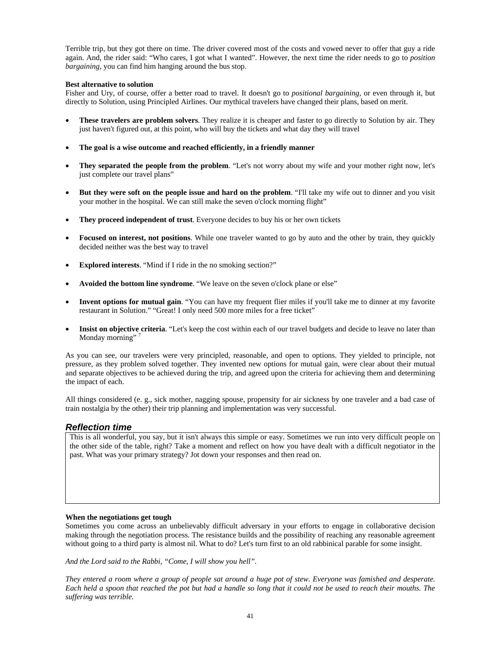Terrible trip, but they got there on time. The driver covered most of the costs and vowed never to offer that guy a ride again. And, the rider said: "Who cares, I got what I wanted". However, the next time the rider needs to go to *position bargaining*, you can find him hanging around the bus stop.

#### **Best alternative to solution**

Fisher and Ury, of course, offer a better road to travel. It doesn't go to *positional bargaining*, or even through it, but directly to Solution, using Principled Airlines. Our mythical travelers have changed their plans, based on merit.

- **These travelers are problem solvers**. They realize it is cheaper and faster to go directly to Solution by air. They just haven't figured out, at this point, who will buy the tickets and what day they will travel
- **The goal is a wise outcome and reached efficiently, in a friendly manner**
- **They separated the people from the problem**. "Let's not worry about my wife and your mother right now, let's just complete our travel plans"
- **But they were soft on the people issue and hard on the problem**. "I'll take my wife out to dinner and you visit your mother in the hospital. We can still make the seven o'clock morning flight"
- **They proceed independent of trust**. Everyone decides to buy his or her own tickets
- **Focused on interest, not positions**. While one traveler wanted to go by auto and the other by train, they quickly decided neither was the best way to travel
- **Explored interests**. "Mind if I ride in the no smoking section?"
- **Avoided the bottom line syndrome**. "We leave on the seven o'clock plane or else"
- **Invent options for mutual gain**. "You can have my frequent flier miles if you'll take me to dinner at my favorite restaurant in Solution." "Great! I only need 500 more miles for a free ticket"
- **Insist on objective criteria**. "Let's keep the cost within each of our travel budgets and decide to leave no later than Monday morning"

As you can see, our travelers were very principled, reasonable, and open to options. They yielded to principle, not pressure, as they problem solved together. They invented new options for mutual gain, were clear about their mutual and separate objectives to be achieved during the trip, and agreed upon the criteria for achieving them and determining the impact of each.

All things considered (e. g., sick mother, nagging spouse, propensity for air sickness by one traveler and a bad case of train nostalgia by the other) their trip planning and implementation was very successful.

#### *Reflection time*

This is all wonderful, you say, but it isn't always this simple or easy. Sometimes we run into very difficult people on the other side of the table, right? Take a moment and reflect on how you have dealt with a difficult negotiator in the past. What was your primary strategy? Jot down your responses and then read on.

#### **When the negotiations get tough**

Sometimes you come across an unbelievably difficult adversary in your efforts to engage in collaborative decision making through the negotiation process. The resistance builds and the possibility of reaching any reasonable agreement without going to a third party is almost nil. What to do? Let's turn first to an old rabbinical parable for some insight.

*And the Lord said to the Rabbi, "Come, I will show you hell".* 

*They entered a room where a group of people sat around a huge pot of stew. Everyone was famished and desperate. Each held a spoon that reached the pot but had a handle so long that it could not be used to reach their mouths. The suffering was terrible.*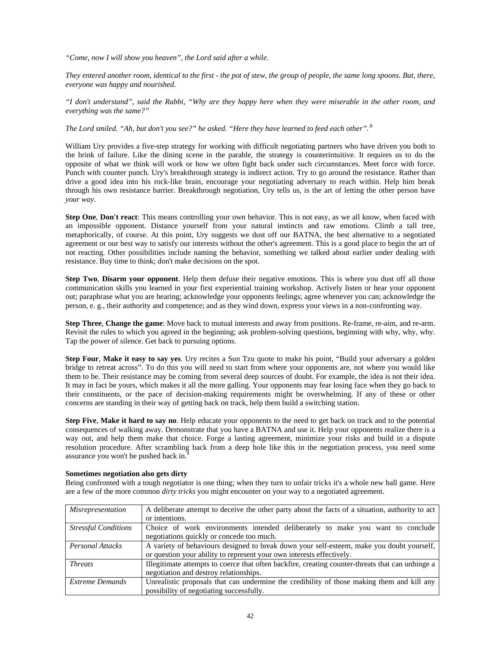*"Come, now I will show you heaven", the Lord said after a while.* 

*They entered another room, identical to the first - the pot of stew, the group of people, the same long spoons. But, there, everyone was happy and nourished.* 

*"I don't understand", said the Rabbi, "Why are they happy here when they were miserable in the other room, and everything was the same?"* 

*The Lord smiled. "Ah, but don't you see?" he asked. "Here they have learned to feed each other".*.8

William Ury provides a five-step strategy for working with difficult negotiating partners who have driven you both to the brink of failure. Like the dining scene in the parable, the strategy is counterintuitive. It requires us to do the opposite of what we think will work or how we often fight back under such circumstances. Meet force with force. Punch with counter punch. Ury's breakthrough strategy is indirect action. Try to go around the resistance. Rather than drive a good idea into his rock-like brain, encourage your negotiating adversary to reach within. Help him break through his own resistance barrier. Breakthrough negotiation, Ury tells us, is the art of letting the other person have *your way*.

**Step One**, **Don't react**: This means controlling your own behavior. This is not easy, as we all know, when faced with an impossible opponent. Distance yourself from your natural instincts and raw emotions. Climb a tall tree, metaphorically, of course. At this point, Ury suggests we dust off our BATNA, the best alternative to a negotiated agreement or our best way to satisfy our interests without the other's agreement. This is a good place to begin the art of not reacting. Other possibilities include naming the behavior, something we talked about earlier under dealing with resistance. Buy time to think; don't make decisions on the spot.

**Step Two**, **Disarm your opponent**. Help them defuse their negative emotions. This is where you dust off all those communication skills you learned in your first experiential training workshop. Actively listen or hear your opponent out; paraphrase what you are hearing; acknowledge your opponents feelings; agree whenever you can; acknowledge the person, e. g., their authority and competence; and as they wind down, express your views in a non-confronting way.

**Step Three**, **Change the game**: Move back to mutual interests and away from positions. Re-frame, re-aim, and re-arm. Revisit the rules to which you agreed in the beginning; ask problem-solving questions, beginning with why, why, why. Tap the power of silence. Get back to pursuing options.

**Step Four**, **Make it easy to say yes**. Ury recites a Sun Tzu quote to make his point, "Build your adversary a golden bridge to retreat across". To do this you will need to start from where your opponents are, not where you would like them to be. Their resistance may be coming from several deep sources of doubt. For example, the idea is not their idea. It may in fact be yours, which makes it all the more galling. Your opponents may fear losing face when they go back to their constituents, or the pace of decision-making requirements might be overwhelming. If any of these or other concerns are standing in their way of getting back on track, help them build a switching station.

**Step Five**, **Make it hard to say no**. Help educate your opponents to the need to get back on track and to the potential consequences of walking away. Demonstrate that you have a BATNA and use it. Help your opponents realize there is a way out, and help them make that choice. Forge a lasting agreement, minimize your risks and build in a dispute resolution procedure. After scrambling back from a deep hole like this in the negotiation process, you need some assurance you won't be pushed back in.<sup>9</sup>

#### **Sometimes negotiation also gets dirty**

Being confronted with a tough negotiator is one thing; when they turn to unfair tricks it's a whole new ball game. Here are a few of the more common *dirty tricks* you might encounter on your way to a negotiated agreement.

| <i>Misrepresentation</i>    | A deliberate attempt to deceive the other party about the facts of a situation, authority to act |  |  |  |  |  |  |  |
|-----------------------------|--------------------------------------------------------------------------------------------------|--|--|--|--|--|--|--|
|                             | or intentions.                                                                                   |  |  |  |  |  |  |  |
| <b>Stressful Conditions</b> | Choice of work environments intended deliberately to make you want to conclude                   |  |  |  |  |  |  |  |
|                             | negotiations quickly or concede too much.                                                        |  |  |  |  |  |  |  |
| Personal Attacks            | A variety of behaviours designed to break down your self-esteem, make you doubt yourself,        |  |  |  |  |  |  |  |
|                             | or question your ability to represent your own interests effectively.                            |  |  |  |  |  |  |  |
| <i>Threats</i>              | Illegitimate attempts to coerce that often backfire, creating counter-threats that can unlinge a |  |  |  |  |  |  |  |
|                             | negotiation and destroy relationships.                                                           |  |  |  |  |  |  |  |
| Extreme Demands             | Unrealistic proposals that can undermine the credibility of those making them and kill any       |  |  |  |  |  |  |  |
|                             | possibility of negotiating successfully.                                                         |  |  |  |  |  |  |  |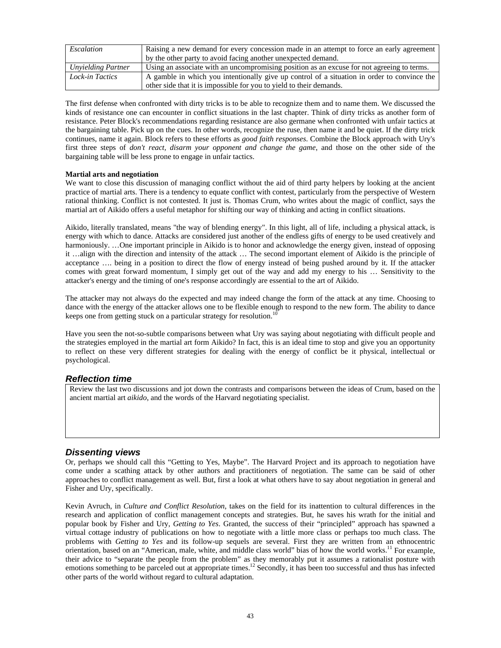| Escalation         | Raising a new demand for every concession made in an attempt to force an early agreement    |
|--------------------|---------------------------------------------------------------------------------------------|
|                    | by the other party to avoid facing another unexpected demand.                               |
| Unyielding Partner | Using an associate with an uncompromising position as an excuse for not agreeing to terms.  |
| Lock-in Tactics    | A gamble in which you intentionally give up control of a situation in order to convince the |
|                    | other side that it is impossible for you to yield to their demands.                         |

The first defense when confronted with dirty tricks is to be able to recognize them and to name them. We discussed the kinds of resistance one can encounter in conflict situations in the last chapter. Think of dirty tricks as another form of resistance. Peter Block's recommendations regarding resistance are also germane when confronted with unfair tactics at the bargaining table. Pick up on the cues. In other words, recognize the ruse, then name it and be quiet. If the dirty trick continues, name it again. Block refers to these efforts as *good faith responses*. Combine the Block approach with Ury's first three steps of *don't react, disarm your opponent and change the game*, and those on the other side of the bargaining table will be less prone to engage in unfair tactics.

#### **Martial arts and negotiation**

We want to close this discussion of managing conflict without the aid of third party helpers by looking at the ancient practice of martial arts. There is a tendency to equate conflict with contest, particularly from the perspective of Western rational thinking. Conflict is not contested. It just is. Thomas Crum, who writes about the magic of conflict, says the martial art of Aikido offers a useful metaphor for shifting our way of thinking and acting in conflict situations.

Aikido, literally translated, means "the way of blending energy". In this light, all of life, including a physical attack, is energy with which to dance. Attacks are considered just another of the endless gifts of energy to be used creatively and harmoniously. ...One important principle in Aikido is to honor and acknowledge the energy given, instead of opposing it …align with the direction and intensity of the attack … The second important element of Aikido is the principle of acceptance …. being in a position to direct the flow of energy instead of being pushed around by it. If the attacker comes with great forward momentum, I simply get out of the way and add my energy to his … Sensitivity to the attacker's energy and the timing of one's response accordingly are essential to the art of Aikido.

The attacker may not always do the expected and may indeed change the form of the attack at any time. Choosing to dance with the energy of the attacker allows one to be flexible enough to respond to the new form. The ability to dance keeps one from getting stuck on a particular strategy for resolution.<sup>1</sup>

Have you seen the not-so-subtle comparisons between what Ury was saying about negotiating with difficult people and the strategies employed in the martial art form Aikido? In fact, this is an ideal time to stop and give you an opportunity to reflect on these very different strategies for dealing with the energy of conflict be it physical, intellectual or psychological.

#### *Reflection time*

Review the last two discussions and jot down the contrasts and comparisons between the ideas of Crum, based on the ancient martial art *aikido*, and the words of the Harvard negotiating specialist.

#### *Dissenting views*

Or, perhaps we should call this "Getting to Yes, Maybe". The Harvard Project and its approach to negotiation have come under a scathing attack by other authors and practitioners of negotiation. The same can be said of other approaches to conflict management as well. But, first a look at what others have to say about negotiation in general and Fisher and Ury, specifically.

Kevin Avruch, in *Culture and Conflict Resolution*, takes on the field for its inattention to cultural differences in the research and application of conflict management concepts and strategies. But, he saves his wrath for the initial and popular book by Fisher and Ury, *Getting to Yes*. Granted, the success of their "principled" approach has spawned a virtual cottage industry of publications on how to negotiate with a little more class or perhaps too much class. The problems with *Getting to Yes* and its follow-up sequels are several. First they are written from an ethnocentric orientation, based on an "American, male, white, and middle class world" bias of how the world works.<sup>11</sup> For example, their advice to "separate the people from the problem" as they memorably put it assumes a rationalist posture with emotions something to be parceled out at appropriate times.<sup>12</sup> Secondly, it has been too successful and thus has infected other parts of the world without regard to cultural adaptation.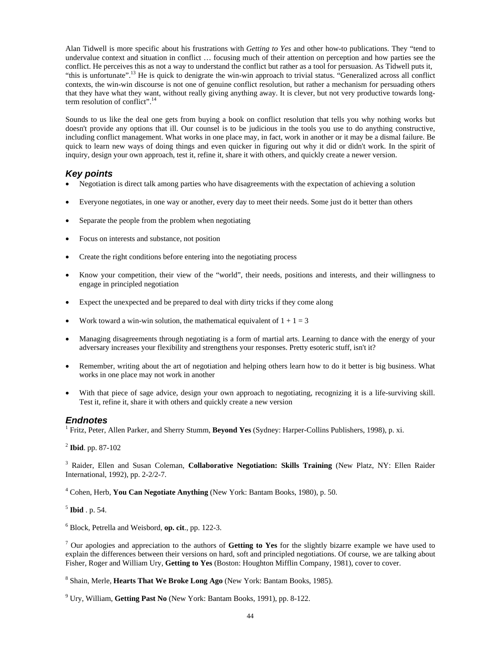Alan Tidwell is more specific about his frustrations with *Getting to Yes* and other how-to publications. They "tend to undervalue context and situation in conflict … focusing much of their attention on perception and how parties see the conflict. He perceives this as not a way to understand the conflict but rather as a tool for persuasion. As Tidwell puts it, "this is unfortunate".<sup>13</sup> He is quick to denigrate the win-win approach to trivial status. "Generalized across all conflict contexts, the win-win discourse is not one of genuine conflict resolution, but rather a mechanism for persuading others that they have what they want, without really giving anything away. It is clever, but not very productive towards longterm resolution of conflict".<sup>14</sup>

Sounds to us like the deal one gets from buying a book on conflict resolution that tells you why nothing works but doesn't provide any options that ill. Our counsel is to be judicious in the tools you use to do anything constructive, including conflict management. What works in one place may, in fact, work in another or it may be a dismal failure. Be quick to learn new ways of doing things and even quicker in figuring out why it did or didn't work. In the spirit of inquiry, design your own approach, test it, refine it, share it with others, and quickly create a newer version.

#### *Key points*

- Negotiation is direct talk among parties who have disagreements with the expectation of achieving a solution
- Everyone negotiates, in one way or another, every day to meet their needs. Some just do it better than others
- Separate the people from the problem when negotiating
- Focus on interests and substance, not position
- Create the right conditions before entering into the negotiating process
- Know your competition, their view of the "world", their needs, positions and interests, and their willingness to engage in principled negotiation
- Expect the unexpected and be prepared to deal with dirty tricks if they come along
- Work toward a win-win solution, the mathematical equivalent of  $1 + 1 = 3$
- Managing disagreements through negotiating is a form of martial arts. Learning to dance with the energy of your adversary increases your flexibility and strengthens your responses. Pretty esoteric stuff, isn't it?
- Remember, writing about the art of negotiation and helping others learn how to do it better is big business. What works in one place may not work in another
- With that piece of sage advice, design your own approach to negotiating, recognizing it is a life-surviving skill. Test it, refine it, share it with others and quickly create a new version

#### *Endnotes*

1 Fritz, Peter, Allen Parker, and Sherry Stumm, **Beyond Yes** (Sydney: Harper-Collins Publishers, 1998), p. xi.

<sup>2</sup> **Ibid**. pp. 87-102

3 Raider, Ellen and Susan Coleman, **Collaborative Negotiation: Skills Training** (New Platz, NY: Ellen Raider International, 1992), pp. 2-2/2-7.

4 Cohen, Herb, **You Can Negotiate Anything** (New York: Bantam Books, 1980), p. 50.

<sup>5</sup> **Ibid** . p. 54.

6 Block, Petrella and Weisbord, **op. cit**., pp. 122-3.

7 Our apologies and appreciation to the authors of **Getting to Yes** for the slightly bizarre example we have used to explain the differences between their versions on hard, soft and principled negotiations. Of course, we are talking about Fisher, Roger and William Ury, **Getting to Yes** (Boston: Houghton Mifflin Company, 1981), cover to cover.

8 Shain, Merle, **Hearts That We Broke Long Ago** (New York: Bantam Books, 1985).

<sup>9</sup> Ury, William, **Getting Past No** (New York: Bantam Books, 1991), pp. 8-122.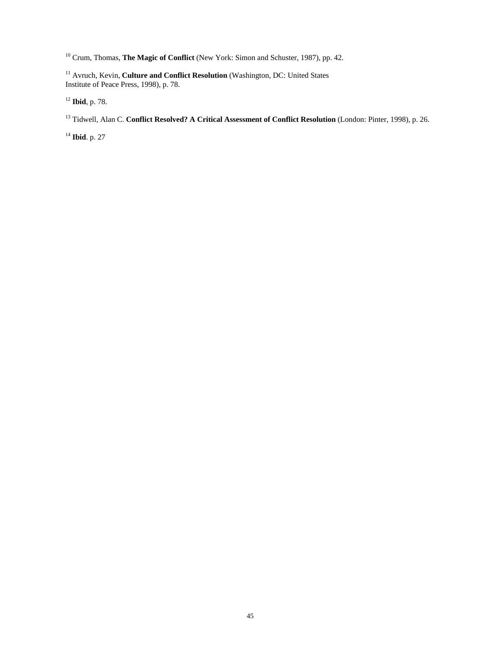<sup>10</sup> Crum, Thomas, **The Magic of Conflict** (New York: Simon and Schuster, 1987), pp. 42.

<sup>11</sup> Avruch, Kevin, Culture and Conflict Resolution (Washington, DC: United States Institute of Peace Press, 1998), p. 78.

<sup>12</sup> **Ibid**, p. 78.

13 Tidwell, Alan C. **Conflict Resolved? A Critical Assessment of Conflict Resolution** (London: Pinter, 1998), p. 26.

<sup>14</sup> **Ibid**. p. 27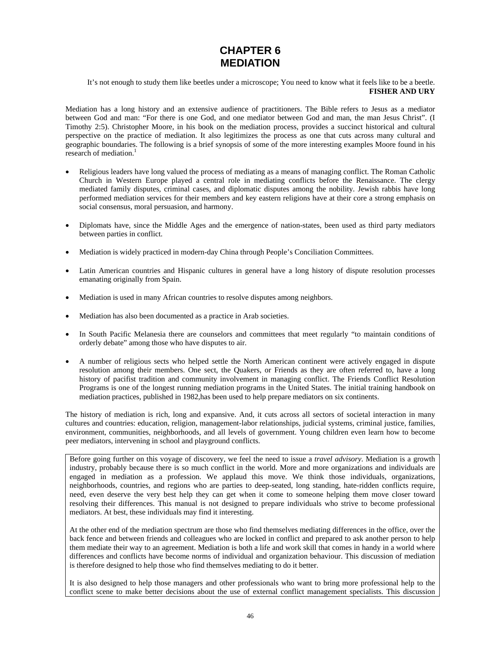## **CHAPTER 6 MEDIATION**

It's not enough to study them like beetles under a microscope; You need to know what it feels like to be a beetle. **FISHER AND URY** 

Mediation has a long history and an extensive audience of practitioners. The Bible refers to Jesus as a mediator between God and man: "For there is one God, and one mediator between God and man, the man Jesus Christ". (I Timothy 2:5). Christopher Moore, in his book on the mediation process, provides a succinct historical and cultural perspective on the practice of mediation. It also legitimizes the process as one that cuts across many cultural and geographic boundaries. The following is a brief synopsis of some of the more interesting examples Moore found in his research of mediation.<sup>1</sup>

- Religious leaders have long valued the process of mediating as a means of managing conflict. The Roman Catholic Church in Western Europe played a central role in mediating conflicts before the Renaissance. The clergy mediated family disputes, criminal cases, and diplomatic disputes among the nobility. Jewish rabbis have long performed mediation services for their members and key eastern religions have at their core a strong emphasis on social consensus, moral persuasion, and harmony.
- Diplomats have, since the Middle Ages and the emergence of nation-states, been used as third party mediators between parties in conflict.
- Mediation is widely practiced in modern-day China through People's Conciliation Committees.
- Latin American countries and Hispanic cultures in general have a long history of dispute resolution processes emanating originally from Spain.
- Mediation is used in many African countries to resolve disputes among neighbors.
- Mediation has also been documented as a practice in Arab societies.
- In South Pacific Melanesia there are counselors and committees that meet regularly "to maintain conditions of orderly debate" among those who have disputes to air.
- A number of religious sects who helped settle the North American continent were actively engaged in dispute resolution among their members. One sect, the Quakers, or Friends as they are often referred to, have a long history of pacifist tradition and community involvement in managing conflict. The Friends Conflict Resolution Programs is one of the longest running mediation programs in the United States. The initial training handbook on mediation practices, published in 1982,has been used to help prepare mediators on six continents.

The history of mediation is rich, long and expansive. And, it cuts across all sectors of societal interaction in many cultures and countries: education, religion, management-labor relationships, judicial systems, criminal justice, families, environment, communities, neighborhoods, and all levels of government. Young children even learn how to become peer mediators, intervening in school and playground conflicts.

Before going further on this voyage of discovery, we feel the need to issue a *travel advisory*. Mediation is a growth industry, probably because there is so much conflict in the world. More and more organizations and individuals are engaged in mediation as a profession. We applaud this move. We think those individuals, organizations, neighborhoods, countries, and regions who are parties to deep-seated, long standing, hate-ridden conflicts require, need, even deserve the very best help they can get when it come to someone helping them move closer toward resolving their differences. This manual is not designed to prepare individuals who strive to become professional mediators. At best, these individuals may find it interesting.

At the other end of the mediation spectrum are those who find themselves mediating differences in the office, over the back fence and between friends and colleagues who are locked in conflict and prepared to ask another person to help them mediate their way to an agreement. Mediation is both a life and work skill that comes in handy in a world where differences and conflicts have become norms of individual and organization behaviour. This discussion of mediation is therefore designed to help those who find themselves mediating to do it better.

It is also designed to help those managers and other professionals who want to bring more professional help to the conflict scene to make better decisions about the use of external conflict management specialists. This discussion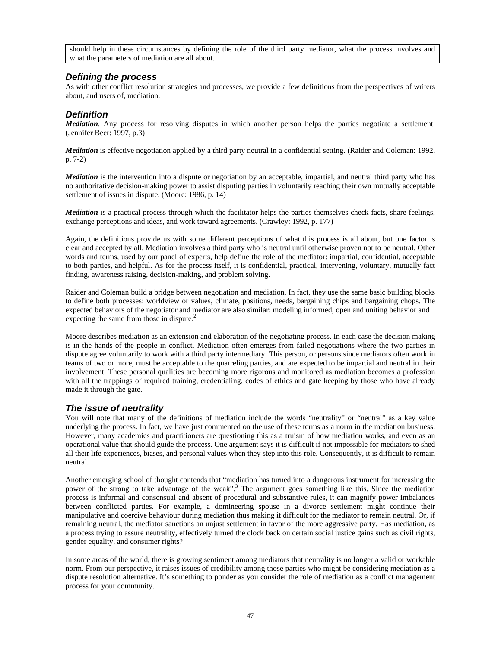should help in these circumstances by defining the role of the third party mediator, what the process involves and what the parameters of mediation are all about.

#### *Defining the process*

As with other conflict resolution strategies and processes, we provide a few definitions from the perspectives of writers about, and users of, mediation.

#### *Definition*

*Mediation*. Any process for resolving disputes in which another person helps the parties negotiate a settlement. (Jennifer Beer: 1997, p.3)

*Mediation* is effective negotiation applied by a third party neutral in a confidential setting. (Raider and Coleman: 1992, p. 7-2)

*Mediation* is the intervention into a dispute or negotiation by an acceptable, impartial, and neutral third party who has no authoritative decision-making power to assist disputing parties in voluntarily reaching their own mutually acceptable settlement of issues in dispute. (Moore: 1986, p. 14)

*Mediation* is a practical process through which the facilitator helps the parties themselves check facts, share feelings, exchange perceptions and ideas, and work toward agreements. (Crawley: 1992, p. 177)

Again, the definitions provide us with some different perceptions of what this process is all about, but one factor is clear and accepted by all. Mediation involves a third party who is neutral until otherwise proven not to be neutral. Other words and terms, used by our panel of experts, help define the role of the mediator: impartial, confidential, acceptable to both parties, and helpful. As for the process itself, it is confidential, practical, intervening, voluntary, mutually fact finding, awareness raising, decision-making, and problem solving.

Raider and Coleman build a bridge between negotiation and mediation. In fact, they use the same basic building blocks to define both processes: worldview or values, climate, positions, needs, bargaining chips and bargaining chops. The expected behaviors of the negotiator and mediator are also similar: modeling informed, open and uniting behavior and expecting the same from those in dispute.<sup>2</sup>

Moore describes mediation as an extension and elaboration of the negotiating process. In each case the decision making is in the hands of the people in conflict. Mediation often emerges from failed negotiations where the two parties in dispute agree voluntarily to work with a third party intermediary. This person, or persons since mediators often work in teams of two or more, must be acceptable to the quarreling parties, and are expected to be impartial and neutral in their involvement. These personal qualities are becoming more rigorous and monitored as mediation becomes a profession with all the trappings of required training, credentialing, codes of ethics and gate keeping by those who have already made it through the gate.

#### *The issue of neutrality*

You will note that many of the definitions of mediation include the words "neutrality" or "neutral" as a key value underlying the process. In fact, we have just commented on the use of these terms as a norm in the mediation business. However, many academics and practitioners are questioning this as a truism of how mediation works, and even as an operational value that should guide the process. One argument says it is difficult if not impossible for mediators to shed all their life experiences, biases, and personal values when they step into this role. Consequently, it is difficult to remain neutral.

Another emerging school of thought contends that "mediation has turned into a dangerous instrument for increasing the power of the strong to take advantage of the weak".<sup>3</sup> The argument goes something like this. Since the mediation process is informal and consensual and absent of procedural and substantive rules, it can magnify power imbalances between conflicted parties. For example, a domineering spouse in a divorce settlement might continue their manipulative and coercive behaviour during mediation thus making it difficult for the mediator to remain neutral. Or, if remaining neutral, the mediator sanctions an unjust settlement in favor of the more aggressive party. Has mediation, as a process trying to assure neutrality, effectively turned the clock back on certain social justice gains such as civil rights, gender equality, and consumer rights?

In some areas of the world, there is growing sentiment among mediators that neutrality is no longer a valid or workable norm. From our perspective, it raises issues of credibility among those parties who might be considering mediation as a dispute resolution alternative. It's something to ponder as you consider the role of mediation as a conflict management process for your community.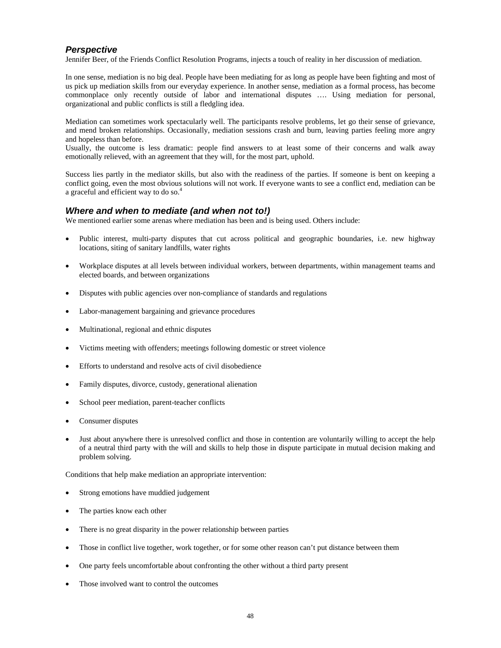#### *Perspective*

Jennifer Beer, of the Friends Conflict Resolution Programs, injects a touch of reality in her discussion of mediation.

In one sense, mediation is no big deal. People have been mediating for as long as people have been fighting and most of us pick up mediation skills from our everyday experience. In another sense, mediation as a formal process, has become commonplace only recently outside of labor and international disputes …. Using mediation for personal, organizational and public conflicts is still a fledgling idea.

Mediation can sometimes work spectacularly well. The participants resolve problems, let go their sense of grievance, and mend broken relationships. Occasionally, mediation sessions crash and burn, leaving parties feeling more angry and hopeless than before.

Usually, the outcome is less dramatic: people find answers to at least some of their concerns and walk away emotionally relieved, with an agreement that they will, for the most part, uphold.

Success lies partly in the mediator skills, but also with the readiness of the parties. If someone is bent on keeping a conflict going, even the most obvious solutions will not work. If everyone wants to see a conflict end, mediation can be a graceful and efficient way to do so.<sup>4</sup>

#### *Where and when to mediate (and when not to!)*

We mentioned earlier some arenas where mediation has been and is being used. Others include:

- Public interest, multi-party disputes that cut across political and geographic boundaries, i.e. new highway locations, siting of sanitary landfills, water rights
- Workplace disputes at all levels between individual workers, between departments, within management teams and elected boards, and between organizations
- Disputes with public agencies over non-compliance of standards and regulations
- Labor-management bargaining and grievance procedures
- Multinational, regional and ethnic disputes
- Victims meeting with offenders; meetings following domestic or street violence
- Efforts to understand and resolve acts of civil disobedience
- Family disputes, divorce, custody, generational alienation
- School peer mediation, parent-teacher conflicts
- Consumer disputes
- Just about anywhere there is unresolved conflict and those in contention are voluntarily willing to accept the help of a neutral third party with the will and skills to help those in dispute participate in mutual decision making and problem solving.

Conditions that help make mediation an appropriate intervention:

- Strong emotions have muddied judgement
- The parties know each other
- There is no great disparity in the power relationship between parties
- Those in conflict live together, work together, or for some other reason can't put distance between them
- One party feels uncomfortable about confronting the other without a third party present
- Those involved want to control the outcomes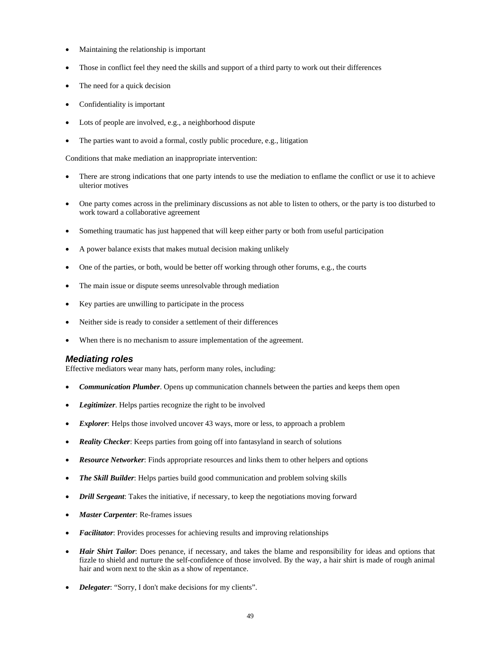- Maintaining the relationship is important
- Those in conflict feel they need the skills and support of a third party to work out their differences
- The need for a quick decision
- Confidentiality is important
- Lots of people are involved, e.g., a neighborhood dispute
- The parties want to avoid a formal, costly public procedure, e.g., litigation

Conditions that make mediation an inappropriate intervention:

- There are strong indications that one party intends to use the mediation to enflame the conflict or use it to achieve ulterior motives
- One party comes across in the preliminary discussions as not able to listen to others, or the party is too disturbed to work toward a collaborative agreement
- Something traumatic has just happened that will keep either party or both from useful participation
- A power balance exists that makes mutual decision making unlikely
- One of the parties, or both, would be better off working through other forums, e.g., the courts
- The main issue or dispute seems unresolvable through mediation
- Key parties are unwilling to participate in the process
- Neither side is ready to consider a settlement of their differences
- When there is no mechanism to assure implementation of the agreement.

#### *Mediating roles*

Effective mediators wear many hats, perform many roles, including:

- *Communication Plumber*. Opens up communication channels between the parties and keeps them open
- *Legitimizer*. Helps parties recognize the right to be involved
- *Explorer*: Helps those involved uncover 43 ways, more or less, to approach a problem
- *Reality Checker*: Keeps parties from going off into fantasyland in search of solutions
- *Resource Networker*: Finds appropriate resources and links them to other helpers and options
- *The Skill Builder*: Helps parties build good communication and problem solving skills
- *Drill Sergeant*: Takes the initiative, if necessary, to keep the negotiations moving forward
- *Master Carpenter*: Re-frames issues
- *Facilitator*: Provides processes for achieving results and improving relationships
- *Hair Shirt Tailor*: Does penance, if necessary, and takes the blame and responsibility for ideas and options that fizzle to shield and nurture the self-confidence of those involved. By the way, a hair shirt is made of rough animal hair and worn next to the skin as a show of repentance.
- *Delegater*: "Sorry, I don't make decisions for my clients".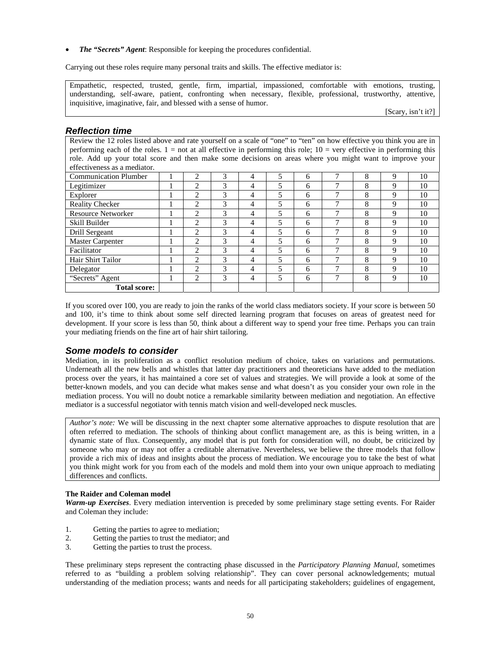• *The "Secrets" Agent*: Responsible for keeping the procedures confidential.

Carrying out these roles require many personal traits and skills. The effective mediator is:

Empathetic, respected, trusted, gentle, firm, impartial, impassioned, comfortable with emotions, trusting, understanding, self-aware, patient, confronting when necessary, flexible, professional, trustworthy, attentive, inquisitive, imaginative, fair, and blessed with a sense of humor.

[Scary, isn't it?]

#### *Reflection time*

Review the 12 roles listed above and rate yourself on a scale of "one" to "ten" on how effective you think you are in performing each of the roles.  $1 =$  not at all effective in performing this role;  $10 =$  very effective in performing this role. Add up your total score and then make some decisions on areas where you might want to improve your effectiveness as a mediator.

| <b>Communication Plumber</b> | 2              | 3 | 4 | 5 | 6 | ┑ | 8 | 9           | 10 |
|------------------------------|----------------|---|---|---|---|---|---|-------------|----|
| Legitimizer                  | 2              | 3 | 4 |   | 6 |   | 8 | 9           | 10 |
| Explorer                     | $\overline{c}$ | 3 | 4 | 5 | 6 | ┑ | 8 | 9           | 10 |
| <b>Reality Checker</b>       | 2              | 3 | 4 | 5 | 6 | ┑ | 8 | 9           | 10 |
| <b>Resource Networker</b>    | 2              | 3 | 4 |   | 6 |   | 8 | 9           | 10 |
| Skill Builder                | 2              | 3 | 4 | 5 | 6 |   | 8 | 9           | 10 |
| Drill Sergeant               | $\overline{c}$ | 3 | 4 | 5 | 6 | ┑ | 8 | 9           | 10 |
| <b>Master Carpenter</b>      | 2              | 3 | 4 |   | 6 |   | 8 | 9           | 10 |
| Facilitator                  | 2              | 3 | 4 | 5 | 6 | ┑ | 8 | 9           | 10 |
| Hair Shirt Tailor            | $\mathfrak{D}$ | 3 | 4 | 5 | 6 | ┑ | 8 | $\mathbf Q$ | 10 |
| Delegator                    | $\mathfrak{D}$ | 3 | 4 | 5 | 6 |   | 8 | 9           | 10 |
| "Secrets" Agent              | 2              | 3 | 4 |   | 6 | 7 | 8 | 9           | 10 |
| <b>Total score:</b>          |                |   |   |   |   |   |   |             |    |

If you scored over 100, you are ready to join the ranks of the world class mediators society. If your score is between 50 and 100, it's time to think about some self directed learning program that focuses on areas of greatest need for development. If your score is less than 50, think about a different way to spend your free time. Perhaps you can train your mediating friends on the fine art of hair shirt tailoring.

#### *Some models to consider*

Mediation, in its proliferation as a conflict resolution medium of choice, takes on variations and permutations. Underneath all the new bells and whistles that latter day practitioners and theoreticians have added to the mediation process over the years, it has maintained a core set of values and strategies. We will provide a look at some of the better-known models, and you can decide what makes sense and what doesn't as you consider your own role in the mediation process. You will no doubt notice a remarkable similarity between mediation and negotiation. An effective mediator is a successful negotiator with tennis match vision and well-developed neck muscles.

*Author's note:* We will be discussing in the next chapter some alternative approaches to dispute resolution that are often referred to mediation. The schools of thinking about conflict management are, as this is being written, in a dynamic state of flux. Consequently, any model that is put forth for consideration will, no doubt, be criticized by someone who may or may not offer a creditable alternative. Nevertheless, we believe the three models that follow provide a rich mix of ideas and insights about the process of mediation. We encourage you to take the best of what you think might work for you from each of the models and mold them into your own unique approach to mediating differences and conflicts.

#### **The Raider and Coleman model**

*Warm-up Exercises*. Every mediation intervention is preceded by some preliminary stage setting events. For Raider and Coleman they include:

- 1. Getting the parties to agree to mediation;
- 2. Getting the parties to trust the mediator; and
- 3. Getting the parties to trust the process.

These preliminary steps represent the contracting phase discussed in the *Participatory Planning Manual*, sometimes referred to as "building a problem solving relationship". They can cover personal acknowledgements; mutual understanding of the mediation process; wants and needs for all participating stakeholders; guidelines of engagement,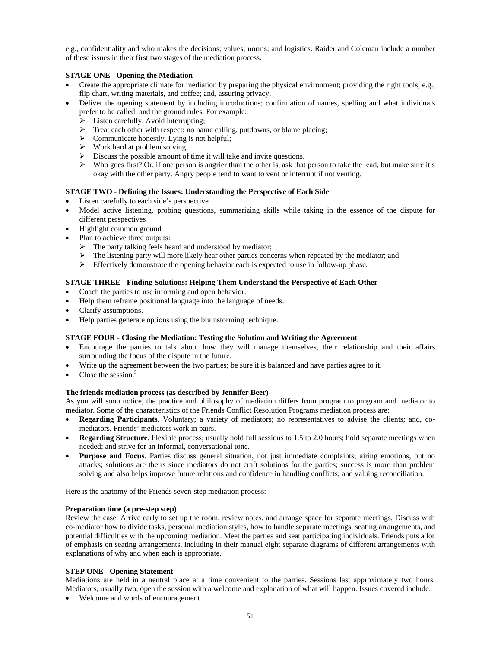e.g., confidentiality and who makes the decisions; values; norms; and logistics. Raider and Coleman include a number of these issues in their first two stages of the mediation process.

#### **STAGE ONE - Opening the Mediation**

- Create the appropriate climate for mediation by preparing the physical environment; providing the right tools, e.g., flip chart, writing materials, and coffee; and, assuring privacy.
- Deliver the opening statement by including introductions; confirmation of names, spelling and what individuals prefer to be called; and the ground rules. For example:
	- $\triangleright$  Listen carefully. Avoid interrupting;
	- $\triangleright$  Treat each other with respect: no name calling, putdowns, or blame placing;
	- $\triangleright$  Communicate honestly. Lying is not helpful;
	- $\triangleright$  Work hard at problem solving.
	- $\triangleright$  Discuss the possible amount of time it will take and invite questions.
	- $\triangleright$  Who goes first? Or, if one person is angrier than the other is, ask that person to take the lead, but make sure it s okay with the other party. Angry people tend to want to vent or interrupt if not venting.

#### **STAGE TWO - Defining the Issues: Understanding the Perspective of Each Side**

- Listen carefully to each side's perspective
- Model active listening, probing questions, summarizing skills while taking in the essence of the dispute for different perspectives
- Highlight common ground
- Plan to achieve three outputs:
	- The party talking feels heard and understood by mediator;
	- The listening party will more likely hear other parties concerns when repeated by the mediator; and
	- $\triangleright$  Effectively demonstrate the opening behavior each is expected to use in follow-up phase.

#### **STAGE THREE - Finding Solutions: Helping Them Understand the Perspective of Each Other**

- Coach the parties to use informing and open behavior.
- Help them reframe positional language into the language of needs.
- Clarify assumptions.
- Help parties generate options using the brainstorming technique.

#### **STAGE FOUR - Closing the Mediation: Testing the Solution and Writing the Agreement**

- Encourage the parties to talk about how they will manage themselves, their relationship and their affairs surrounding the focus of the dispute in the future.
- Write up the agreement between the two parties; be sure it is balanced and have parties agree to it.
- Close the session. $5$

#### **The friends mediation process (as described by Jennifer Beer)**

As you will soon notice, the practice and philosophy of mediation differs from program to program and mediator to mediator. Some of the characteristics of the Friends Conflict Resolution Programs mediation process are:

- **Regarding Participants**. Voluntary; a variety of mediators; no representatives to advise the clients; and, comediators. Friends' mediators work in pairs.
- **Regarding Structure**. Flexible process; usually hold full sessions to 1.5 to 2.0 hours; hold separate meetings when needed; and strive for an informal, conversational tone.
- **Purpose and Focus**. Parties discuss general situation, not just immediate complaints; airing emotions, but no attacks; solutions are theirs since mediators do not craft solutions for the parties; success is more than problem solving and also helps improve future relations and confidence in handling conflicts; and valuing reconciliation.

Here is the anatomy of the Friends seven-step mediation process:

#### **Preparation time (a pre-step step)**

Review the case. Arrive early to set up the room, review notes, and arrange space for separate meetings. Discuss with co-mediator how to divide tasks, personal mediation styles, how to handle separate meetings, seating arrangements, and potential difficulties with the upcoming mediation. Meet the parties and seat participating individuals. Friends puts a lot of emphasis on seating arrangements, including in their manual eight separate diagrams of different arrangements with explanations of why and when each is appropriate.

#### **STEP ONE - Opening Statement**

Mediations are held in a neutral place at a time convenient to the parties. Sessions last approximately two hours. Mediators, usually two, open the session with a welcome and explanation of what will happen. Issues covered include:

• Welcome and words of encouragement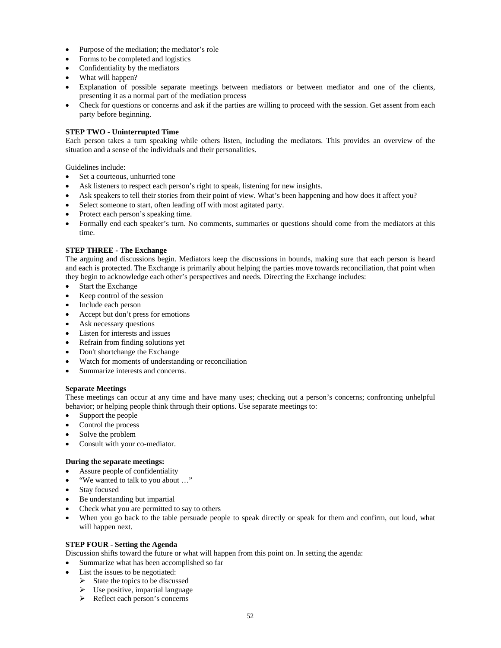- Purpose of the mediation; the mediator's role
- Forms to be completed and logistics
- Confidentiality by the mediators
- What will happen?
- Explanation of possible separate meetings between mediators or between mediator and one of the clients, presenting it as a normal part of the mediation process
- Check for questions or concerns and ask if the parties are willing to proceed with the session. Get assent from each party before beginning.

#### **STEP TWO - Uninterrupted Time**

Each person takes a turn speaking while others listen, including the mediators. This provides an overview of the situation and a sense of the individuals and their personalities.

Guidelines include:

- Set a courteous, unhurried tone
- Ask listeners to respect each person's right to speak, listening for new insights.
- Ask speakers to tell their stories from their point of view. What's been happening and how does it affect you?
- Select someone to start, often leading off with most agitated party.
- Protect each person's speaking time.
- Formally end each speaker's turn. No comments, summaries or questions should come from the mediators at this time.

#### **STEP THREE - The Exchange**

The arguing and discussions begin. Mediators keep the discussions in bounds, making sure that each person is heard and each is protected. The Exchange is primarily about helping the parties move towards reconciliation, that point when they begin to acknowledge each other's perspectives and needs. Directing the Exchange includes:

- Start the Exchange
- Keep control of the session
- Include each person
- Accept but don't press for emotions
- Ask necessary questions
- Listen for interests and issues
- Refrain from finding solutions yet
- Don't shortchange the Exchange
- Watch for moments of understanding or reconciliation
- Summarize interests and concerns.

#### **Separate Meetings**

These meetings can occur at any time and have many uses; checking out a person's concerns; confronting unhelpful behavior; or helping people think through their options. Use separate meetings to:

- Support the people
- Control the process
- Solve the problem
- Consult with your co-mediator.

#### **During the separate meetings:**

- Assure people of confidentiality
- "We wanted to talk to you about …"
- Stay focused
- Be understanding but impartial
- Check what you are permitted to say to others
- When you go back to the table persuade people to speak directly or speak for them and confirm, out loud, what will happen next.

#### **STEP FOUR - Setting the Agenda**

Discussion shifts toward the future or what will happen from this point on. In setting the agenda:

- Summarize what has been accomplished so far
- List the issues to be negotiated:
	- $\triangleright$  State the topics to be discussed
	- $\triangleright$  Use positive, impartial language
	- ¾ Reflect each person's concerns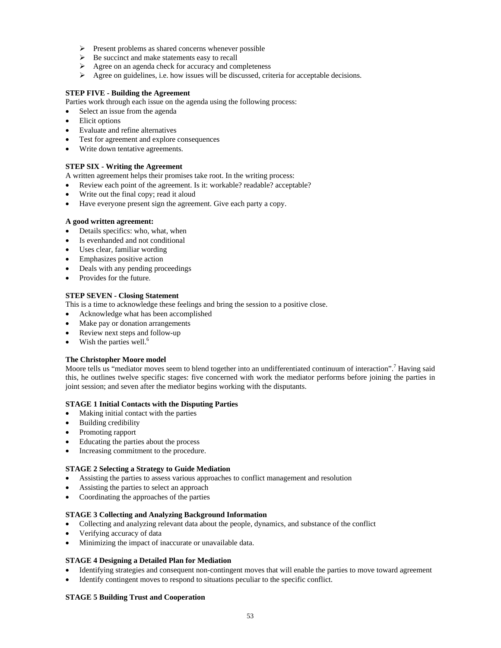- ¾ Present problems as shared concerns whenever possible
- $\triangleright$  Be succinct and make statements easy to recall
- $\triangleright$  Agree on an agenda check for accuracy and completeness
- $\blacktriangleright$  Agree on guidelines, i.e. how issues will be discussed, criteria for acceptable decisions.

#### **STEP FIVE - Building the Agreement**

Parties work through each issue on the agenda using the following process:

- Select an issue from the agenda
- Elicit options
- Evaluate and refine alternatives
- Test for agreement and explore consequences
- Write down tentative agreements.

#### **STEP SIX - Writing the Agreement**

A written agreement helps their promises take root. In the writing process:

- Review each point of the agreement. Is it: workable? readable? acceptable?
- Write out the final copy; read it aloud
- Have everyone present sign the agreement. Give each party a copy.

#### **A good written agreement:**

- Details specifics: who, what, when
- Is evenhanded and not conditional
- Uses clear, familiar wording
- Emphasizes positive action
- Deals with any pending proceedings
- Provides for the future.

#### **STEP SEVEN - Closing Statement**

This is a time to acknowledge these feelings and bring the session to a positive close.

- Acknowledge what has been accomplished
- Make pay or donation arrangements
- Review next steps and follow-up
- Wish the parties well.<sup>6</sup>

#### **The Christopher Moore model**

Moore tells us "mediator moves seem to blend together into an undifferentiated continuum of interaction".<sup>7</sup> Having said this, he outlines twelve specific stages: five concerned with work the mediator performs before joining the parties in joint session; and seven after the mediator begins working with the disputants.

#### **STAGE 1 Initial Contacts with the Disputing Parties**

- Making initial contact with the parties
- Building credibility
- Promoting rapport
- Educating the parties about the process
- Increasing commitment to the procedure.

#### **STAGE 2 Selecting a Strategy to Guide Mediation**

- Assisting the parties to assess various approaches to conflict management and resolution
- Assisting the parties to select an approach
- Coordinating the approaches of the parties

#### **STAGE 3 Collecting and Analyzing Background Information**

- Collecting and analyzing relevant data about the people, dynamics, and substance of the conflict
- Verifying accuracy of data
- Minimizing the impact of inaccurate or unavailable data.

#### **STAGE 4 Designing a Detailed Plan for Mediation**

- Identifying strategies and consequent non-contingent moves that will enable the parties to move toward agreement
- Identify contingent moves to respond to situations peculiar to the specific conflict.

#### **STAGE 5 Building Trust and Cooperation**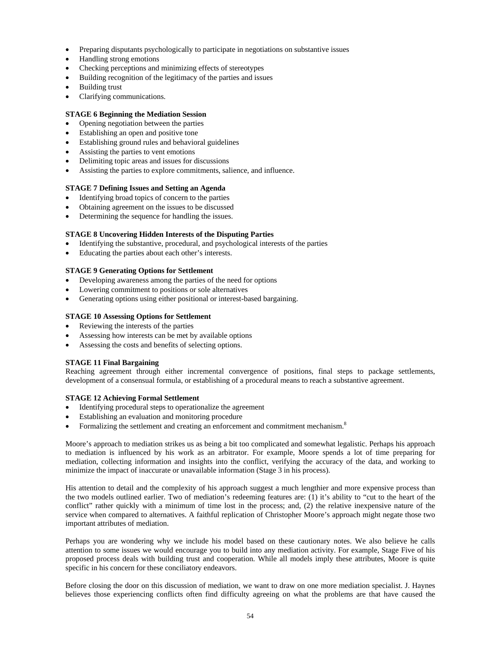- Preparing disputants psychologically to participate in negotiations on substantive issues
- Handling strong emotions
- Checking perceptions and minimizing effects of stereotypes
- Building recognition of the legitimacy of the parties and issues
- Building trust
- Clarifying communications.

#### **STAGE 6 Beginning the Mediation Session**

- Opening negotiation between the parties
- Establishing an open and positive tone
- Establishing ground rules and behavioral guidelines
- Assisting the parties to vent emotions
- Delimiting topic areas and issues for discussions
- Assisting the parties to explore commitments, salience, and influence.

#### **STAGE 7 Defining Issues and Setting an Agenda**

- Identifying broad topics of concern to the parties
- Obtaining agreement on the issues to be discussed
- Determining the sequence for handling the issues.

#### **STAGE 8 Uncovering Hidden Interests of the Disputing Parties**

- Identifying the substantive, procedural, and psychological interests of the parties
- Educating the parties about each other's interests.

#### **STAGE 9 Generating Options for Settlement**

- Developing awareness among the parties of the need for options
- Lowering commitment to positions or sole alternatives
- Generating options using either positional or interest-based bargaining.

#### **STAGE 10 Assessing Options for Settlement**

- Reviewing the interests of the parties
- Assessing how interests can be met by available options
- Assessing the costs and benefits of selecting options.

#### **STAGE 11 Final Bargaining**

Reaching agreement through either incremental convergence of positions, final steps to package settlements, development of a consensual formula, or establishing of a procedural means to reach a substantive agreement.

#### **STAGE 12 Achieving Formal Settlement**

- Identifying procedural steps to operationalize the agreement
- Establishing an evaluation and monitoring procedure
- Formalizing the settlement and creating an enforcement and commitment mechanism.8

Moore's approach to mediation strikes us as being a bit too complicated and somewhat legalistic. Perhaps his approach to mediation is influenced by his work as an arbitrator. For example, Moore spends a lot of time preparing for mediation, collecting information and insights into the conflict, verifying the accuracy of the data, and working to minimize the impact of inaccurate or unavailable information (Stage 3 in his process).

His attention to detail and the complexity of his approach suggest a much lengthier and more expensive process than the two models outlined earlier. Two of mediation's redeeming features are: (1) it's ability to "cut to the heart of the conflict" rather quickly with a minimum of time lost in the process; and, (2) the relative inexpensive nature of the service when compared to alternatives. A faithful replication of Christopher Moore's approach might negate those two important attributes of mediation.

Perhaps you are wondering why we include his model based on these cautionary notes. We also believe he calls attention to some issues we would encourage you to build into any mediation activity. For example, Stage Five of his proposed process deals with building trust and cooperation. While all models imply these attributes, Moore is quite specific in his concern for these conciliatory endeavors.

Before closing the door on this discussion of mediation, we want to draw on one more mediation specialist. J. Haynes believes those experiencing conflicts often find difficulty agreeing on what the problems are that have caused the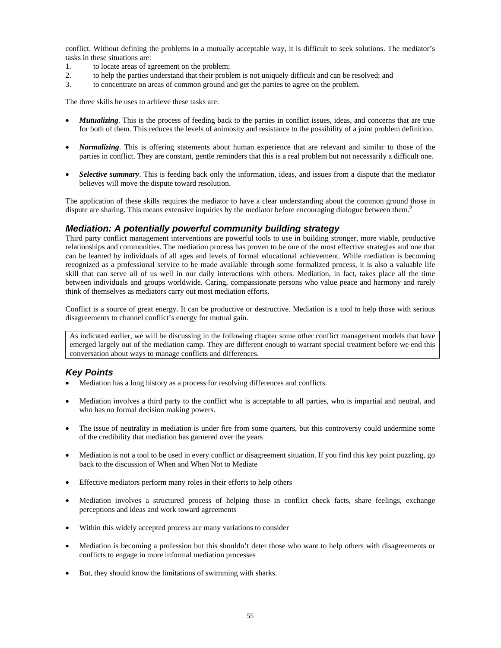conflict. Without defining the problems in a mutually acceptable way, it is difficult to seek solutions. The mediator's tasks in these situations are:

- 1. to locate areas of agreement on the problem;
- 2. to help the parties understand that their problem is not uniquely difficult and can be resolved; and
- 3. to concentrate on areas of common ground and get the parties to agree on the problem.

The three skills he uses to achieve these tasks are:

- *Mutualizing*. This is the process of feeding back to the parties in conflict issues, ideas, and concerns that are true for both of them. This reduces the levels of animosity and resistance to the possibility of a joint problem definition.
- *Normalizing*. This is offering statements about human experience that are relevant and similar to those of the parties in conflict. They are constant, gentle reminders that this is a real problem but not necessarily a difficult one.
- *Selective summary*. This is feeding back only the information, ideas, and issues from a dispute that the mediator believes will move the dispute toward resolution.

The application of these skills requires the mediator to have a clear understanding about the common ground those in dispute are sharing. This means extensive inquiries by the mediator before encouraging dialogue between them.<sup>9</sup>

#### *Mediation: A potentially powerful community building strategy*

Third party conflict management interventions are powerful tools to use in building stronger, more viable, productive relationships and communities. The mediation process has proven to be one of the most effective strategies and one that can be learned by individuals of all ages and levels of formal educational achievement. While mediation is becoming recognized as a professional service to be made available through some formalized process, it is also a valuable life skill that can serve all of us well in our daily interactions with others. Mediation, in fact, takes place all the time between individuals and groups worldwide. Caring, compassionate persons who value peace and harmony and rarely think of themselves as mediators carry out most mediation efforts.

Conflict is a source of great energy. It can be productive or destructive. Mediation is a tool to help those with serious disagreements to channel conflict's energy for mutual gain.

As indicated earlier, we will be discussing in the following chapter some other conflict management models that have emerged largely out of the mediation camp. They are different enough to warrant special treatment before we end this conversation about ways to manage conflicts and differences.

#### *Key Points*

- Mediation has a long history as a process for resolving differences and conflicts.
- Mediation involves a third party to the conflict who is acceptable to all parties, who is impartial and neutral, and who has no formal decision making powers.
- The issue of neutrality in mediation is under fire from some quarters, but this controversy could undermine some of the credibility that mediation has garnered over the years
- Mediation is not a tool to be used in every conflict or disagreement situation. If you find this key point puzzling, go back to the discussion of When and When Not to Mediate
- Effective mediators perform many roles in their efforts to help others
- Mediation involves a structured process of helping those in conflict check facts, share feelings, exchange perceptions and ideas and work toward agreements
- Within this widely accepted process are many variations to consider
- Mediation is becoming a profession but this shouldn't deter those who want to help others with disagreements or conflicts to engage in more informal mediation processes
- But, they should know the limitations of swimming with sharks.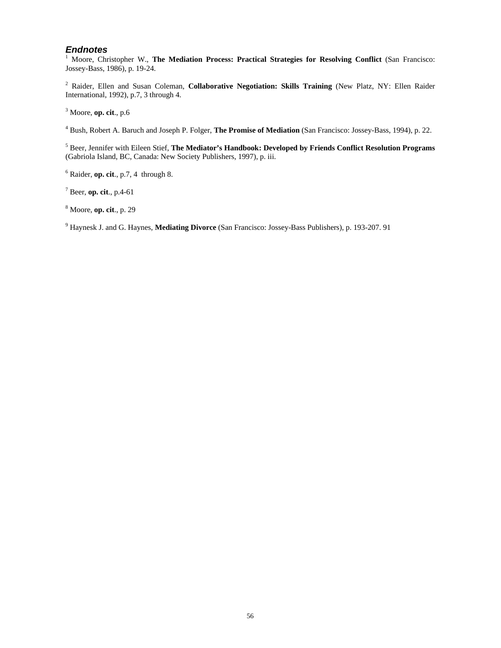#### *Endnotes*

<sup>1</sup> Moore, Christopher W., The Mediation Process: Practical Strategies for Resolving Conflict (San Francisco: Jossey-Bass, 1986), p. 19-24.

 Raider, Ellen and Susan Coleman, **Collaborative Negotiation: Skills Training** (New Platz, NY: Ellen Raider International, 1992), p.7, 3 through 4.

Moore, **op. cit**., p.6

Bush, Robert A. Baruch and Joseph P. Folger, **The Promise of Mediation** (San Francisco: Jossey-Bass, 1994), p. 22.

 Beer, Jennifer with Eileen Stief, **The Mediator's Handbook: Developed by Friends Conflict Resolution Programs**  (Gabriola Island, BC, Canada: New Society Publishers, 1997), p. iii.

Raider, **op. cit**., p.7, 4 through 8.

Beer, **op. cit**., p.4-61

Moore, **op. cit**., p. 29

Haynesk J. and G. Haynes, **Mediating Divorce** (San Francisco: Jossey-Bass Publishers), p. 193-207. 91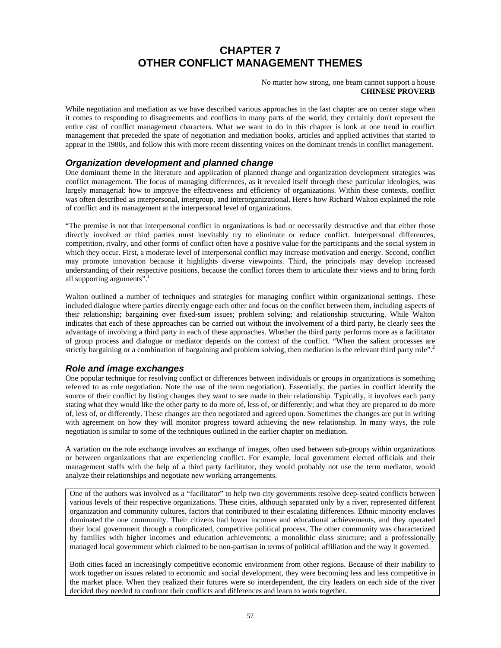## **CHAPTER 7 OTHER CONFLICT MANAGEMENT THEMES**

#### No matter how strong, one beam cannot support a house **CHINESE PROVERB**

While negotiation and mediation as we have described various approaches in the last chapter are on center stage when it comes to responding to disagreements and conflicts in many parts of the world, they certainly don't represent the entire cast of conflict management characters. What we want to do in this chapter is look at one trend in conflict management that preceded the spate of negotiation and mediation books, articles and applied activities that started to appear in the 1980s, and follow this with more recent dissenting voices on the dominant trends in conflict management.

#### *Organization development and planned change*

One dominant theme in the literature and application of planned change and organization development strategies was conflict management. The focus of managing differences, as it revealed itself through these particular ideologies, was largely managerial: how to improve the effectiveness and efficiency of organizations. Within these contexts, conflict was often described as interpersonal, intergroup, and interorganizational. Here's how Richard Walton explained the role of conflict and its management at the interpersonal level of organizations.

"The premise is not that interpersonal conflict in organizations is bad or necessarily destructive and that either those directly involved or third parties must inevitably try to eliminate or reduce conflict. Interpersonal differences, competition, rivalry, and other forms of conflict often have a positive value for the participants and the social system in which they occur. First, a moderate level of interpersonal conflict may increase motivation and energy. Second, conflict may promote innovation because it highlights diverse viewpoints. Third, the principals may develop increased understanding of their respective positions, because the conflict forces them to articulate their views and to bring forth all supporting arguments".

Walton outlined a number of techniques and strategies for managing conflict within organizational settings. These included dialogue where parties directly engage each other and focus on the conflict between them, including aspects of their relationship; bargaining over fixed-sum issues; problem solving; and relationship structuring. While Walton indicates that each of these approaches can be carried out without the involvement of a third party, he clearly sees the advantage of involving a third party in each of these approaches. Whether the third party performs more as a facilitator of group process and dialogue or mediator depends on the context of the conflict. "When the salient processes are strictly bargaining or a combination of bargaining and problem solving, then mediation is the relevant third party role".<sup>2</sup>

#### *Role and image exchanges*

One popular technique for resolving conflict or differences between individuals or groups in organizations is something referred to as role negotiation. Note the use of the term negotiation). Essentially, the parties in conflict identify the source of their conflict by listing changes they want to see made in their relationship. Typically, it involves each party stating what they would like the other party to do more of, less of, or differently; and what they are prepared to do more of, less of, or differently. These changes are then negotiated and agreed upon. Sometimes the changes are put in writing with agreement on how they will monitor progress toward achieving the new relationship. In many ways, the role negotiation is similar to some of the techniques outlined in the earlier chapter on mediation.

A variation on the role exchange involves an exchange of images, often used between sub-groups within organizations or between organizations that are experiencing conflict. For example, local government elected officials and their management staffs with the help of a third party facilitator, they would probably not use the term mediator, would analyze their relationships and negotiate new working arrangements.

One of the authors was involved as a "facilitator" to help two city governments resolve deep-seated conflicts between various levels of their respective organizations. These cities, although separated only by a river, represented different organization and community cultures, factors that contributed to their escalating differences. Ethnic minority enclaves dominated the one community. Their citizens had lower incomes and educational achievements, and they operated their local government through a complicated, competitive political process. The other community was characterized by families with higher incomes and education achievements; a monolithic class structure; and a professionally managed local government which claimed to be non-partisan in terms of political affiliation and the way it governed.

Both cities faced an increasingly competitive economic environment from other regions. Because of their inability to work together on issues related to economic and social development, they were becoming less and less competitive in the market place. When they realized their futures were so interdependent, the city leaders on each side of the river decided they needed to confront their conflicts and differences and learn to work together.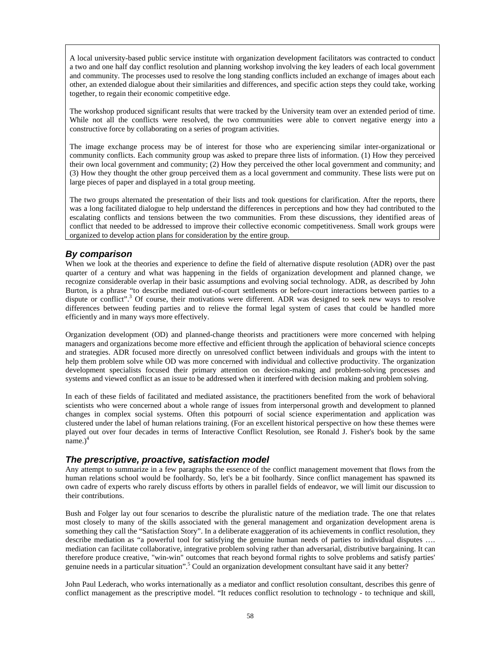A local university-based public service institute with organization development facilitators was contracted to conduct a two and one half day conflict resolution and planning workshop involving the key leaders of each local government and community. The processes used to resolve the long standing conflicts included an exchange of images about each other, an extended dialogue about their similarities and differences, and specific action steps they could take, working together, to regain their economic competitive edge.

The workshop produced significant results that were tracked by the University team over an extended period of time. While not all the conflicts were resolved, the two communities were able to convert negative energy into a constructive force by collaborating on a series of program activities.

The image exchange process may be of interest for those who are experiencing similar inter-organizational or community conflicts. Each community group was asked to prepare three lists of information. (1) How they perceived their own local government and community; (2) How they perceived the other local government and community; and (3) How they thought the other group perceived them as a local government and community. These lists were put on large pieces of paper and displayed in a total group meeting.

The two groups alternated the presentation of their lists and took questions for clarification. After the reports, there was a long facilitated dialogue to help understand the differences in perceptions and how they had contributed to the escalating conflicts and tensions between the two communities. From these discussions, they identified areas of conflict that needed to be addressed to improve their collective economic competitiveness. Small work groups were organized to develop action plans for consideration by the entire group.

#### *By comparison*

When we look at the theories and experience to define the field of alternative dispute resolution (ADR) over the past quarter of a century and what was happening in the fields of organization development and planned change, we recognize considerable overlap in their basic assumptions and evolving social technology. ADR, as described by John Burton, is a phrase "to describe mediated out-of-court settlements or before-court interactions between parties to a dispute or conflict".<sup>3</sup> Of course, their motivations were different. ADR was designed to seek new ways to resolve differences between feuding parties and to relieve the formal legal system of cases that could be handled more efficiently and in many ways more effectively.

Organization development (OD) and planned-change theorists and practitioners were more concerned with helping managers and organizations become more effective and efficient through the application of behavioral science concepts and strategies. ADR focused more directly on unresolved conflict between individuals and groups with the intent to help them problem solve while OD was more concerned with individual and collective productivity. The organization development specialists focused their primary attention on decision-making and problem-solving processes and systems and viewed conflict as an issue to be addressed when it interfered with decision making and problem solving.

In each of these fields of facilitated and mediated assistance, the practitioners benefited from the work of behavioral scientists who were concerned about a whole range of issues from interpersonal growth and development to planned changes in complex social systems. Often this potpourri of social science experimentation and application was clustered under the label of human relations training. (For an excellent historical perspective on how these themes were played out over four decades in terms of Interactive Conflict Resolution, see Ronald J. Fisher's book by the same  $name.)<sup>4</sup>$ 

#### *The prescriptive, proactive, satisfaction model*

Any attempt to summarize in a few paragraphs the essence of the conflict management movement that flows from the human relations school would be foolhardy. So, let's be a bit foolhardy. Since conflict management has spawned its own cadre of experts who rarely discuss efforts by others in parallel fields of endeavor, we will limit our discussion to their contributions.

Bush and Folger lay out four scenarios to describe the pluralistic nature of the mediation trade. The one that relates most closely to many of the skills associated with the general management and organization development arena is something they call the "Satisfaction Story". In a deliberate exaggeration of its achievements in conflict resolution, they describe mediation as "a powerful tool for satisfying the genuine human needs of parties to individual disputes .... mediation can facilitate collaborative, integrative problem solving rather than adversarial, distributive bargaining. It can therefore produce creative, "win-win" outcomes that reach beyond formal rights to solve problems and satisfy parties' genuine needs in a particular situation".<sup>5</sup> Could an organization development consultant have said it any better?

John Paul Lederach, who works internationally as a mediator and conflict resolution consultant, describes this genre of conflict management as the prescriptive model. "It reduces conflict resolution to technology - to technique and skill,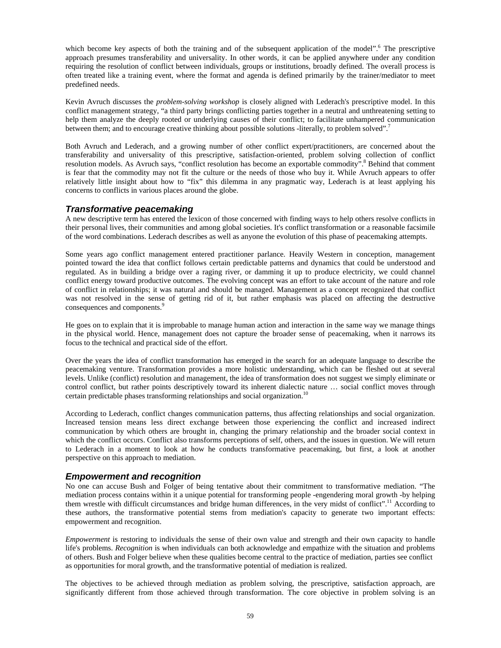which become key aspects of both the training and of the subsequent application of the model".<sup>6</sup> The prescriptive approach presumes transferability and universality. In other words, it can be applied anywhere under any condition requiring the resolution of conflict between individuals, groups or institutions, broadly defined. The overall process is often treated like a training event, where the format and agenda is defined primarily by the trainer/mediator to meet predefined needs.

Kevin Avruch discusses the *problem-solving workshop* is closely aligned with Lederach's prescriptive model. In this conflict management strategy, "a third party brings conflicting parties together in a neutral and unthreatening setting to help them analyze the deeply rooted or underlying causes of their conflict; to facilitate unhampered communication between them; and to encourage creative thinking about possible solutions -literally, to problem solved".7

Both Avruch and Lederach, and a growing number of other conflict expert/practitioners, are concerned about the transferability and universality of this prescriptive, satisfaction-oriented, problem solving collection of conflict resolution models. As Avruch says, "conflict resolution has become an exportable commodity".<sup>8</sup> Behind that comment is fear that the commodity may not fit the culture or the needs of those who buy it. While Avruch appears to offer relatively little insight about how to "fix" this dilemma in any pragmatic way, Lederach is at least applying his concerns to conflicts in various places around the globe.

#### *Transformative peacemaking*

A new descriptive term has entered the lexicon of those concerned with finding ways to help others resolve conflicts in their personal lives, their communities and among global societies. It's conflict transformation or a reasonable facsimile of the word combinations. Lederach describes as well as anyone the evolution of this phase of peacemaking attempts.

Some years ago conflict management entered practitioner parlance. Heavily Western in conception, management pointed toward the idea that conflict follows certain predictable patterns and dynamics that could be understood and regulated. As in building a bridge over a raging river, or damming it up to produce electricity, we could channel conflict energy toward productive outcomes. The evolving concept was an effort to take account of the nature and role of conflict in relationships; it was natural and should be managed. Management as a concept recognized that conflict was not resolved in the sense of getting rid of it, but rather emphasis was placed on affecting the destructive consequences and components.<sup>9</sup>

He goes on to explain that it is improbable to manage human action and interaction in the same way we manage things in the physical world. Hence, management does not capture the broader sense of peacemaking, when it narrows its focus to the technical and practical side of the effort.

Over the years the idea of conflict transformation has emerged in the search for an adequate language to describe the peacemaking venture. Transformation provides a more holistic understanding, which can be fleshed out at several levels. Unlike (conflict) resolution and management, the idea of transformation does not suggest we simply eliminate or control conflict, but rather points descriptively toward its inherent dialectic nature … social conflict moves through certain predictable phases transforming relationships and social organization.<sup>10</sup>

According to Lederach, conflict changes communication patterns, thus affecting relationships and social organization. Increased tension means less direct exchange between those experiencing the conflict and increased indirect communication by which others are brought in, changing the primary relationship and the broader social context in which the conflict occurs. Conflict also transforms perceptions of self, others, and the issues in question. We will return to Lederach in a moment to look at how he conducts transformative peacemaking, but first, a look at another perspective on this approach to mediation.

#### *Empowerment and recognition*

No one can accuse Bush and Folger of being tentative about their commitment to transformative mediation. "The mediation process contains within it a unique potential for transforming people -engendering moral growth -by helping them wrestle with difficult circumstances and bridge human differences, in the very midst of conflict".11 According to these authors, the transformative potential stems from mediation's capacity to generate two important effects: empowerment and recognition.

*Empowerment* is restoring to individuals the sense of their own value and strength and their own capacity to handle life's problems. *Recognition* is when individuals can both acknowledge and empathize with the situation and problems of others. Bush and Folger believe when these qualities become central to the practice of mediation, parties see conflict as opportunities for moral growth, and the transformative potential of mediation is realized.

The objectives to be achieved through mediation as problem solving, the prescriptive, satisfaction approach, are significantly different from those achieved through transformation. The core objective in problem solving is an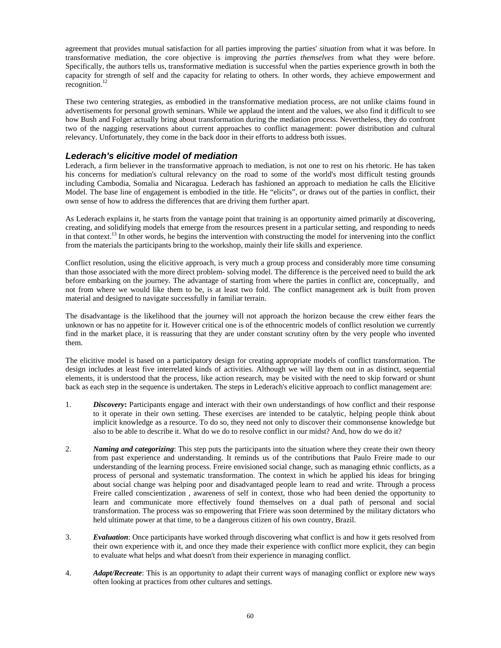agreement that provides mutual satisfaction for all parties improving the parties' *situation* from what it was before. In transformative mediation, the core objective is improving *the parties themselves* from what they were before. Specifically, the authors tells us, transformative mediation is successful when the parties experience growth in both the capacity for strength of self and the capacity for relating to others. In other words, they achieve empowerment and recognition. $^{12}$ 

These two centering strategies, as embodied in the transformative mediation process, are not unlike claims found in advertisements for personal growth seminars. While we applaud the intent and the values, we also find it difficult to see how Bush and Folger actually bring about transformation during the mediation process. Nevertheless, they do confront two of the nagging reservations about current approaches to conflict management: power distribution and cultural relevancy. Unfortunately, they come in the back door in their efforts to address both issues.

#### *Lederach's elicitive model of mediation*

Lederach, a firm believer in the transformative approach to mediation, is not one to rest on his rhetoric. He has taken his concerns for mediation's cultural relevancy on the road to some of the world's most difficult testing grounds including Cambodia, Somalia and Nicaragua. Lederach has fashioned an approach to mediation he calls the Elicitive Model. The base line of engagement is embodied in the title. He "elicits", or draws out of the parties in conflict, their own sense of how to address the differences that are driving them further apart.

As Lederach explains it, he starts from the vantage point that training is an opportunity aimed primarily at discovering, creating, and solidifying models that emerge from the resources present in a particular setting, and responding to needs in that context.<sup>13</sup> In other words, he begins the intervention with constructing the model for intervening into the conflict from the materials the participants bring to the workshop, mainly their life skills and experience.

Conflict resolution, using the elicitive approach, is very much a group process and considerably more time consuming than those associated with the more direct problem- solving model. The difference is the perceived need to build the ark before embarking on the journey. The advantage of starting from where the parties in conflict are, conceptually, and not from where we would like them to be, is at least two fold. The conflict management ark is built from proven material and designed to navigate successfully in familiar terrain.

The disadvantage is the likelihood that the journey will not approach the horizon because the crew either fears the unknown or has no appetite for it. However critical one is of the ethnocentric models of conflict resolution we currently find in the market place, it is reassuring that they are under constant scrutiny often by the very people who invented them.

The elicitive model is based on a participatory design for creating appropriate models of conflict transformation. The design includes at least five interrelated kinds of activities. Although we will lay them out in as distinct, sequential elements, it is understood that the process, like action research, may be visited with the need to skip forward or shunt back as each step in the sequence is undertaken. The steps in Lederach's elicitive approach to conflict management are:

- 1. *Discovery***:** Participants engage and interact with their own understandings of how conflict and their response to it operate in their own setting. These exercises are intended to be catalytic, helping people think about implicit knowledge as a resource. To do so, they need not only to discover their commonsense knowledge but also to be able to describe it. What do we do to resolve conflict in our midst? And, how do we do it?
- 2. *Naming and categorizing*: This step puts the participants into the situation where they create their own theory from past experience and understanding. It reminds us of the contributions that Paulo Freire made to our understanding of the learning process. Freire envisioned social change, such as managing ethnic conflicts, as a process of personal and systematic transformation. The context in which he applied his ideas for bringing about social change was helping poor and disadvantaged people learn to read and write. Through a process Freire called conscientization , awareness of self in context, those who had been denied the opportunity to learn and communicate more effectively found themselves on a dual path of personal and social transformation. The process was so empowering that Friere was soon determined by the military dictators who held ultimate power at that time, to be a dangerous citizen of his own country, Brazil.
- 3. *Evaluation*: Once participants have worked through discovering what conflict is and how it gets resolved from their own experience with it, and once they made their experience with conflict more explicit, they can begin to evaluate what helps and what doesn't from their experience in managing conflict.
- 4. *Adapt/Recreate*: This is an opportunity to adapt their current ways of managing conflict or explore new ways often looking at practices from other cultures and settings.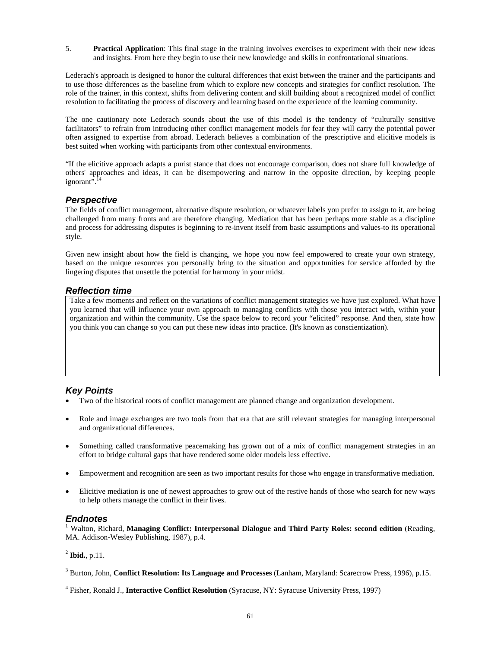5. **Practical Application**: This final stage in the training involves exercises to experiment with their new ideas and insights. From here they begin to use their new knowledge and skills in confrontational situations.

Lederach's approach is designed to honor the cultural differences that exist between the trainer and the participants and to use those differences as the baseline from which to explore new concepts and strategies for conflict resolution. The role of the trainer, in this context, shifts from delivering content and skill building about a recognized model of conflict resolution to facilitating the process of discovery and learning based on the experience of the learning community.

The one cautionary note Lederach sounds about the use of this model is the tendency of "culturally sensitive facilitators" to refrain from introducing other conflict management models for fear they will carry the potential power often assigned to expertise from abroad. Lederach believes a combination of the prescriptive and elicitive models is best suited when working with participants from other contextual environments.

"If the elicitive approach adapts a purist stance that does not encourage comparison, does not share full knowledge of others' approaches and ideas, it can be disempowering and narrow in the opposite direction, by keeping people ignorant $\mathbb{R}^1$ <sup>14</sup>

#### *Perspective*

The fields of conflict management, alternative dispute resolution, or whatever labels you prefer to assign to it, are being challenged from many fronts and are therefore changing. Mediation that has been perhaps more stable as a discipline and process for addressing disputes is beginning to re-invent itself from basic assumptions and values-to its operational style.

Given new insight about how the field is changing, we hope you now feel empowered to create your own strategy, based on the unique resources you personally bring to the situation and opportunities for service afforded by the lingering disputes that unsettle the potential for harmony in your midst.

#### *Reflection time*

Take a few moments and reflect on the variations of conflict management strategies we have just explored. What have you learned that will influence your own approach to managing conflicts with those you interact with, within your organization and within the community. Use the space below to record your "elicited" response. And then, state how you think you can change so you can put these new ideas into practice. (It's known as conscientization).

#### *Key Points*

- Two of the historical roots of conflict management are planned change and organization development.
- Role and image exchanges are two tools from that era that are still relevant strategies for managing interpersonal and organizational differences.
- Something called transformative peacemaking has grown out of a mix of conflict management strategies in an effort to bridge cultural gaps that have rendered some older models less effective.
- Empowerment and recognition are seen as two important results for those who engage in transformative mediation.
- Elicitive mediation is one of newest approaches to grow out of the restive hands of those who search for new ways to help others manage the conflict in their lives.

#### *Endnotes*

<sup>1</sup> Walton, Richard, Managing Conflict: Interpersonal Dialogue and Third Party Roles: second edition (Reading, MA. Addison-Wesley Publishing, 1987), p.4.

<sup>2</sup> **Ibid.**, p.11.

<sup>3</sup> Burton, John, **Conflict Resolution: Its Language and Processes** (Lanham, Maryland: Scarecrow Press, 1996), p.15.

<sup>4</sup> Fisher, Ronald J., **Interactive Conflict Resolution** (Syracuse, NY: Syracuse University Press, 1997)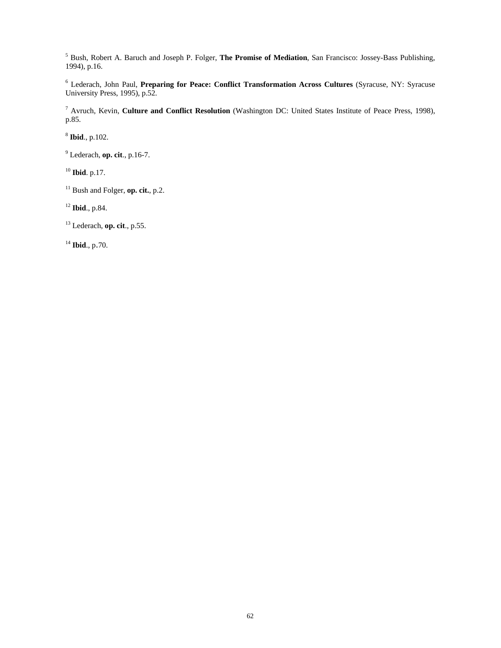Bush, Robert A. Baruch and Joseph P. Folger, **The Promise of Mediation**, San Francisco: Jossey-Bass Publishing, 1994), p.16.

 Lederach, John Paul, **Preparing for Peace: Conflict Transformation Across Cultures** (Syracuse, NY: Syracuse University Press, 1995), p.52.

 Avruch, Kevin, **Culture and Conflict Resolution** (Washington DC: United States Institute of Peace Press, 1998), p.85.

**Ibid**., p.102.

Lederach, **op. cit**., p.16-7.

**Ibid**. p.17.

<sup>11</sup> Bush and Folger, **op. cit.**, p.2.

**Ibid**., p.84.

13 Lederach, **op. cit**., p.55.

**Ibid**., p.70.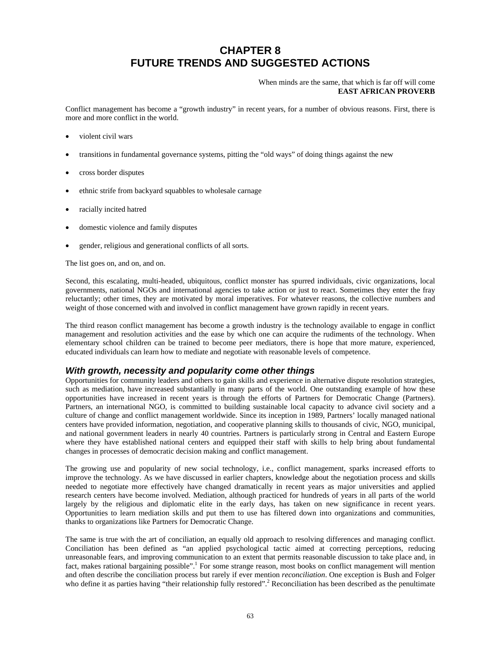## **CHAPTER 8 FUTURE TRENDS AND SUGGESTED ACTIONS**

#### When minds are the same, that which is far off will come **EAST AFRICAN PROVERB**

Conflict management has become a "growth industry" in recent years, for a number of obvious reasons. First, there is more and more conflict in the world.

- violent civil wars
- transitions in fundamental governance systems, pitting the "old ways" of doing things against the new
- cross border disputes
- ethnic strife from backyard squabbles to wholesale carnage
- racially incited hatred
- domestic violence and family disputes
- gender, religious and generational conflicts of all sorts.

The list goes on, and on, and on.

Second, this escalating, multi-headed, ubiquitous, conflict monster has spurred individuals, civic organizations, local governments, national NGOs and international agencies to take action or just to react. Sometimes they enter the fray reluctantly; other times, they are motivated by moral imperatives. For whatever reasons, the collective numbers and weight of those concerned with and involved in conflict management have grown rapidly in recent years.

The third reason conflict management has become a growth industry is the technology available to engage in conflict management and resolution activities and the ease by which one can acquire the rudiments of the technology. When elementary school children can be trained to become peer mediators, there is hope that more mature, experienced, educated individuals can learn how to mediate and negotiate with reasonable levels of competence.

#### *With growth, necessity and popularity come other things*

Opportunities for community leaders and others to gain skills and experience in alternative dispute resolution strategies, such as mediation, have increased substantially in many parts of the world. One outstanding example of how these opportunities have increased in recent years is through the efforts of Partners for Democratic Change (Partners). Partners, an international NGO, is committed to building sustainable local capacity to advance civil society and a culture of change and conflict management worldwide. Since its inception in 1989, Partners' locally managed national centers have provided information, negotiation, and cooperative planning skills to thousands of civic, NGO, municipal, and national government leaders in nearly 40 countries. Partners is particularly strong in Central and Eastern Europe where they have established national centers and equipped their staff with skills to help bring about fundamental changes in processes of democratic decision making and conflict management.

The growing use and popularity of new social technology, i.e., conflict management, sparks increased efforts to improve the technology. As we have discussed in earlier chapters, knowledge about the negotiation process and skills needed to negotiate more effectively have changed dramatically in recent years as major universities and applied research centers have become involved. Mediation, although practiced for hundreds of years in all parts of the world largely by the religious and diplomatic elite in the early days, has taken on new significance in recent years. Opportunities to learn mediation skills and put them to use has filtered down into organizations and communities, thanks to organizations like Partners for Democratic Change.

The same is true with the art of conciliation, an equally old approach to resolving differences and managing conflict. Conciliation has been defined as "an applied psychological tactic aimed at correcting perceptions, reducing unreasonable fears, and improving communication to an extent that permits reasonable discussion to take place and, in fact, makes rational bargaining possible".<sup>1</sup> For some strange reason, most books on conflict management will mention and often describe the conciliation process but rarely if ever mention *reconciliation*. One exception is Bush and Folger who define it as parties having "their relationship fully restored".<sup>2</sup> Reconciliation has been described as the penultimate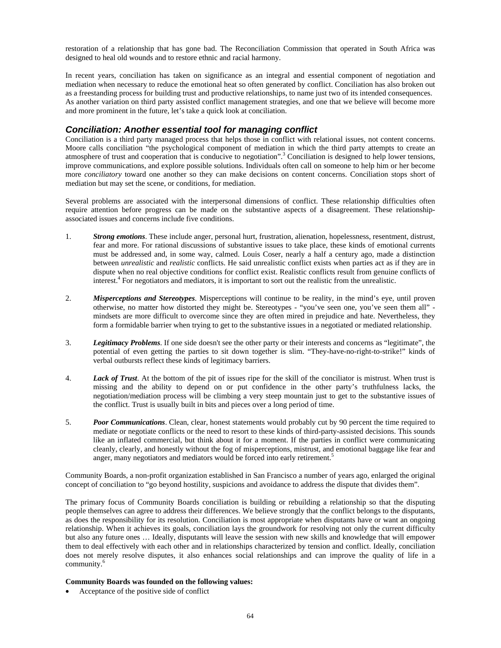restoration of a relationship that has gone bad. The Reconciliation Commission that operated in South Africa was designed to heal old wounds and to restore ethnic and racial harmony.

In recent years, conciliation has taken on significance as an integral and essential component of negotiation and mediation when necessary to reduce the emotional heat so often generated by conflict. Conciliation has also broken out as a freestanding process for building trust and productive relationships, to name just two of its intended consequences. As another variation on third party assisted conflict management strategies, and one that we believe will become more and more prominent in the future, let's take a quick look at conciliation.

#### *Conciliation: Another essential tool for managing conflict*

Conciliation is a third party managed process that helps those in conflict with relational issues, not content concerns. Moore calls conciliation "the psychological component of mediation in which the third party attempts to create an atmosphere of trust and cooperation that is conducive to negotiation".<sup>3</sup> Conciliation is designed to help lower tensions, improve communications, and explore possible solutions. Individuals often call on someone to help him or her become more *conciliatory* toward one another so they can make decisions on content concerns. Conciliation stops short of mediation but may set the scene, or conditions, for mediation.

Several problems are associated with the interpersonal dimensions of conflict. These relationship difficulties often require attention before progress can be made on the substantive aspects of a disagreement. These relationshipassociated issues and concerns include five conditions.

- 1. *Strong emotions*. These include anger, personal hurt, frustration, alienation, hopelessness, resentment, distrust, fear and more. For rational discussions of substantive issues to take place, these kinds of emotional currents must be addressed and, in some way, calmed. Louis Coser, nearly a half a century ago, made a distinction between *unrealistic* and *realistic* conflicts. He said unrealistic conflict exists when parties act as if they are in dispute when no real objective conditions for conflict exist. Realistic conflicts result from genuine conflicts of interest.<sup>4</sup> For negotiators and mediators, it is important to sort out the realistic from the unrealistic.
- 2. *Misperceptions and Stereotypes*. Misperceptions will continue to be reality, in the mind's eye, until proven otherwise, no matter how distorted they might be. Stereotypes - "you've seen one, you've seen them all" mindsets are more difficult to overcome since they are often mired in prejudice and hate. Nevertheless, they form a formidable barrier when trying to get to the substantive issues in a negotiated or mediated relationship.
- 3. *Legitimacy Problems*. If one side doesn't see the other party or their interests and concerns as "legitimate", the potential of even getting the parties to sit down together is slim. "They-have-no-right-to-strike!" kinds of verbal outbursts reflect these kinds of legitimacy barriers.
- 4. *Lack of Trust*. At the bottom of the pit of issues ripe for the skill of the conciliator is mistrust. When trust is missing and the ability to depend on or put confidence in the other party's truthfulness lacks, the negotiation/mediation process will be climbing a very steep mountain just to get to the substantive issues of the conflict. Trust is usually built in bits and pieces over a long period of time.
- 5. *Poor Communications*. Clean, clear, honest statements would probably cut by 90 percent the time required to mediate or negotiate conflicts or the need to resort to these kinds of third-party-assisted decisions. This sounds like an inflated commercial, but think about it for a moment. If the parties in conflict were communicating cleanly, clearly, and honestly without the fog of misperceptions, mistrust, and emotional baggage like fear and anger, many negotiators and mediators would be forced into early retirement.<sup>5</sup>

Community Boards, a non-profit organization established in San Francisco a number of years ago, enlarged the original concept of conciliation to "go beyond hostility, suspicions and avoidance to address the dispute that divides them".

The primary focus of Community Boards conciliation is building or rebuilding a relationship so that the disputing people themselves can agree to address their differences. We believe strongly that the conflict belongs to the disputants, as does the responsibility for its resolution. Conciliation is most appropriate when disputants have or want an ongoing relationship. When it achieves its goals, conciliation lays the groundwork for resolving not only the current difficulty but also any future ones … Ideally, disputants will leave the session with new skills and knowledge that will empower them to deal effectively with each other and in relationships characterized by tension and conflict. Ideally, conciliation does not merely resolve disputes, it also enhances social relationships and can improve the quality of life in a community.<sup>6</sup>

#### **Community Boards was founded on the following values:**

• Acceptance of the positive side of conflict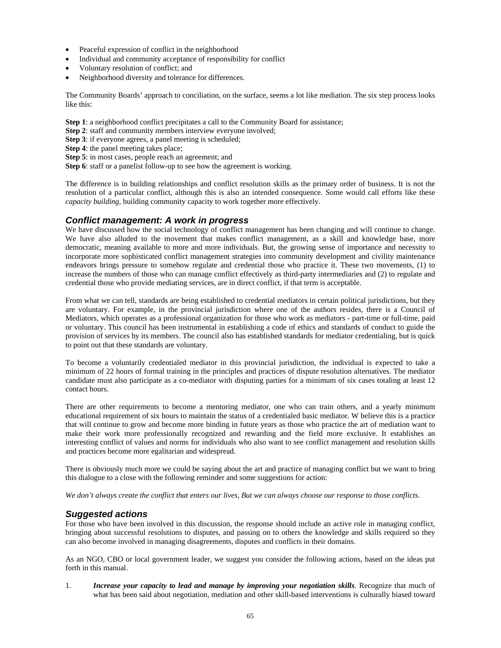- Peaceful expression of conflict in the neighborhood
- Individual and community acceptance of responsibility for conflict
- Voluntary resolution of conflict; and
- Neighborhood diversity and tolerance for differences.

The Community Boards' approach to conciliation, on the surface, seems a lot like mediation. The six step process looks like this:

**Step 1**: a neighborhood conflict precipitates a call to the Community Board for assistance;

**Step 2**: staff and community members interview everyone involved;

**Step 3**: if everyone agrees, a panel meeting is scheduled;

**Step 4**: the panel meeting takes place;

**Step 5**: in most cases, people reach an agreement; and

**Step 6**: staff or a panelist follow-up to see how the agreement is working.

The difference is in building relationships and conflict resolution skills as the primary order of business. It is not the resolution of a particular conflict, although this is also an intended consequence. Some would call efforts like these *capacity building*, building community capacity to work together more effectively.

#### *Conflict management: A work in progress*

We have discussed how the social technology of conflict management has been changing and will continue to change. We have also alluded to the movement that makes conflict management, as a skill and knowledge base, more democratic, meaning available to more and more individuals. But, the growing sense of importance and necessity to incorporate more sophisticated conflict management strategies into community development and civility maintenance endeavors brings pressure to somehow regulate and credential those who practice it. These two movements, (1) to increase the numbers of those who can manage conflict effectively as third-party intermediaries and (2) to regulate and credential those who provide mediating services, are in direct conflict, if that term is acceptable.

From what we can tell, standards are being established to credential mediators in certain political jurisdictions, but they are voluntary. For example, in the provincial jurisdiction where one of the authors resides, there is a Council of Mediators, which operates as a professional organization for those who work as mediators - part-time or full-time, paid or voluntary. This council has been instrumental in establishing a code of ethics and standards of conduct to guide the provision of services by its members. The council also has established standards for mediator credentialing, but is quick to point out that these standards are voluntary.

To become a voluntarily credentialed mediator in this provincial jurisdiction, the individual is expected to take a minimum of 22 hours of formal training in the principles and practices of dispute resolution alternatives. The mediator candidate must also participate as a co-mediator with disputing parties for a minimum of six cases totaling at least 12 contact hours.

There are other requirements to become a mentoring mediator, one who can train others, and a yearly minimum educational requirement of six hours to maintain the status of a credentialed basic mediator. W believe this is a practice that will continue to grow and become more binding in future years as those who practice the art of mediation want to make their work more professionally recognized and rewarding and the field more exclusive. It establishes an interesting conflict of values and norms for individuals who also want to see conflict management and resolution skills and practices become more egalitarian and widespread.

There is obviously much more we could be saying about the art and practice of managing conflict but we want to bring this dialogue to a close with the following reminder and some suggestions for action:

*We don't always create the conflict that enters our lives, But we can always choose our response to those conflicts.* 

#### *Suggested actions*

For those who have been involved in this discussion, the response should include an active role in managing conflict, bringing about successful resolutions to disputes, and passing on to others the knowledge and skills required so they can also become involved in managing disagreements, disputes and conflicts in their domains.

As an NGO, CBO or local government leader, we suggest you consider the following actions, based on the ideas put forth in this manual.

1. *Increase your capacity to lead and manage by improving your negotiation skills. Recognize that much of* what has been said about negotiation, mediation and other skill-based interventions is culturally biased toward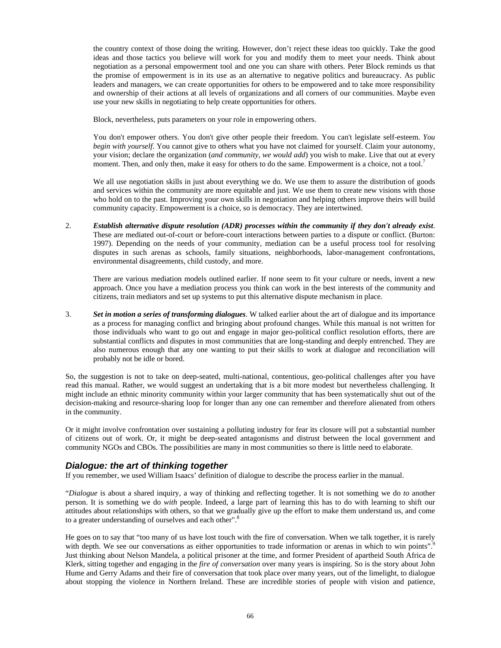the country context of those doing the writing. However, don't reject these ideas too quickly. Take the good ideas and those tactics you believe will work for you and modify them to meet your needs. Think about negotiation as a personal empowerment tool and one you can share with others. Peter Block reminds us that the promise of empowerment is in its use as an alternative to negative politics and bureaucracy. As public leaders and managers, we can create opportunities for others to be empowered and to take more responsibility and ownership of their actions at all levels of organizations and all corners of our communities. Maybe even use your new skills in negotiating to help create opportunities for others.

Block, nevertheless, puts parameters on your role in empowering others.

You don't empower others. You don't give other people their freedom. You can't legislate self-esteem. *You begin with yourself*. You cannot give to others what you have not claimed for yourself. Claim your autonomy, your vision; declare the organization (*and community, we would add*) you wish to make. Live that out at every moment. Then, and only then, make it easy for others to do the same. Empowerment is a choice, not a tool.<sup>7</sup>

We all use negotiation skills in just about everything we do. We use them to assure the distribution of goods and services within the community are more equitable and just. We use them to create new visions with those who hold on to the past. Improving your own skills in negotiation and helping others improve theirs will build community capacity. Empowerment is a choice, so is democracy. They are intertwined.

2. *Establish alternative dispute resolution (ADR) processes within the community if they don't already exist*. These are mediated out-of-court or before-court interactions between parties to a dispute or conflict. (Burton: 1997). Depending on the needs of your community, mediation can be a useful process tool for resolving disputes in such arenas as schools, family situations, neighborhoods, labor-management confrontations, environmental disagreements, child custody, and more.

There are various mediation models outlined earlier. If none seem to fit your culture or needs, invent a new approach. Once you have a mediation process you think can work in the best interests of the community and citizens, train mediators and set up systems to put this alternative dispute mechanism in place.

3. *Set in motion a series of transforming dialogues*. W talked earlier about the art of dialogue and its importance as a process for managing conflict and bringing about profound changes. While this manual is not written for those individuals who want to go out and engage in major geo-political conflict resolution efforts, there are substantial conflicts and disputes in most communities that are long-standing and deeply entrenched. They are also numerous enough that any one wanting to put their skills to work at dialogue and reconciliation will probably not be idle or bored.

So, the suggestion is not to take on deep-seated, multi-national, contentious, geo-political challenges after you have read this manual. Rather, we would suggest an undertaking that is a bit more modest but nevertheless challenging. It might include an ethnic minority community within your larger community that has been systematically shut out of the decision-making and resource-sharing loop for longer than any one can remember and therefore alienated from others in the community.

Or it might involve confrontation over sustaining a polluting industry for fear its closure will put a substantial number of citizens out of work. Or, it might be deep-seated antagonisms and distrust between the local government and community NGOs and CBOs. The possibilities are many in most communities so there is little need to elaborate.

#### *Dialogue: the art of thinking together*

If you remember, we used William Isaacs' definition of dialogue to describe the process earlier in the manual.

"*Dialogue* is about a shared inquiry, a way of thinking and reflecting together. It is not something we do *to* another person. It is something we do *with* people. Indeed, a large part of learning this has to do with learning to shift our attitudes about relationships with others, so that we gradually give up the effort to make them understand us, and come to a greater understanding of ourselves and each other".<sup>8</sup>

He goes on to say that "too many of us have lost touch with the fire of conversation. When we talk together, it is rarely with depth. We see our conversations as either opportunities to trade information or arenas in which to win points".<sup>9</sup> Just thinking about Nelson Mandela, a political prisoner at the time, and former President of apartheid South Africa de Klerk, sitting together and engaging in the *fire of conversation* over many years is inspiring. So is the story about John Hume and Gerry Adams and their fire of conversation that took place over many years, out of the limelight, to dialogue about stopping the violence in Northern Ireland. These are incredible stories of people with vision and patience,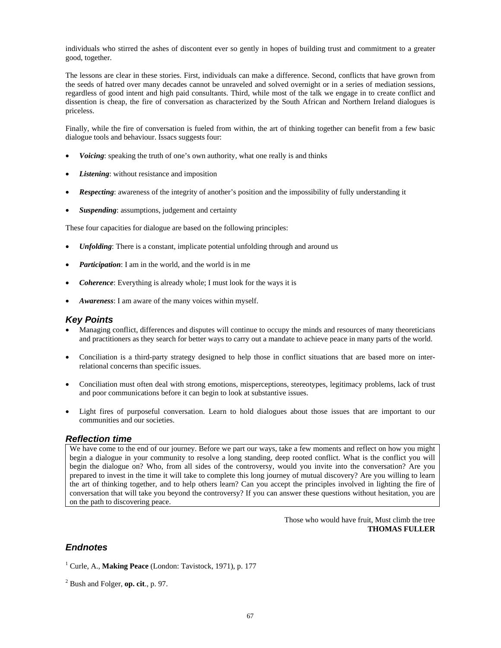individuals who stirred the ashes of discontent ever so gently in hopes of building trust and commitment to a greater good, together.

The lessons are clear in these stories. First, individuals can make a difference. Second, conflicts that have grown from the seeds of hatred over many decades cannot be unraveled and solved overnight or in a series of mediation sessions, regardless of good intent and high paid consultants. Third, while most of the talk we engage in to create conflict and dissention is cheap, the fire of conversation as characterized by the South African and Northern Ireland dialogues is priceless.

Finally, while the fire of conversation is fueled from within, the art of thinking together can benefit from a few basic dialogue tools and behaviour. Issacs suggests four:

- *Voicing*: speaking the truth of one's own authority, what one really is and thinks
- Listening: without resistance and imposition
- *Respecting*: awareness of the integrity of another's position and the impossibility of fully understanding it
- **Suspending**: assumptions, judgement and certainty

These four capacities for dialogue are based on the following principles:

- *Unfolding*: There is a constant, implicate potential unfolding through and around us
- *Participation*: I am in the world, and the world is in me
- *Coherence*: Everything is already whole; I must look for the ways it is
- *Awareness*: I am aware of the many voices within myself.

#### *Key Points*

- Managing conflict, differences and disputes will continue to occupy the minds and resources of many theoreticians and practitioners as they search for better ways to carry out a mandate to achieve peace in many parts of the world.
- Conciliation is a third-party strategy designed to help those in conflict situations that are based more on interrelational concerns than specific issues.
- Conciliation must often deal with strong emotions, misperceptions, stereotypes, legitimacy problems, lack of trust and poor communications before it can begin to look at substantive issues.
- Light fires of purposeful conversation. Learn to hold dialogues about those issues that are important to our communities and our societies.

#### *Reflection time*

We have come to the end of our journey. Before we part our ways, take a few moments and reflect on how you might begin a dialogue in your community to resolve a long standing, deep rooted conflict. What is the conflict you will begin the dialogue on? Who, from all sides of the controversy, would you invite into the conversation? Are you prepared to invest in the time it will take to complete this long journey of mutual discovery? Are you willing to learn the art of thinking together, and to help others learn? Can you accept the principles involved in lighting the fire of conversation that will take you beyond the controversy? If you can answer these questions without hesitation, you are on the path to discovering peace.

> Those who would have fruit, Must climb the tree **THOMAS FULLER**

#### *Endnotes*

<sup>1</sup> Curle, A., Making Peace (London: Tavistock, 1971), p. 177

2 Bush and Folger, **op. cit**., p. 97.